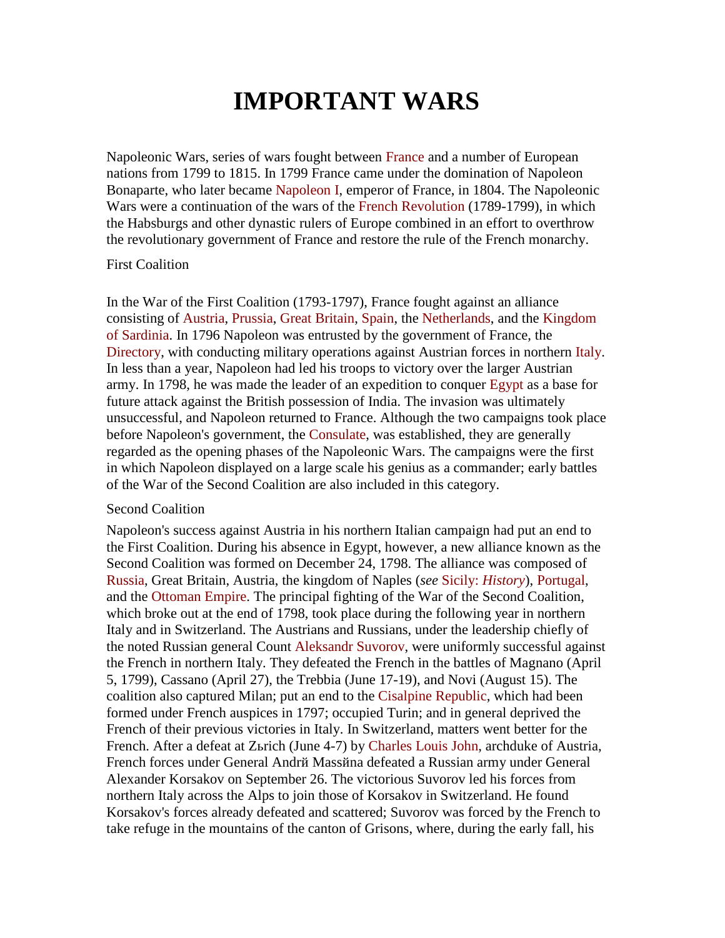# **IMPORTANT WARS**

Napoleonic Wars, series of wars fought between France and a number of European nations from 1799 to 1815. In 1799 France came under the domination of Napoleon Bonaparte, who later became Napoleon I, emperor of France, in 1804. The Napoleonic Wars were a continuation of the wars of the French Revolution (1789-1799), in which the Habsburgs and other dynastic rulers of Europe combined in an effort to overthrow the revolutionary government of France and restore the rule of the French monarchy.

### First Coalition

In the War of the First Coalition (1793-1797), France fought against an alliance consisting of Austria, Prussia, Great Britain, Spain, the Netherlands, and the Kingdom of Sardinia. In 1796 Napoleon was entrusted by the government of France, the Directory, with conducting military operations against Austrian forces in northern Italy. In less than a year, Napoleon had led his troops to victory over the larger Austrian army. In 1798, he was made the leader of an expedition to conquer Egypt as a base for future attack against the British possession of India. The invasion was ultimately unsuccessful, and Napoleon returned to France. Although the two campaigns took place before Napoleon's government, the Consulate, was established, they are generally regarded as the opening phases of the Napoleonic Wars. The campaigns were the first in which Napoleon displayed on a large scale his genius as a commander; early battles of the War of the Second Coalition are also included in this category.

#### Second Coalition

Napoleon's success against Austria in his northern Italian campaign had put an end to the First Coalition. During his absence in Egypt, however, a new alliance known as the Second Coalition was formed on December 24, 1798. The alliance was composed of Russia, Great Britain, Austria, the kingdom of Naples (*see* Sicily: *History*), Portugal, and the Ottoman Empire. The principal fighting of the War of the Second Coalition, which broke out at the end of 1798, took place during the following year in northern Italy and in Switzerland. The Austrians and Russians, under the leadership chiefly of the noted Russian general Count Aleksandr Suvorov, were uniformly successful against the French in northern Italy. They defeated the French in the battles of Magnano (April 5, 1799), Cassano (April 27), the Trebbia (June 17-19), and Novi (August 15). The coalition also captured Milan; put an end to the Cisalpine Republic, which had been formed under French auspices in 1797; occupied Turin; and in general deprived the French of their previous victories in Italy. In Switzerland, matters went better for the French. After a defeat at Zьrich (June 4-7) by Charles Louis John, archduke of Austria, French forces under General Andrй Massйna defeated a Russian army under General Alexander Korsakov on September 26. The victorious Suvorov led his forces from northern Italy across the Alps to join those of Korsakov in Switzerland. He found Korsakov's forces already defeated and scattered; Suvorov was forced by the French to take refuge in the mountains of the canton of Grisons, where, during the early fall, his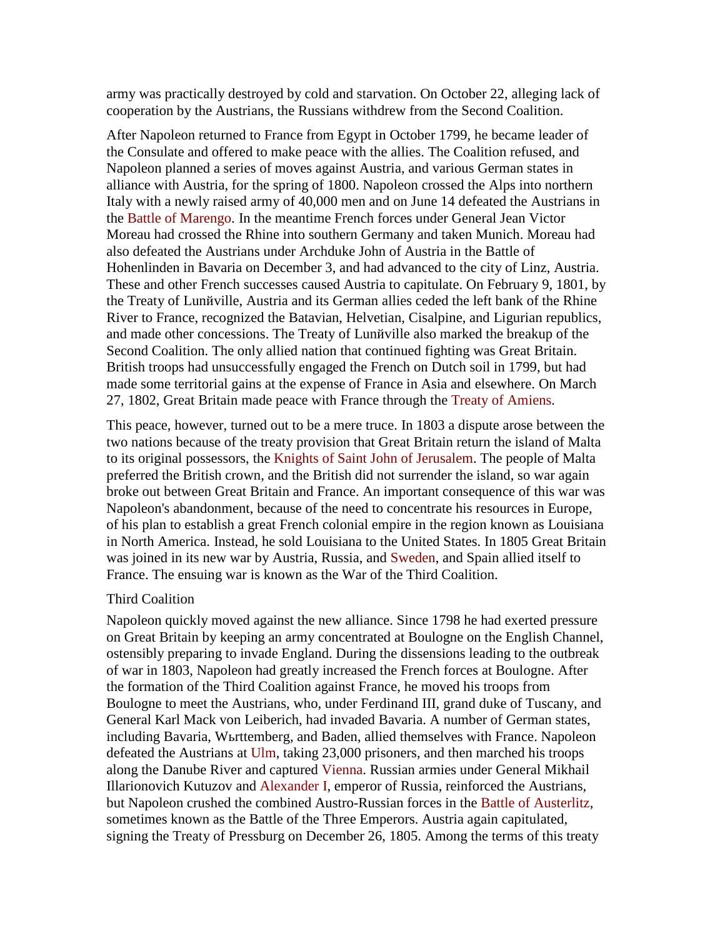army was practically destroyed by cold and starvation. On October 22, alleging lack of cooperation by the Austrians, the Russians withdrew from the Second Coalition.

After Napoleon returned to France from Egypt in October 1799, he became leader of the Consulate and offered to make peace with the allies. The Coalition refused, and Napoleon planned a series of moves against Austria, and various German states in alliance with Austria, for the spring of 1800. Napoleon crossed the Alps into northern Italy with a newly raised army of 40,000 men and on June 14 defeated the Austrians in the Battle of Marengo. In the meantime French forces under General Jean Victor Moreau had crossed the Rhine into southern Germany and taken Munich. Moreau had also defeated the Austrians under Archduke John of Austria in the Battle of Hohenlinden in Bavaria on December 3, and had advanced to the city of Linz, Austria. These and other French successes caused Austria to capitulate. On February 9, 1801, by the Treaty of Lunйville, Austria and its German allies ceded the left bank of the Rhine River to France, recognized the Batavian, Helvetian, Cisalpine, and Ligurian republics, and made other concessions. The Treaty of Lunйville also marked the breakup of the Second Coalition. The only allied nation that continued fighting was Great Britain. British troops had unsuccessfully engaged the French on Dutch soil in 1799, but had made some territorial gains at the expense of France in Asia and elsewhere. On March 27, 1802, Great Britain made peace with France through the Treaty of Amiens.

This peace, however, turned out to be a mere truce. In 1803 a dispute arose between the two nations because of the treaty provision that Great Britain return the island of Malta to its original possessors, the Knights of Saint John of Jerusalem. The people of Malta preferred the British crown, and the British did not surrender the island, so war again broke out between Great Britain and France. An important consequence of this war was Napoleon's abandonment, because of the need to concentrate his resources in Europe, of his plan to establish a great French colonial empire in the region known as Louisiana in North America. Instead, he sold Louisiana to the United States. In 1805 Great Britain was joined in its new war by Austria, Russia, and Sweden, and Spain allied itself to France. The ensuing war is known as the War of the Third Coalition.

#### Third Coalition

Napoleon quickly moved against the new alliance. Since 1798 he had exerted pressure on Great Britain by keeping an army concentrated at Boulogne on the English Channel, ostensibly preparing to invade England. During the dissensions leading to the outbreak of war in 1803, Napoleon had greatly increased the French forces at Boulogne. After the formation of the Third Coalition against France, he moved his troops from Boulogne to meet the Austrians, who, under Ferdinand III, grand duke of Tuscany, and General Karl Mack von Leiberich, had invaded Bavaria. A number of German states, including Bavaria, Wьrttemberg, and Baden, allied themselves with France. Napoleon defeated the Austrians at Ulm, taking 23,000 prisoners, and then marched his troops along the Danube River and captured Vienna. Russian armies under General Mikhail Illarionovich Kutuzov and Alexander I, emperor of Russia, reinforced the Austrians, but Napoleon crushed the combined Austro-Russian forces in the Battle of Austerlitz, sometimes known as the Battle of the Three Emperors. Austria again capitulated, signing the Treaty of Pressburg on December 26, 1805. Among the terms of this treaty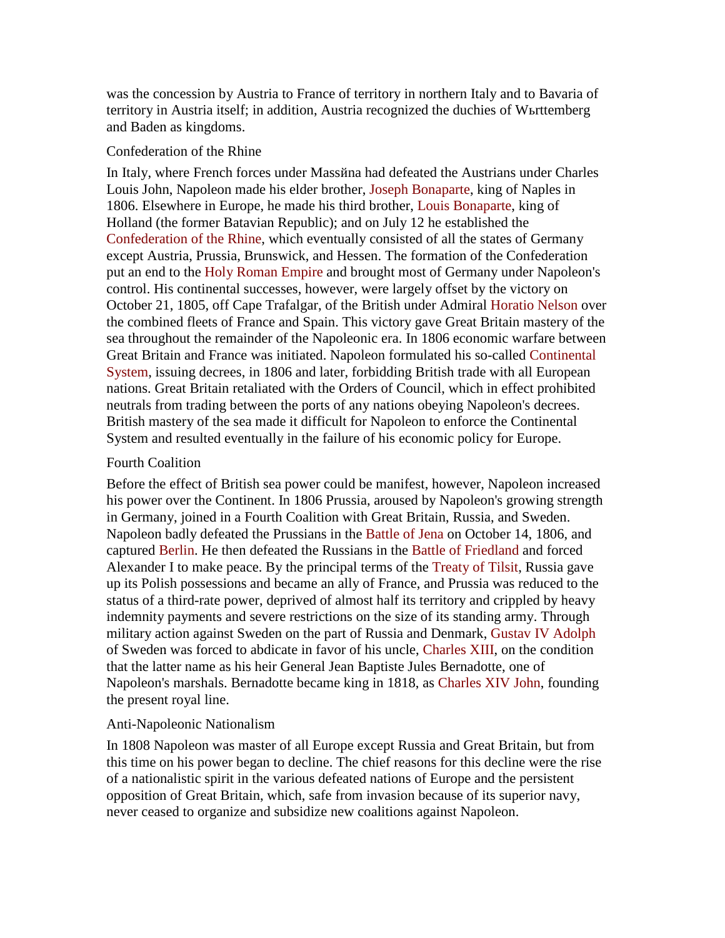was the concession by Austria to France of territory in northern Italy and to Bavaria of territory in Austria itself; in addition, Austria recognized the duchies of Wьrttemberg and Baden as kingdoms.

### Confederation of the Rhine

In Italy, where French forces under Massйna had defeated the Austrians under Charles Louis John, Napoleon made his elder brother, Joseph Bonaparte, king of Naples in 1806. Elsewhere in Europe, he made his third brother, Louis Bonaparte, king of Holland (the former Batavian Republic); and on July 12 he established the Confederation of the Rhine, which eventually consisted of all the states of Germany except Austria, Prussia, Brunswick, and Hessen. The formation of the Confederation put an end to the Holy Roman Empire and brought most of Germany under Napoleon's control. His continental successes, however, were largely offset by the victory on October 21, 1805, off Cape Trafalgar, of the British under Admiral Horatio Nelson over the combined fleets of France and Spain. This victory gave Great Britain mastery of the sea throughout the remainder of the Napoleonic era. In 1806 economic warfare between Great Britain and France was initiated. Napoleon formulated his so-called Continental System, issuing decrees, in 1806 and later, forbidding British trade with all European nations. Great Britain retaliated with the Orders of Council, which in effect prohibited neutrals from trading between the ports of any nations obeying Napoleon's decrees. British mastery of the sea made it difficult for Napoleon to enforce the Continental System and resulted eventually in the failure of his economic policy for Europe.

# Fourth Coalition

Before the effect of British sea power could be manifest, however, Napoleon increased his power over the Continent. In 1806 Prussia, aroused by Napoleon's growing strength in Germany, joined in a Fourth Coalition with Great Britain, Russia, and Sweden. Napoleon badly defeated the Prussians in the Battle of Jena on October 14, 1806, and captured Berlin. He then defeated the Russians in the Battle of Friedland and forced Alexander I to make peace. By the principal terms of the Treaty of Tilsit, Russia gave up its Polish possessions and became an ally of France, and Prussia was reduced to the status of a third-rate power, deprived of almost half its territory and crippled by heavy indemnity payments and severe restrictions on the size of its standing army. Through military action against Sweden on the part of Russia and Denmark, Gustav IV Adolph of Sweden was forced to abdicate in favor of his uncle, Charles XIII, on the condition that the latter name as his heir General Jean Baptiste Jules Bernadotte, one of Napoleon's marshals. Bernadotte became king in 1818, as Charles XIV John, founding the present royal line.

# Anti-Napoleonic Nationalism

In 1808 Napoleon was master of all Europe except Russia and Great Britain, but from this time on his power began to decline. The chief reasons for this decline were the rise of a nationalistic spirit in the various defeated nations of Europe and the persistent opposition of Great Britain, which, safe from invasion because of its superior navy, never ceased to organize and subsidize new coalitions against Napoleon.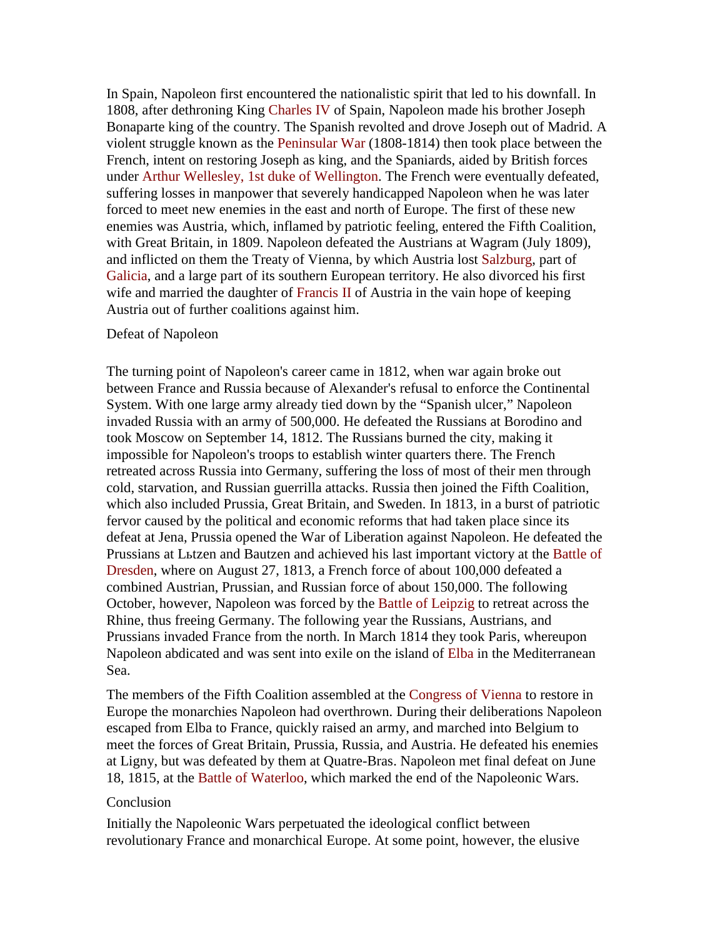In Spain, Napoleon first encountered the nationalistic spirit that led to his downfall. In 1808, after dethroning King Charles IV of Spain, Napoleon made his brother Joseph Bonaparte king of the country. The Spanish revolted and drove Joseph out of Madrid. A violent struggle known as the Peninsular War (1808-1814) then took place between the French, intent on restoring Joseph as king, and the Spaniards, aided by British forces under Arthur Wellesley, 1st duke of Wellington. The French were eventually defeated, suffering losses in manpower that severely handicapped Napoleon when he was later forced to meet new enemies in the east and north of Europe. The first of these new enemies was Austria, which, inflamed by patriotic feeling, entered the Fifth Coalition, with Great Britain, in 1809. Napoleon defeated the Austrians at Wagram (July 1809), and inflicted on them the Treaty of Vienna, by which Austria lost Salzburg, part of Galicia, and a large part of its southern European territory. He also divorced his first wife and married the daughter of Francis II of Austria in the vain hope of keeping Austria out of further coalitions against him.

#### Defeat of Napoleon

The turning point of Napoleon's career came in 1812, when war again broke out between France and Russia because of Alexander's refusal to enforce the Continental System. With one large army already tied down by the "Spanish ulcer," Napoleon invaded Russia with an army of 500,000. He defeated the Russians at Borodino and took Moscow on September 14, 1812. The Russians burned the city, making it impossible for Napoleon's troops to establish winter quarters there. The French retreated across Russia into Germany, suffering the loss of most of their men through cold, starvation, and Russian guerrilla attacks. Russia then joined the Fifth Coalition, which also included Prussia, Great Britain, and Sweden. In 1813, in a burst of patriotic fervor caused by the political and economic reforms that had taken place since its defeat at Jena, Prussia opened the War of Liberation against Napoleon. He defeated the Prussians at Lьtzen and Bautzen and achieved his last important victory at the Battle of Dresden, where on August 27, 1813, a French force of about 100,000 defeated a combined Austrian, Prussian, and Russian force of about 150,000. The following October, however, Napoleon was forced by the Battle of Leipzig to retreat across the Rhine, thus freeing Germany. The following year the Russians, Austrians, and Prussians invaded France from the north. In March 1814 they took Paris, whereupon Napoleon abdicated and was sent into exile on the island of Elba in the Mediterranean Sea.

The members of the Fifth Coalition assembled at the Congress of Vienna to restore in Europe the monarchies Napoleon had overthrown. During their deliberations Napoleon escaped from Elba to France, quickly raised an army, and marched into Belgium to meet the forces of Great Britain, Prussia, Russia, and Austria. He defeated his enemies at Ligny, but was defeated by them at Quatre-Bras. Napoleon met final defeat on June 18, 1815, at the Battle of Waterloo, which marked the end of the Napoleonic Wars.

#### Conclusion

Initially the Napoleonic Wars perpetuated the ideological conflict between revolutionary France and monarchical Europe. At some point, however, the elusive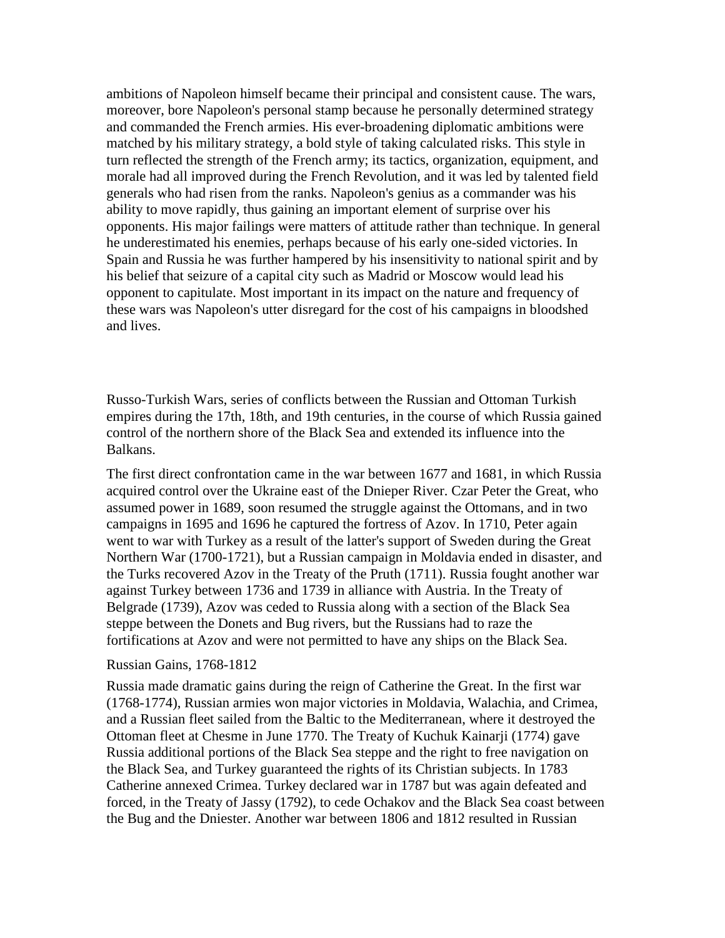ambitions of Napoleon himself became their principal and consistent cause. The wars, moreover, bore Napoleon's personal stamp because he personally determined strategy and commanded the French armies. His ever-broadening diplomatic ambitions were matched by his military strategy, a bold style of taking calculated risks. This style in turn reflected the strength of the French army; its tactics, organization, equipment, and morale had all improved during the French Revolution, and it was led by talented field generals who had risen from the ranks. Napoleon's genius as a commander was his ability to move rapidly, thus gaining an important element of surprise over his opponents. His major failings were matters of attitude rather than technique. In general he underestimated his enemies, perhaps because of his early one-sided victories. In Spain and Russia he was further hampered by his insensitivity to national spirit and by his belief that seizure of a capital city such as Madrid or Moscow would lead his opponent to capitulate. Most important in its impact on the nature and frequency of these wars was Napoleon's utter disregard for the cost of his campaigns in bloodshed and lives.

Russo-Turkish Wars, series of conflicts between the Russian and Ottoman Turkish empires during the 17th, 18th, and 19th centuries, in the course of which Russia gained control of the northern shore of the Black Sea and extended its influence into the Balkans.

The first direct confrontation came in the war between 1677 and 1681, in which Russia acquired control over the Ukraine east of the Dnieper River. Czar Peter the Great, who assumed power in 1689, soon resumed the struggle against the Ottomans, and in two campaigns in 1695 and 1696 he captured the fortress of Azov. In 1710, Peter again went to war with Turkey as a result of the latter's support of Sweden during the Great Northern War (1700-1721), but a Russian campaign in Moldavia ended in disaster, and the Turks recovered Azov in the Treaty of the Pruth (1711). Russia fought another war against Turkey between 1736 and 1739 in alliance with Austria. In the Treaty of Belgrade (1739), Azov was ceded to Russia along with a section of the Black Sea steppe between the Donets and Bug rivers, but the Russians had to raze the fortifications at Azov and were not permitted to have any ships on the Black Sea.

#### Russian Gains, 1768-1812

Russia made dramatic gains during the reign of Catherine the Great. In the first war (1768-1774), Russian armies won major victories in Moldavia, Walachia, and Crimea, and a Russian fleet sailed from the Baltic to the Mediterranean, where it destroyed the Ottoman fleet at Chesme in June 1770. The Treaty of Kuchuk Kainarji (1774) gave Russia additional portions of the Black Sea steppe and the right to free navigation on the Black Sea, and Turkey guaranteed the rights of its Christian subjects. In 1783 Catherine annexed Crimea. Turkey declared war in 1787 but was again defeated and forced, in the Treaty of Jassy (1792), to cede Ochakov and the Black Sea coast between the Bug and the Dniester. Another war between 1806 and 1812 resulted in Russian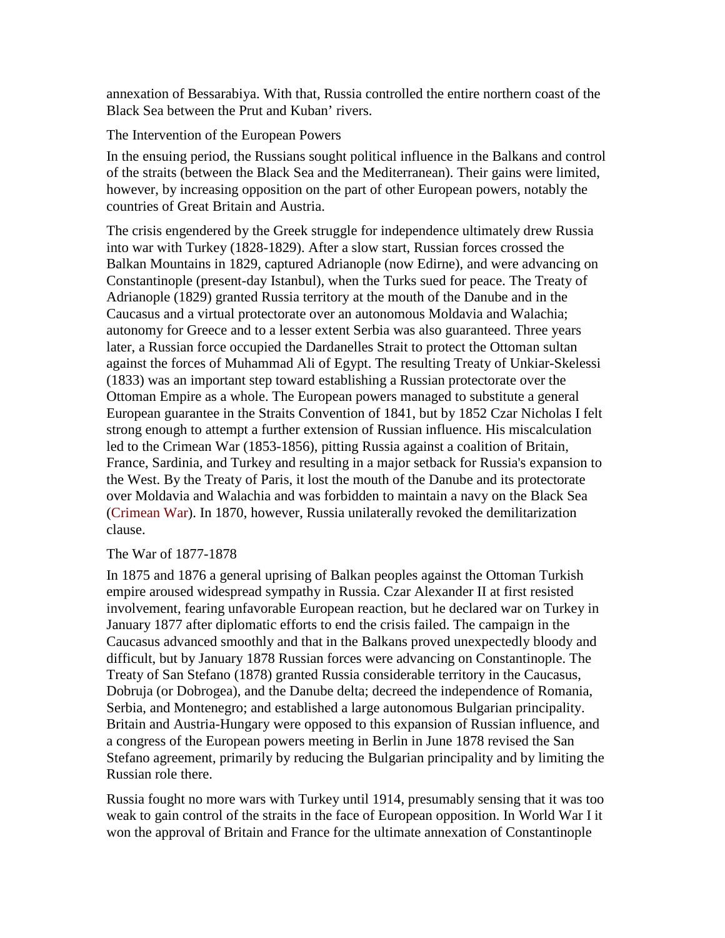annexation of Bessarabiya. With that, Russia controlled the entire northern coast of the Black Sea between the Prut and Kuban' rivers.

The Intervention of the European Powers

In the ensuing period, the Russians sought political influence in the Balkans and control of the straits (between the Black Sea and the Mediterranean). Their gains were limited, however, by increasing opposition on the part of other European powers, notably the countries of Great Britain and Austria.

The crisis engendered by the Greek struggle for independence ultimately drew Russia into war with Turkey (1828-1829). After a slow start, Russian forces crossed the Balkan Mountains in 1829, captured Adrianople (now Edirne), and were advancing on Constantinople (present-day Istanbul), when the Turks sued for peace. The Treaty of Adrianople (1829) granted Russia territory at the mouth of the Danube and in the Caucasus and a virtual protectorate over an autonomous Moldavia and Walachia; autonomy for Greece and to a lesser extent Serbia was also guaranteed. Three years later, a Russian force occupied the Dardanelles Strait to protect the Ottoman sultan against the forces of Muhammad Ali of Egypt. The resulting Treaty of Unkiar-Skelessi (1833) was an important step toward establishing a Russian protectorate over the Ottoman Empire as a whole. The European powers managed to substitute a general European guarantee in the Straits Convention of 1841, but by 1852 Czar Nicholas I felt strong enough to attempt a further extension of Russian influence. His miscalculation led to the Crimean War (1853-1856), pitting Russia against a coalition of Britain, France, Sardinia, and Turkey and resulting in a major setback for Russia's expansion to the West. By the Treaty of Paris, it lost the mouth of the Danube and its protectorate over Moldavia and Walachia and was forbidden to maintain a navy on the Black Sea (Crimean War). In 1870, however, Russia unilaterally revoked the demilitarization clause.

# The War of 1877-1878

In 1875 and 1876 a general uprising of Balkan peoples against the Ottoman Turkish empire aroused widespread sympathy in Russia. Czar Alexander II at first resisted involvement, fearing unfavorable European reaction, but he declared war on Turkey in January 1877 after diplomatic efforts to end the crisis failed. The campaign in the Caucasus advanced smoothly and that in the Balkans proved unexpectedly bloody and difficult, but by January 1878 Russian forces were advancing on Constantinople. The Treaty of San Stefano (1878) granted Russia considerable territory in the Caucasus, Dobruja (or Dobrogea), and the Danube delta; decreed the independence of Romania, Serbia, and Montenegro; and established a large autonomous Bulgarian principality. Britain and Austria-Hungary were opposed to this expansion of Russian influence, and a congress of the European powers meeting in Berlin in June 1878 revised the San Stefano agreement, primarily by reducing the Bulgarian principality and by limiting the Russian role there.

Russia fought no more wars with Turkey until 1914, presumably sensing that it was too weak to gain control of the straits in the face of European opposition. In World War I it won the approval of Britain and France for the ultimate annexation of Constantinople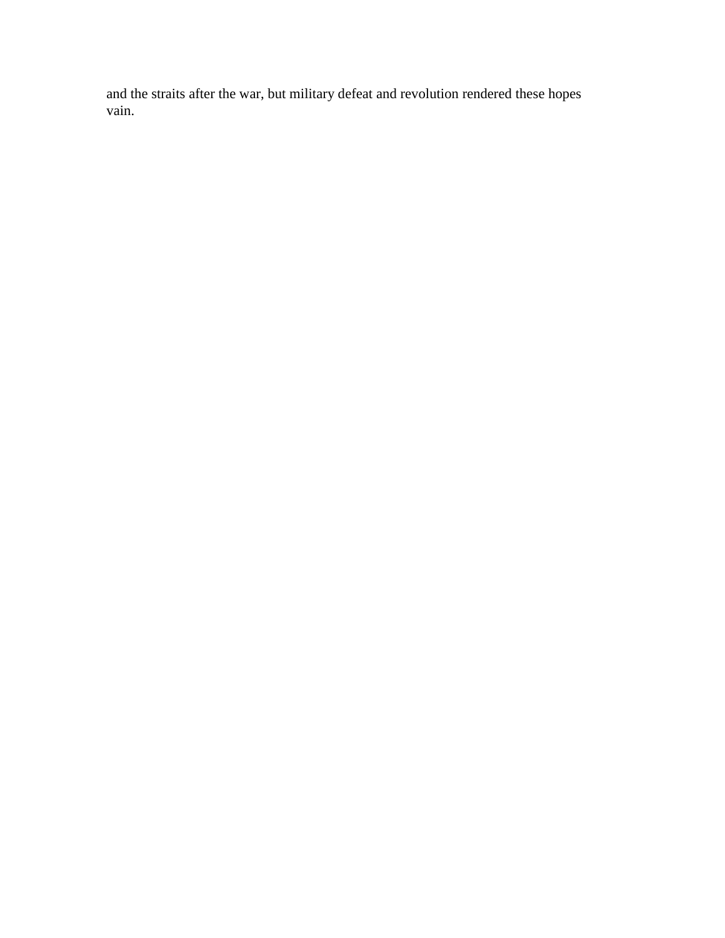and the straits after the war, but military defeat and revolution rendered these hopes vain.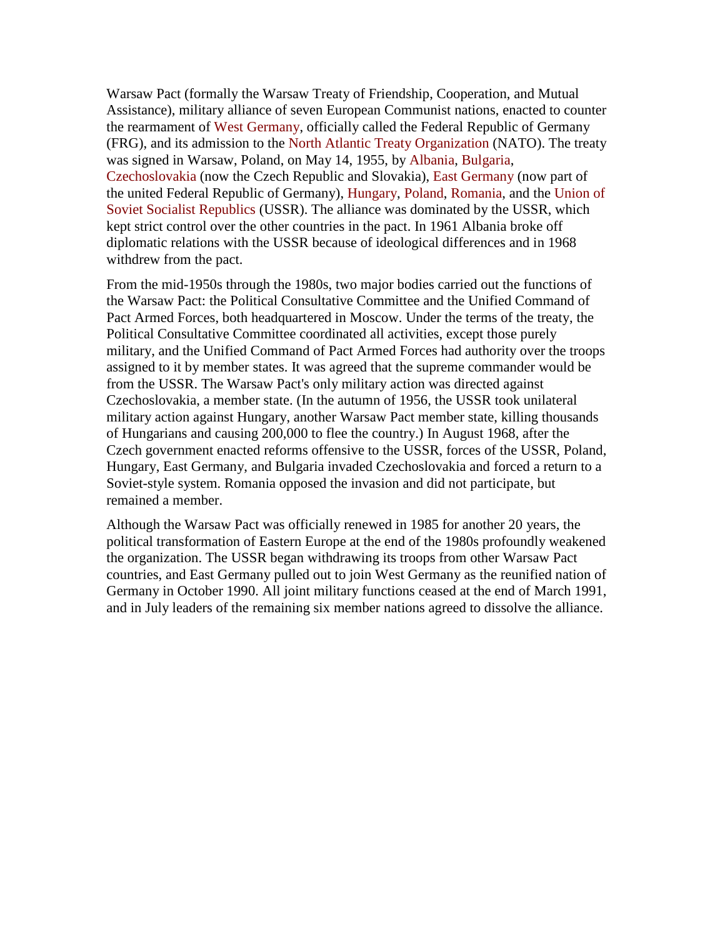Warsaw Pact (formally the Warsaw Treaty of Friendship, Cooperation, and Mutual Assistance), military alliance of seven European Communist nations, enacted to counter the rearmament of West Germany, officially called the Federal Republic of Germany (FRG), and its admission to the North Atlantic Treaty Organization (NATO). The treaty was signed in Warsaw, Poland, on May 14, 1955, by Albania, Bulgaria, Czechoslovakia (now the Czech Republic and Slovakia), East Germany (now part of the united Federal Republic of Germany), Hungary, Poland, Romania, and the Union of Soviet Socialist Republics (USSR). The alliance was dominated by the USSR, which kept strict control over the other countries in the pact. In 1961 Albania broke off diplomatic relations with the USSR because of ideological differences and in 1968 withdrew from the pact.

From the mid-1950s through the 1980s, two major bodies carried out the functions of the Warsaw Pact: the Political Consultative Committee and the Unified Command of Pact Armed Forces, both headquartered in Moscow. Under the terms of the treaty, the Political Consultative Committee coordinated all activities, except those purely military, and the Unified Command of Pact Armed Forces had authority over the troops assigned to it by member states. It was agreed that the supreme commander would be from the USSR. The Warsaw Pact's only military action was directed against Czechoslovakia, a member state. (In the autumn of 1956, the USSR took unilateral military action against Hungary, another Warsaw Pact member state, killing thousands of Hungarians and causing 200,000 to flee the country.) In August 1968, after the Czech government enacted reforms offensive to the USSR, forces of the USSR, Poland, Hungary, East Germany, and Bulgaria invaded Czechoslovakia and forced a return to a Soviet-style system. Romania opposed the invasion and did not participate, but remained a member.

Although the Warsaw Pact was officially renewed in 1985 for another 20 years, the political transformation of Eastern Europe at the end of the 1980s profoundly weakened the organization. The USSR began withdrawing its troops from other Warsaw Pact countries, and East Germany pulled out to join West Germany as the reunified nation of Germany in October 1990. All joint military functions ceased at the end of March 1991, and in July leaders of the remaining six member nations agreed to dissolve the alliance.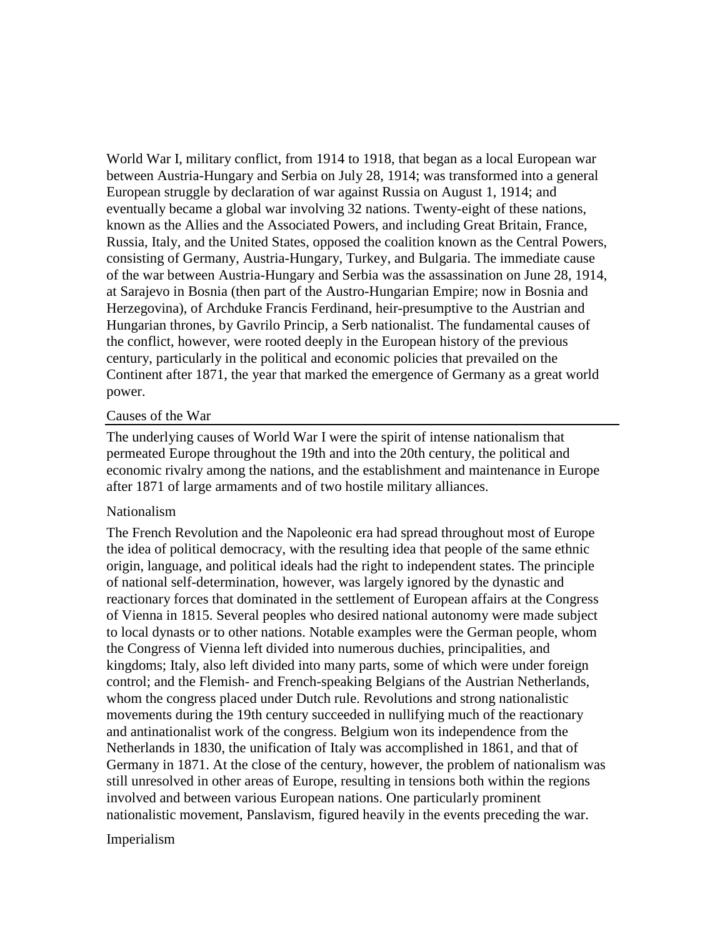World War I, military conflict, from 1914 to 1918, that began as a local European war between Austria-Hungary and Serbia on July 28, 1914; was transformed into a general European struggle by declaration of war against Russia on August 1, 1914; and eventually became a global war involving 32 nations. Twenty-eight of these nations, known as the Allies and the Associated Powers, and including Great Britain, France, Russia, Italy, and the United States, opposed the coalition known as the Central Powers, consisting of Germany, Austria-Hungary, Turkey, and Bulgaria. The immediate cause of the war between Austria-Hungary and Serbia was the assassination on June 28, 1914, at Sarajevo in Bosnia (then part of the Austro-Hungarian Empire; now in Bosnia and Herzegovina), of Archduke Francis Ferdinand, heir-presumptive to the Austrian and Hungarian thrones, by Gavrilo Princip, a Serb nationalist. The fundamental causes of the conflict, however, were rooted deeply in the European history of the previous century, particularly in the political and economic policies that prevailed on the Continent after 1871, the year that marked the emergence of Germany as a great world power.

#### Causes of the War

The underlying causes of World War I were the spirit of intense nationalism that permeated Europe throughout the 19th and into the 20th century, the political and economic rivalry among the nations, and the establishment and maintenance in Europe after 1871 of large armaments and of two hostile military alliances.

#### Nationalism

The French Revolution and the Napoleonic era had spread throughout most of Europe the idea of political democracy, with the resulting idea that people of the same ethnic origin, language, and political ideals had the right to independent states. The principle of national self-determination, however, was largely ignored by the dynastic and reactionary forces that dominated in the settlement of European affairs at the Congress of Vienna in 1815. Several peoples who desired national autonomy were made subject to local dynasts or to other nations. Notable examples were the German people, whom the Congress of Vienna left divided into numerous duchies, principalities, and kingdoms; Italy, also left divided into many parts, some of which were under foreign control; and the Flemish- and French-speaking Belgians of the Austrian Netherlands, whom the congress placed under Dutch rule. Revolutions and strong nationalistic movements during the 19th century succeeded in nullifying much of the reactionary and antinationalist work of the congress. Belgium won its independence from the Netherlands in 1830, the unification of Italy was accomplished in 1861, and that of Germany in 1871. At the close of the century, however, the problem of nationalism was still unresolved in other areas of Europe, resulting in tensions both within the regions involved and between various European nations. One particularly prominent nationalistic movement, Panslavism, figured heavily in the events preceding the war.

### Imperialism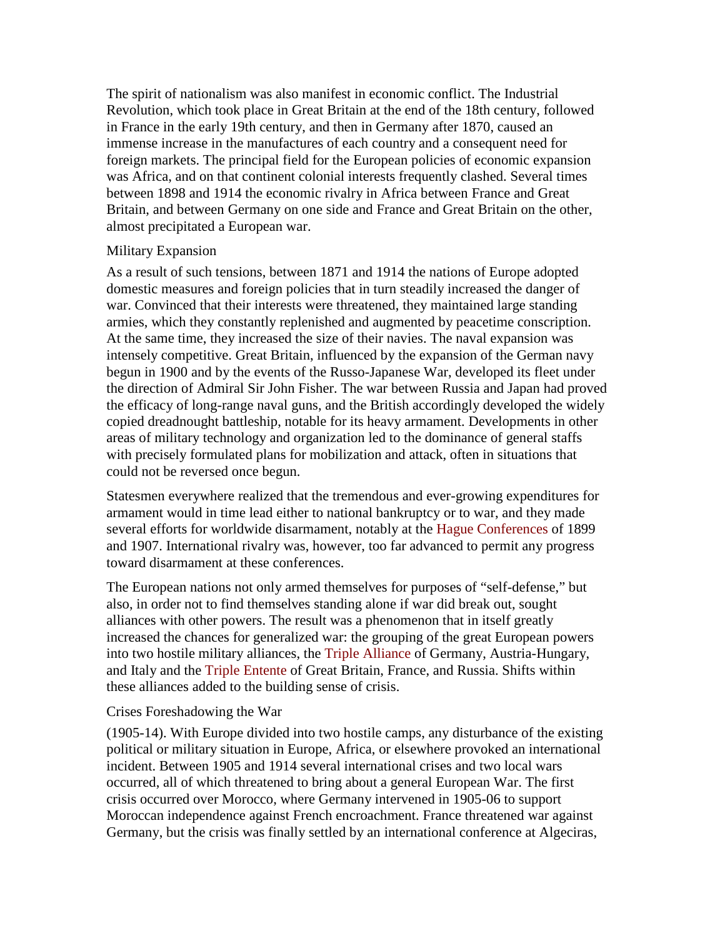The spirit of nationalism was also manifest in economic conflict. The Industrial Revolution, which took place in Great Britain at the end of the 18th century, followed in France in the early 19th century, and then in Germany after 1870, caused an immense increase in the manufactures of each country and a consequent need for foreign markets. The principal field for the European policies of economic expansion was Africa, and on that continent colonial interests frequently clashed. Several times between 1898 and 1914 the economic rivalry in Africa between France and Great Britain, and between Germany on one side and France and Great Britain on the other, almost precipitated a European war.

# Military Expansion

As a result of such tensions, between 1871 and 1914 the nations of Europe adopted domestic measures and foreign policies that in turn steadily increased the danger of war. Convinced that their interests were threatened, they maintained large standing armies, which they constantly replenished and augmented by peacetime conscription. At the same time, they increased the size of their navies. The naval expansion was intensely competitive. Great Britain, influenced by the expansion of the German navy begun in 1900 and by the events of the Russo-Japanese War, developed its fleet under the direction of Admiral Sir John Fisher. The war between Russia and Japan had proved the efficacy of long-range naval guns, and the British accordingly developed the widely copied dreadnought battleship, notable for its heavy armament. Developments in other areas of military technology and organization led to the dominance of general staffs with precisely formulated plans for mobilization and attack, often in situations that could not be reversed once begun.

Statesmen everywhere realized that the tremendous and ever-growing expenditures for armament would in time lead either to national bankruptcy or to war, and they made several efforts for worldwide disarmament, notably at the Hague Conferences of 1899 and 1907. International rivalry was, however, too far advanced to permit any progress toward disarmament at these conferences.

The European nations not only armed themselves for purposes of "self-defense," but also, in order not to find themselves standing alone if war did break out, sought alliances with other powers. The result was a phenomenon that in itself greatly increased the chances for generalized war: the grouping of the great European powers into two hostile military alliances, the Triple Alliance of Germany, Austria-Hungary, and Italy and the Triple Entente of Great Britain, France, and Russia. Shifts within these alliances added to the building sense of crisis.

# Crises Foreshadowing the War

(1905-14). With Europe divided into two hostile camps, any disturbance of the existing political or military situation in Europe, Africa, or elsewhere provoked an international incident. Between 1905 and 1914 several international crises and two local wars occurred, all of which threatened to bring about a general European War. The first crisis occurred over Morocco, where Germany intervened in 1905-06 to support Moroccan independence against French encroachment. France threatened war against Germany, but the crisis was finally settled by an international conference at Algeciras,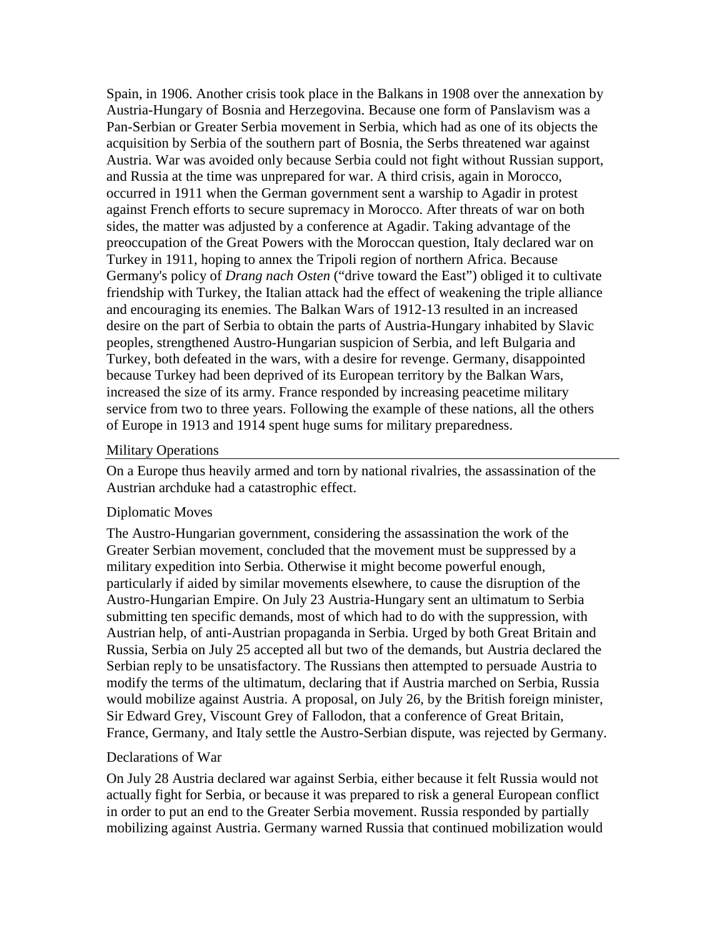Spain, in 1906. Another crisis took place in the Balkans in 1908 over the annexation by Austria-Hungary of Bosnia and Herzegovina. Because one form of Panslavism was a Pan-Serbian or Greater Serbia movement in Serbia, which had as one of its objects the acquisition by Serbia of the southern part of Bosnia, the Serbs threatened war against Austria. War was avoided only because Serbia could not fight without Russian support, and Russia at the time was unprepared for war. A third crisis, again in Morocco, occurred in 1911 when the German government sent a warship to Agadir in protest against French efforts to secure supremacy in Morocco. After threats of war on both sides, the matter was adjusted by a conference at Agadir. Taking advantage of the preoccupation of the Great Powers with the Moroccan question, Italy declared war on Turkey in 1911, hoping to annex the Tripoli region of northern Africa. Because Germany's policy of *Drang nach Osten* ("drive toward the East") obliged it to cultivate friendship with Turkey, the Italian attack had the effect of weakening the triple alliance and encouraging its enemies. The Balkan Wars of 1912-13 resulted in an increased desire on the part of Serbia to obtain the parts of Austria-Hungary inhabited by Slavic peoples, strengthened Austro-Hungarian suspicion of Serbia, and left Bulgaria and Turkey, both defeated in the wars, with a desire for revenge. Germany, disappointed because Turkey had been deprived of its European territory by the Balkan Wars, increased the size of its army. France responded by increasing peacetime military service from two to three years. Following the example of these nations, all the others of Europe in 1913 and 1914 spent huge sums for military preparedness.

#### Military Operations

On a Europe thus heavily armed and torn by national rivalries, the assassination of the Austrian archduke had a catastrophic effect.

#### Diplomatic Moves

The Austro-Hungarian government, considering the assassination the work of the Greater Serbian movement, concluded that the movement must be suppressed by a military expedition into Serbia. Otherwise it might become powerful enough, particularly if aided by similar movements elsewhere, to cause the disruption of the Austro-Hungarian Empire. On July 23 Austria-Hungary sent an ultimatum to Serbia submitting ten specific demands, most of which had to do with the suppression, with Austrian help, of anti-Austrian propaganda in Serbia. Urged by both Great Britain and Russia, Serbia on July 25 accepted all but two of the demands, but Austria declared the Serbian reply to be unsatisfactory. The Russians then attempted to persuade Austria to modify the terms of the ultimatum, declaring that if Austria marched on Serbia, Russia would mobilize against Austria. A proposal, on July 26, by the British foreign minister, Sir Edward Grey, Viscount Grey of Fallodon, that a conference of Great Britain, France, Germany, and Italy settle the Austro-Serbian dispute, was rejected by Germany.

#### Declarations of War

On July 28 Austria declared war against Serbia, either because it felt Russia would not actually fight for Serbia, or because it was prepared to risk a general European conflict in order to put an end to the Greater Serbia movement. Russia responded by partially mobilizing against Austria. Germany warned Russia that continued mobilization would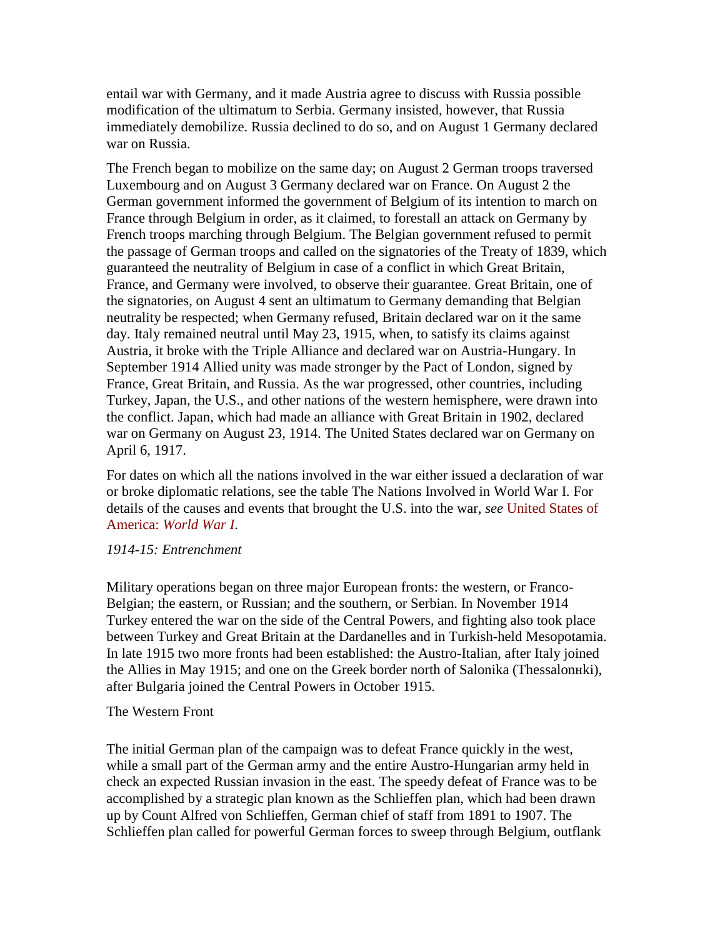entail war with Germany, and it made Austria agree to discuss with Russia possible modification of the ultimatum to Serbia. Germany insisted, however, that Russia immediately demobilize. Russia declined to do so, and on August 1 Germany declared war on Russia.

The French began to mobilize on the same day; on August 2 German troops traversed Luxembourg and on August 3 Germany declared war on France. On August 2 the German government informed the government of Belgium of its intention to march on France through Belgium in order, as it claimed, to forestall an attack on Germany by French troops marching through Belgium. The Belgian government refused to permit the passage of German troops and called on the signatories of the Treaty of 1839, which guaranteed the neutrality of Belgium in case of a conflict in which Great Britain, France, and Germany were involved, to observe their guarantee. Great Britain, one of the signatories, on August 4 sent an ultimatum to Germany demanding that Belgian neutrality be respected; when Germany refused, Britain declared war on it the same day. Italy remained neutral until May 23, 1915, when, to satisfy its claims against Austria, it broke with the Triple Alliance and declared war on Austria-Hungary. In September 1914 Allied unity was made stronger by the Pact of London, signed by France, Great Britain, and Russia. As the war progressed, other countries, including Turkey, Japan, the U.S., and other nations of the western hemisphere, were drawn into the conflict. Japan, which had made an alliance with Great Britain in 1902, declared war on Germany on August 23, 1914. The United States declared war on Germany on April 6, 1917.

For dates on which all the nations involved in the war either issued a declaration of war or broke diplomatic relations, see the table The Nations Involved in World War I. For details of the causes and events that brought the U.S. into the war, *see* United States of America: *World War I*.

# *1914-15: Entrenchment*

Military operations began on three major European fronts: the western, or Franco-Belgian; the eastern, or Russian; and the southern, or Serbian. In November 1914 Turkey entered the war on the side of the Central Powers, and fighting also took place between Turkey and Great Britain at the Dardanelles and in Turkish-held Mesopotamia. In late 1915 two more fronts had been established: the Austro-Italian, after Italy joined the Allies in May 1915; and one on the Greek border north of Salonika (Thessalonнki), after Bulgaria joined the Central Powers in October 1915.

# The Western Front

The initial German plan of the campaign was to defeat France quickly in the west, while a small part of the German army and the entire Austro-Hungarian army held in check an expected Russian invasion in the east. The speedy defeat of France was to be accomplished by a strategic plan known as the Schlieffen plan, which had been drawn up by Count Alfred von Schlieffen, German chief of staff from 1891 to 1907. The Schlieffen plan called for powerful German forces to sweep through Belgium, outflank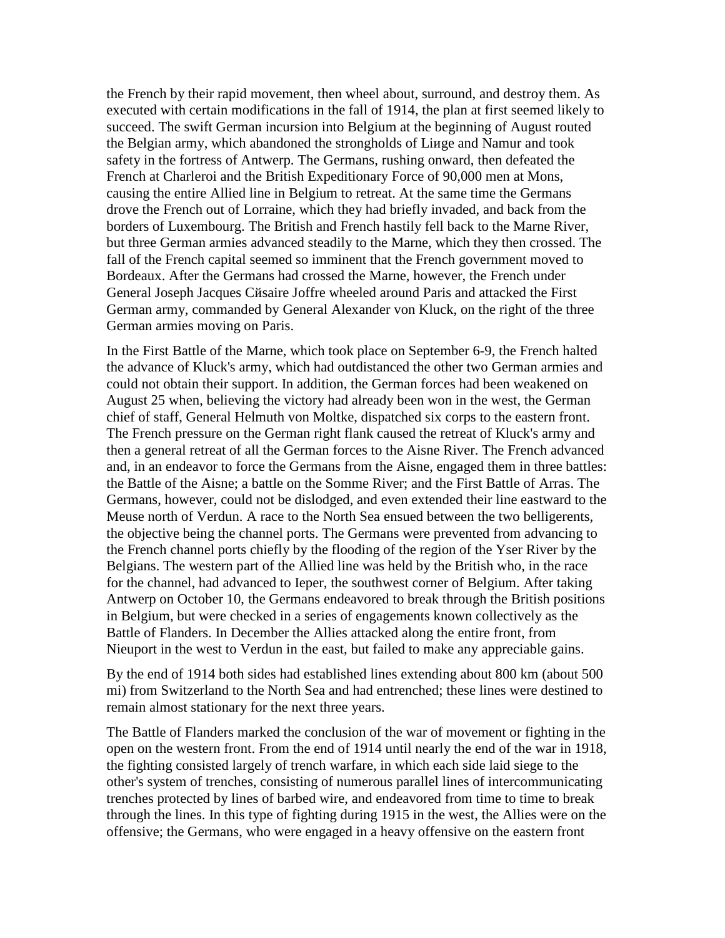the French by their rapid movement, then wheel about, surround, and destroy them. As executed with certain modifications in the fall of 1914, the plan at first seemed likely to succeed. The swift German incursion into Belgium at the beginning of August routed the Belgian army, which abandoned the strongholds of Liиge and Namur and took safety in the fortress of Antwerp. The Germans, rushing onward, then defeated the French at Charleroi and the British Expeditionary Force of 90,000 men at Mons, causing the entire Allied line in Belgium to retreat. At the same time the Germans drove the French out of Lorraine, which they had briefly invaded, and back from the borders of Luxembourg. The British and French hastily fell back to the Marne River, but three German armies advanced steadily to the Marne, which they then crossed. The fall of the French capital seemed so imminent that the French government moved to Bordeaux. After the Germans had crossed the Marne, however, the French under General Joseph Jacques Cйsaire Joffre wheeled around Paris and attacked the First German army, commanded by General Alexander von Kluck, on the right of the three German armies moving on Paris.

In the First Battle of the Marne, which took place on September 6-9, the French halted the advance of Kluck's army, which had outdistanced the other two German armies and could not obtain their support. In addition, the German forces had been weakened on August 25 when, believing the victory had already been won in the west, the German chief of staff, General Helmuth von Moltke, dispatched six corps to the eastern front. The French pressure on the German right flank caused the retreat of Kluck's army and then a general retreat of all the German forces to the Aisne River. The French advanced and, in an endeavor to force the Germans from the Aisne, engaged them in three battles: the Battle of the Aisne; a battle on the Somme River; and the First Battle of Arras. The Germans, however, could not be dislodged, and even extended their line eastward to the Meuse north of Verdun. A race to the North Sea ensued between the two belligerents, the objective being the channel ports. The Germans were prevented from advancing to the French channel ports chiefly by the flooding of the region of the Yser River by the Belgians. The western part of the Allied line was held by the British who, in the race for the channel, had advanced to Ieper, the southwest corner of Belgium. After taking Antwerp on October 10, the Germans endeavored to break through the British positions in Belgium, but were checked in a series of engagements known collectively as the Battle of Flanders. In December the Allies attacked along the entire front, from Nieuport in the west to Verdun in the east, but failed to make any appreciable gains.

By the end of 1914 both sides had established lines extending about 800 km (about 500 mi) from Switzerland to the North Sea and had entrenched; these lines were destined to remain almost stationary for the next three years.

The Battle of Flanders marked the conclusion of the war of movement or fighting in the open on the western front. From the end of 1914 until nearly the end of the war in 1918, the fighting consisted largely of trench warfare, in which each side laid siege to the other's system of trenches, consisting of numerous parallel lines of intercommunicating trenches protected by lines of barbed wire, and endeavored from time to time to break through the lines. In this type of fighting during 1915 in the west, the Allies were on the offensive; the Germans, who were engaged in a heavy offensive on the eastern front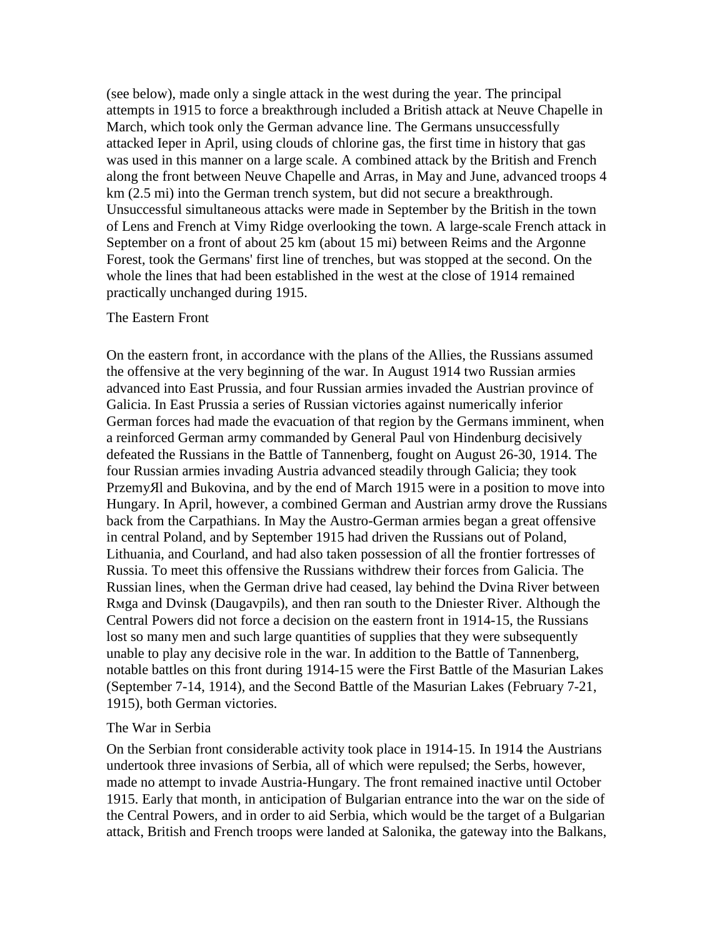(see below), made only a single attack in the west during the year. The principal attempts in 1915 to force a breakthrough included a British attack at Neuve Chapelle in March, which took only the German advance line. The Germans unsuccessfully attacked Ieper in April, using clouds of chlorine gas, the first time in history that gas was used in this manner on a large scale. A combined attack by the British and French along the front between Neuve Chapelle and Arras, in May and June, advanced troops 4 km (2.5 mi) into the German trench system, but did not secure a breakthrough. Unsuccessful simultaneous attacks were made in September by the British in the town of Lens and French at Vimy Ridge overlooking the town. A large-scale French attack in September on a front of about 25 km (about 15 mi) between Reims and the Argonne Forest, took the Germans' first line of trenches, but was stopped at the second. On the whole the lines that had been established in the west at the close of 1914 remained practically unchanged during 1915.

#### The Eastern Front

On the eastern front, in accordance with the plans of the Allies, the Russians assumed the offensive at the very beginning of the war. In August 1914 two Russian armies advanced into East Prussia, and four Russian armies invaded the Austrian province of Galicia. In East Prussia a series of Russian victories against numerically inferior German forces had made the evacuation of that region by the Germans imminent, when a reinforced German army commanded by General Paul von Hindenburg decisively defeated the Russians in the Battle of Tannenberg, fought on August 26-30, 1914. The four Russian armies invading Austria advanced steadily through Galicia; they took Przemy I and Bukovina, and by the end of March 1915 were in a position to move into Hungary. In April, however, a combined German and Austrian army drove the Russians back from the Carpathians. In May the Austro-German armies began a great offensive in central Poland, and by September 1915 had driven the Russians out of Poland, Lithuania, and Courland, and had also taken possession of all the frontier fortresses of Russia. To meet this offensive the Russians withdrew their forces from Galicia. The Russian lines, when the German drive had ceased, lay behind the Dvina River between Rмga and Dvinsk (Daugavpils), and then ran south to the Dniester River. Although the Central Powers did not force a decision on the eastern front in 1914-15, the Russians lost so many men and such large quantities of supplies that they were subsequently unable to play any decisive role in the war. In addition to the Battle of Tannenberg, notable battles on this front during 1914-15 were the First Battle of the Masurian Lakes (September 7-14, 1914), and the Second Battle of the Masurian Lakes (February 7-21, 1915), both German victories.

#### The War in Serbia

On the Serbian front considerable activity took place in 1914-15. In 1914 the Austrians undertook three invasions of Serbia, all of which were repulsed; the Serbs, however, made no attempt to invade Austria-Hungary. The front remained inactive until October 1915. Early that month, in anticipation of Bulgarian entrance into the war on the side of the Central Powers, and in order to aid Serbia, which would be the target of a Bulgarian attack, British and French troops were landed at Salonika, the gateway into the Balkans,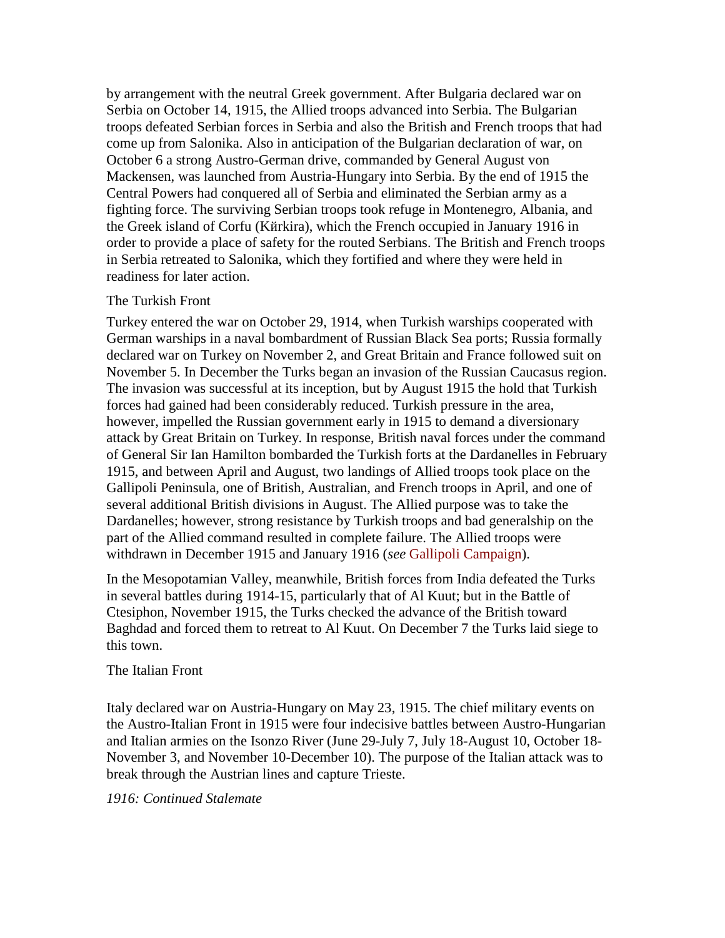by arrangement with the neutral Greek government. After Bulgaria declared war on Serbia on October 14, 1915, the Allied troops advanced into Serbia. The Bulgarian troops defeated Serbian forces in Serbia and also the British and French troops that had come up from Salonika. Also in anticipation of the Bulgarian declaration of war, on October 6 a strong Austro-German drive, commanded by General August von Mackensen, was launched from Austria-Hungary into Serbia. By the end of 1915 the Central Powers had conquered all of Serbia and eliminated the Serbian army as a fighting force. The surviving Serbian troops took refuge in Montenegro, Albania, and the Greek island of Corfu (Kйrkira), which the French occupied in January 1916 in order to provide a place of safety for the routed Serbians. The British and French troops in Serbia retreated to Salonika, which they fortified and where they were held in readiness for later action.

#### The Turkish Front

Turkey entered the war on October 29, 1914, when Turkish warships cooperated with German warships in a naval bombardment of Russian Black Sea ports; Russia formally declared war on Turkey on November 2, and Great Britain and France followed suit on November 5. In December the Turks began an invasion of the Russian Caucasus region. The invasion was successful at its inception, but by August 1915 the hold that Turkish forces had gained had been considerably reduced. Turkish pressure in the area, however, impelled the Russian government early in 1915 to demand a diversionary attack by Great Britain on Turkey. In response, British naval forces under the command of General Sir Ian Hamilton bombarded the Turkish forts at the Dardanelles in February 1915, and between April and August, two landings of Allied troops took place on the Gallipoli Peninsula, one of British, Australian, and French troops in April, and one of several additional British divisions in August. The Allied purpose was to take the Dardanelles; however, strong resistance by Turkish troops and bad generalship on the part of the Allied command resulted in complete failure. The Allied troops were withdrawn in December 1915 and January 1916 (*see* Gallipoli Campaign).

In the Mesopotamian Valley, meanwhile, British forces from India defeated the Turks in several battles during 1914-15, particularly that of Al Kuut; but in the Battle of Ctesiphon, November 1915, the Turks checked the advance of the British toward Baghdad and forced them to retreat to Al Kuut. On December 7 the Turks laid siege to this town.

# The Italian Front

Italy declared war on Austria-Hungary on May 23, 1915. The chief military events on the Austro-Italian Front in 1915 were four indecisive battles between Austro-Hungarian and Italian armies on the Isonzo River (June 29-July 7, July 18-August 10, October 18- November 3, and November 10-December 10). The purpose of the Italian attack was to break through the Austrian lines and capture Trieste.

# *1916: Continued Stalemate*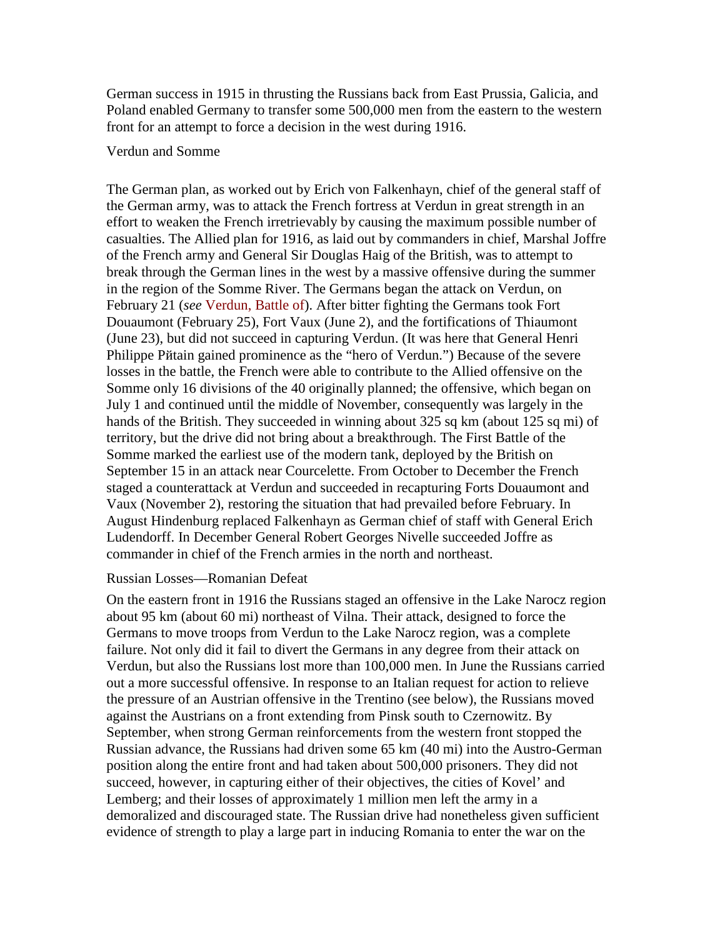German success in 1915 in thrusting the Russians back from East Prussia, Galicia, and Poland enabled Germany to transfer some 500,000 men from the eastern to the western front for an attempt to force a decision in the west during 1916.

#### Verdun and Somme

The German plan, as worked out by Erich von Falkenhayn, chief of the general staff of the German army, was to attack the French fortress at Verdun in great strength in an effort to weaken the French irretrievably by causing the maximum possible number of casualties. The Allied plan for 1916, as laid out by commanders in chief, Marshal Joffre of the French army and General Sir Douglas Haig of the British, was to attempt to break through the German lines in the west by a massive offensive during the summer in the region of the Somme River. The Germans began the attack on Verdun, on February 21 (*see* Verdun, Battle of). After bitter fighting the Germans took Fort Douaumont (February 25), Fort Vaux (June 2), and the fortifications of Thiaumont (June 23), but did not succeed in capturing Verdun. (It was here that General Henri Philippe Pйtain gained prominence as the "hero of Verdun.") Because of the severe losses in the battle, the French were able to contribute to the Allied offensive on the Somme only 16 divisions of the 40 originally planned; the offensive, which began on July 1 and continued until the middle of November, consequently was largely in the hands of the British. They succeeded in winning about 325 sq km (about 125 sq mi) of territory, but the drive did not bring about a breakthrough. The First Battle of the Somme marked the earliest use of the modern tank, deployed by the British on September 15 in an attack near Courcelette. From October to December the French staged a counterattack at Verdun and succeeded in recapturing Forts Douaumont and Vaux (November 2), restoring the situation that had prevailed before February. In August Hindenburg replaced Falkenhayn as German chief of staff with General Erich Ludendorff. In December General Robert Georges Nivelle succeeded Joffre as commander in chief of the French armies in the north and northeast.

#### Russian Losses—Romanian Defeat

On the eastern front in 1916 the Russians staged an offensive in the Lake Narocz region about 95 km (about 60 mi) northeast of Vilna. Their attack, designed to force the Germans to move troops from Verdun to the Lake Narocz region, was a complete failure. Not only did it fail to divert the Germans in any degree from their attack on Verdun, but also the Russians lost more than 100,000 men. In June the Russians carried out a more successful offensive. In response to an Italian request for action to relieve the pressure of an Austrian offensive in the Trentino (see below), the Russians moved against the Austrians on a front extending from Pinsk south to Czernowitz. By September, when strong German reinforcements from the western front stopped the Russian advance, the Russians had driven some 65 km (40 mi) into the Austro-German position along the entire front and had taken about 500,000 prisoners. They did not succeed, however, in capturing either of their objectives, the cities of Kovel' and Lemberg; and their losses of approximately 1 million men left the army in a demoralized and discouraged state. The Russian drive had nonetheless given sufficient evidence of strength to play a large part in inducing Romania to enter the war on the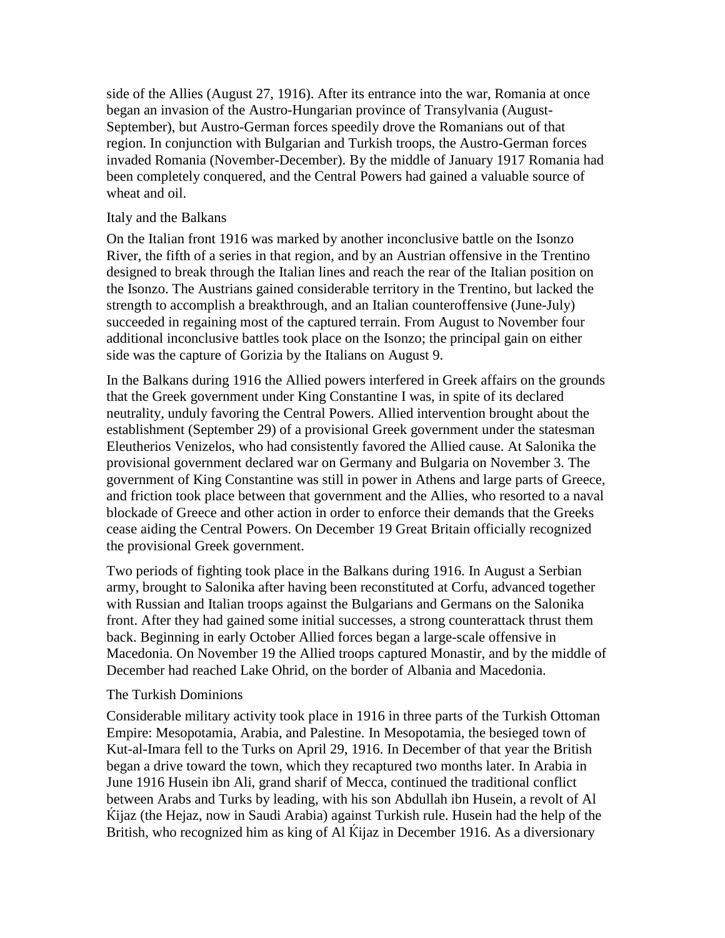side of the Allies (August 27, 1916). After its entrance into the war, Romania at once began an invasion of the Austro-Hungarian province of Transylvania (August-September), but Austro-German forces speedily drove the Romanians out of that region. In conjunction with Bulgarian and Turkish troops, the Austro-German forces invaded Romania (November-December). By the middle of January 1917 Romania had been completely conquered, and the Central Powers had gained a valuable source of wheat and oil.

# Italy and the Balkans

On the Italian front 1916 was marked by another inconclusive battle on the Isonzo River, the fifth of a series in that region, and by an Austrian offensive in the Trentino designed to break through the Italian lines and reach the rear of the Italian position on the Isonzo. The Austrians gained considerable territory in the Trentino, but lacked the strength to accomplish a breakthrough, and an Italian counteroffensive (June-July) succeeded in regaining most of the captured terrain. From August to November four additional inconclusive battles took place on the Isonzo; the principal gain on either side was the capture of Gorizia by the Italians on August 9.

In the Balkans during 1916 the Allied powers interfered in Greek affairs on the grounds that the Greek government under King Constantine I was, in spite of its declared neutrality, unduly favoring the Central Powers. Allied intervention brought about the establishment (September 29) of a provisional Greek government under the statesman Eleutherios Venizelos, who had consistently favored the Allied cause. At Salonika the provisional government declared war on Germany and Bulgaria on November 3. The government of King Constantine was still in power in Athens and large parts of Greece, and friction took place between that government and the Allies, who resorted to a naval blockade of Greece and other action in order to enforce their demands that the Greeks cease aiding the Central Powers. On December 19 Great Britain officially recognized the provisional Greek government.

Two periods of fighting took place in the Balkans during 1916. In August a Serbian army, brought to Salonika after having been reconstituted at Corfu, advanced together with Russian and Italian troops against the Bulgarians and Germans on the Salonika front. After they had gained some initial successes, a strong counterattack thrust them back. Beginning in early October Allied forces began a large-scale offensive in Macedonia. On November 19 the Allied troops captured Monastir, and by the middle of December had reached Lake Ohrid, on the border of Albania and Macedonia.

# The Turkish Dominions

Considerable military activity took place in 1916 in three parts of the Turkish Ottoman Empire: Mesopotamia, Arabia, and Palestine. In Mesopotamia, the besieged town of Kut-al-Imara fell to the Turks on April 29, 1916. In December of that year the British began a drive toward the town, which they recaptured two months later. In Arabia in June 1916 Husein ibn Ali, grand sharif of Mecca, continued the traditional conflict between Arabs and Turks by leading, with his son Abdullah ibn Husein, a revolt of Al Ќijaz (the Hejaz, now in Saudi Arabia) against Turkish rule. Husein had the help of the British, who recognized him as king of Al Ќijaz in December 1916. As a diversionary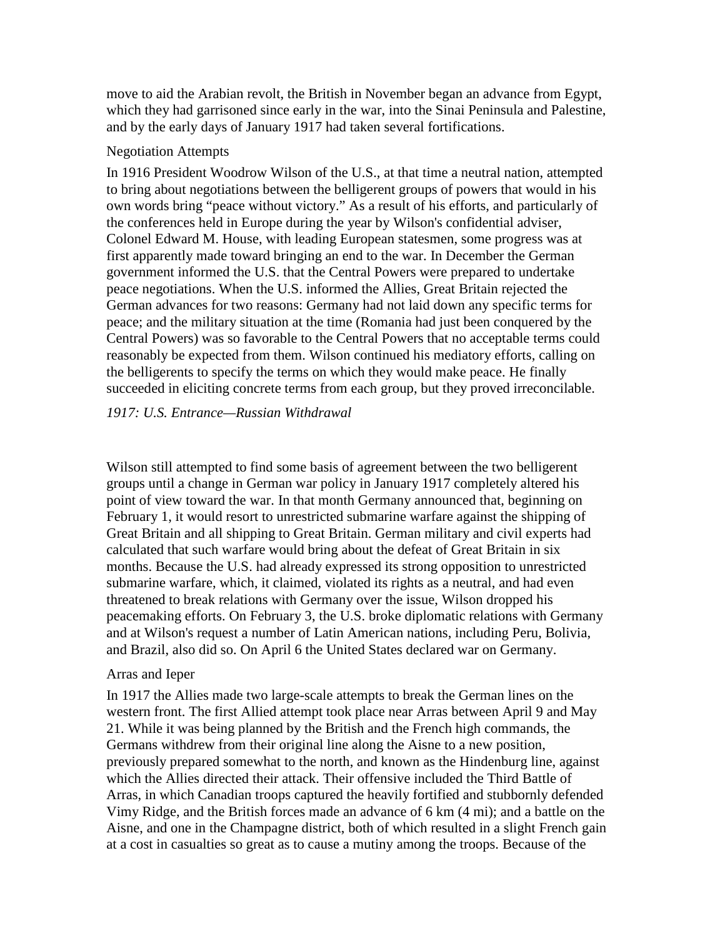move to aid the Arabian revolt, the British in November began an advance from Egypt, which they had garrisoned since early in the war, into the Sinai Peninsula and Palestine, and by the early days of January 1917 had taken several fortifications.

### Negotiation Attempts

In 1916 President Woodrow Wilson of the U.S., at that time a neutral nation, attempted to bring about negotiations between the belligerent groups of powers that would in his own words bring "peace without victory." As a result of his efforts, and particularly of the conferences held in Europe during the year by Wilson's confidential adviser, Colonel Edward M. House, with leading European statesmen, some progress was at first apparently made toward bringing an end to the war. In December the German government informed the U.S. that the Central Powers were prepared to undertake peace negotiations. When the U.S. informed the Allies, Great Britain rejected the German advances for two reasons: Germany had not laid down any specific terms for peace; and the military situation at the time (Romania had just been conquered by the Central Powers) was so favorable to the Central Powers that no acceptable terms could reasonably be expected from them. Wilson continued his mediatory efforts, calling on the belligerents to specify the terms on which they would make peace. He finally succeeded in eliciting concrete terms from each group, but they proved irreconcilable.

# *1917: U.S. Entrance—Russian Withdrawal*

Wilson still attempted to find some basis of agreement between the two belligerent groups until a change in German war policy in January 1917 completely altered his point of view toward the war. In that month Germany announced that, beginning on February 1, it would resort to unrestricted submarine warfare against the shipping of Great Britain and all shipping to Great Britain. German military and civil experts had calculated that such warfare would bring about the defeat of Great Britain in six months. Because the U.S. had already expressed its strong opposition to unrestricted submarine warfare, which, it claimed, violated its rights as a neutral, and had even threatened to break relations with Germany over the issue, Wilson dropped his peacemaking efforts. On February 3, the U.S. broke diplomatic relations with Germany and at Wilson's request a number of Latin American nations, including Peru, Bolivia, and Brazil, also did so. On April 6 the United States declared war on Germany.

# Arras and Ieper

In 1917 the Allies made two large-scale attempts to break the German lines on the western front. The first Allied attempt took place near Arras between April 9 and May 21. While it was being planned by the British and the French high commands, the Germans withdrew from their original line along the Aisne to a new position, previously prepared somewhat to the north, and known as the Hindenburg line, against which the Allies directed their attack. Their offensive included the Third Battle of Arras, in which Canadian troops captured the heavily fortified and stubbornly defended Vimy Ridge, and the British forces made an advance of 6 km (4 mi); and a battle on the Aisne, and one in the Champagne district, both of which resulted in a slight French gain at a cost in casualties so great as to cause a mutiny among the troops. Because of the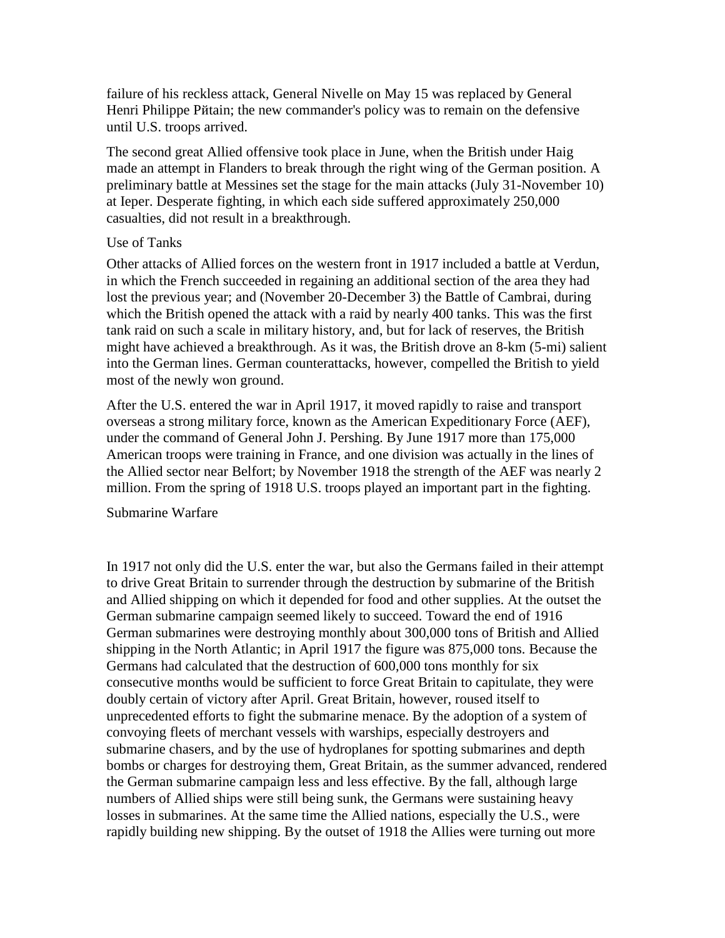failure of his reckless attack, General Nivelle on May 15 was replaced by General Henri Philippe Pйtain; the new commander's policy was to remain on the defensive until U.S. troops arrived.

The second great Allied offensive took place in June, when the British under Haig made an attempt in Flanders to break through the right wing of the German position. A preliminary battle at Messines set the stage for the main attacks (July 31-November 10) at Ieper. Desperate fighting, in which each side suffered approximately 250,000 casualties, did not result in a breakthrough.

### Use of Tanks

Other attacks of Allied forces on the western front in 1917 included a battle at Verdun, in which the French succeeded in regaining an additional section of the area they had lost the previous year; and (November 20-December 3) the Battle of Cambrai, during which the British opened the attack with a raid by nearly 400 tanks. This was the first tank raid on such a scale in military history, and, but for lack of reserves, the British might have achieved a breakthrough. As it was, the British drove an 8-km (5-mi) salient into the German lines. German counterattacks, however, compelled the British to yield most of the newly won ground.

After the U.S. entered the war in April 1917, it moved rapidly to raise and transport overseas a strong military force, known as the American Expeditionary Force (AEF), under the command of General John J. Pershing. By June 1917 more than 175,000 American troops were training in France, and one division was actually in the lines of the Allied sector near Belfort; by November 1918 the strength of the AEF was nearly 2 million. From the spring of 1918 U.S. troops played an important part in the fighting.

#### Submarine Warfare

In 1917 not only did the U.S. enter the war, but also the Germans failed in their attempt to drive Great Britain to surrender through the destruction by submarine of the British and Allied shipping on which it depended for food and other supplies. At the outset the German submarine campaign seemed likely to succeed. Toward the end of 1916 German submarines were destroying monthly about 300,000 tons of British and Allied shipping in the North Atlantic; in April 1917 the figure was 875,000 tons. Because the Germans had calculated that the destruction of 600,000 tons monthly for six consecutive months would be sufficient to force Great Britain to capitulate, they were doubly certain of victory after April. Great Britain, however, roused itself to unprecedented efforts to fight the submarine menace. By the adoption of a system of convoying fleets of merchant vessels with warships, especially destroyers and submarine chasers, and by the use of hydroplanes for spotting submarines and depth bombs or charges for destroying them, Great Britain, as the summer advanced, rendered the German submarine campaign less and less effective. By the fall, although large numbers of Allied ships were still being sunk, the Germans were sustaining heavy losses in submarines. At the same time the Allied nations, especially the U.S., were rapidly building new shipping. By the outset of 1918 the Allies were turning out more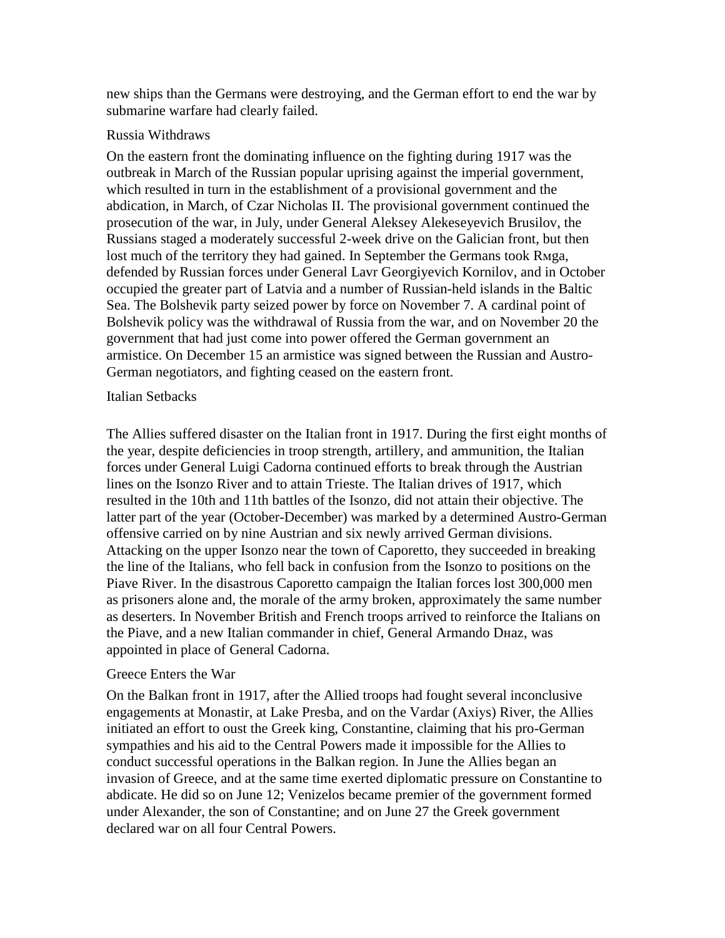new ships than the Germans were destroying, and the German effort to end the war by submarine warfare had clearly failed.

# Russia Withdraws

On the eastern front the dominating influence on the fighting during 1917 was the outbreak in March of the Russian popular uprising against the imperial government, which resulted in turn in the establishment of a provisional government and the abdication, in March, of Czar Nicholas II. The provisional government continued the prosecution of the war, in July, under General Aleksey Alekeseyevich Brusilov, the Russians staged a moderately successful 2-week drive on the Galician front, but then lost much of the territory they had gained. In September the Germans took Rмga, defended by Russian forces under General Lavr Georgiyevich Kornilov, and in October occupied the greater part of Latvia and a number of Russian-held islands in the Baltic Sea. The Bolshevik party seized power by force on November 7. A cardinal point of Bolshevik policy was the withdrawal of Russia from the war, and on November 20 the government that had just come into power offered the German government an armistice. On December 15 an armistice was signed between the Russian and Austro-German negotiators, and fighting ceased on the eastern front.

# Italian Setbacks

The Allies suffered disaster on the Italian front in 1917. During the first eight months of the year, despite deficiencies in troop strength, artillery, and ammunition, the Italian forces under General Luigi Cadorna continued efforts to break through the Austrian lines on the Isonzo River and to attain Trieste. The Italian drives of 1917, which resulted in the 10th and 11th battles of the Isonzo, did not attain their objective. The latter part of the year (October-December) was marked by a determined Austro-German offensive carried on by nine Austrian and six newly arrived German divisions. Attacking on the upper Isonzo near the town of Caporetto, they succeeded in breaking the line of the Italians, who fell back in confusion from the Isonzo to positions on the Piave River. In the disastrous Caporetto campaign the Italian forces lost 300,000 men as prisoners alone and, the morale of the army broken, approximately the same number as deserters. In November British and French troops arrived to reinforce the Italians on the Piave, and a new Italian commander in chief, General Armando Dнaz, was appointed in place of General Cadorna.

# Greece Enters the War

On the Balkan front in 1917, after the Allied troops had fought several inconclusive engagements at Monastir, at Lake Presba, and on the Vardar (Axiуs) River, the Allies initiated an effort to oust the Greek king, Constantine, claiming that his pro-German sympathies and his aid to the Central Powers made it impossible for the Allies to conduct successful operations in the Balkan region. In June the Allies began an invasion of Greece, and at the same time exerted diplomatic pressure on Constantine to abdicate. He did so on June 12; Venizelos became premier of the government formed under Alexander, the son of Constantine; and on June 27 the Greek government declared war on all four Central Powers.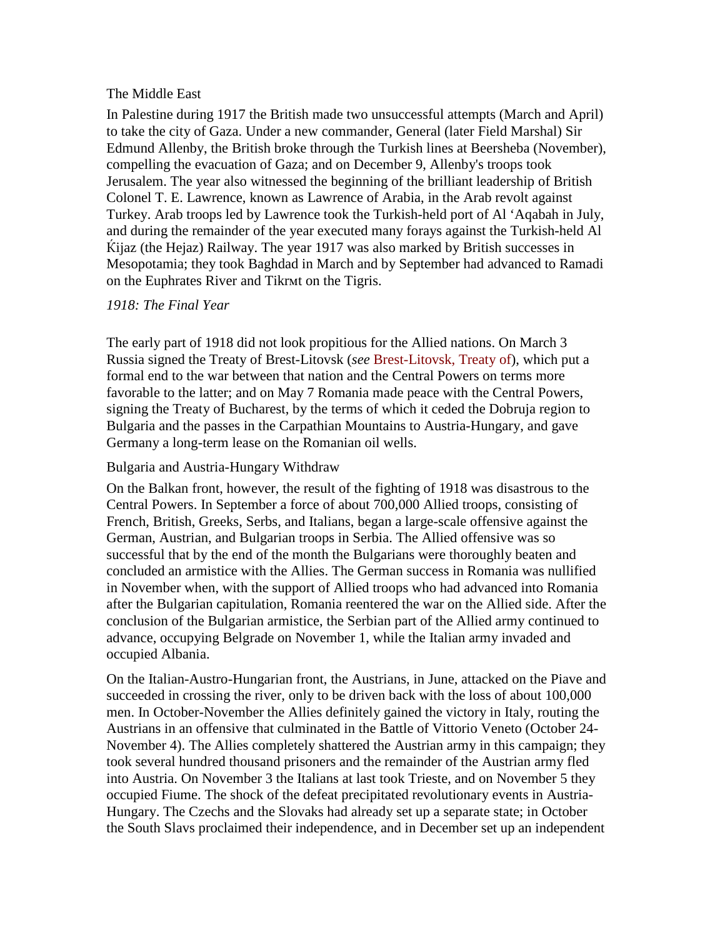# The Middle East

In Palestine during 1917 the British made two unsuccessful attempts (March and April) to take the city of Gaza. Under a new commander, General (later Field Marshal) Sir Edmund Allenby, the British broke through the Turkish lines at Beersheba (November), compelling the evacuation of Gaza; and on December 9, Allenby's troops took Jerusalem. The year also witnessed the beginning of the brilliant leadership of British Colonel T. E. Lawrence, known as Lawrence of Arabia, in the Arab revolt against Turkey. Arab troops led by Lawrence took the Turkish-held port of Al 'Aqabah in July, and during the remainder of the year executed many forays against the Turkish-held Al Ќijaz (the Hejaz) Railway. The year 1917 was also marked by British successes in Mesopotamia; they took Baghdad in March and by September had advanced to Ramadi on the Euphrates River and Tikrмt on the Tigris.

# *1918: The Final Year*

The early part of 1918 did not look propitious for the Allied nations. On March 3 Russia signed the Treaty of Brest-Litovsk (*see* Brest-Litovsk, Treaty of), which put a formal end to the war between that nation and the Central Powers on terms more favorable to the latter; and on May 7 Romania made peace with the Central Powers, signing the Treaty of Bucharest, by the terms of which it ceded the Dobruja region to Bulgaria and the passes in the Carpathian Mountains to Austria-Hungary, and gave Germany a long-term lease on the Romanian oil wells.

# Bulgaria and Austria-Hungary Withdraw

On the Balkan front, however, the result of the fighting of 1918 was disastrous to the Central Powers. In September a force of about 700,000 Allied troops, consisting of French, British, Greeks, Serbs, and Italians, began a large-scale offensive against the German, Austrian, and Bulgarian troops in Serbia. The Allied offensive was so successful that by the end of the month the Bulgarians were thoroughly beaten and concluded an armistice with the Allies. The German success in Romania was nullified in November when, with the support of Allied troops who had advanced into Romania after the Bulgarian capitulation, Romania reentered the war on the Allied side. After the conclusion of the Bulgarian armistice, the Serbian part of the Allied army continued to advance, occupying Belgrade on November 1, while the Italian army invaded and occupied Albania.

On the Italian-Austro-Hungarian front, the Austrians, in June, attacked on the Piave and succeeded in crossing the river, only to be driven back with the loss of about 100,000 men. In October-November the Allies definitely gained the victory in Italy, routing the Austrians in an offensive that culminated in the Battle of Vittorio Veneto (October 24- November 4). The Allies completely shattered the Austrian army in this campaign; they took several hundred thousand prisoners and the remainder of the Austrian army fled into Austria. On November 3 the Italians at last took Trieste, and on November 5 they occupied Fiume. The shock of the defeat precipitated revolutionary events in Austria-Hungary. The Czechs and the Slovaks had already set up a separate state; in October the South Slavs proclaimed their independence, and in December set up an independent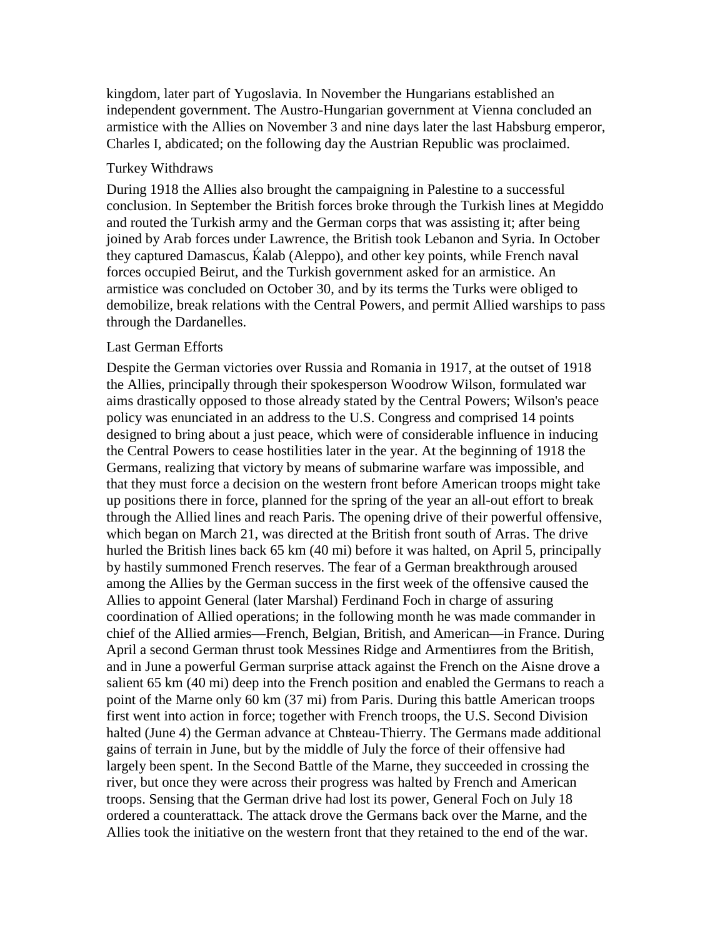kingdom, later part of Yugoslavia. In November the Hungarians established an independent government. The Austro-Hungarian government at Vienna concluded an armistice with the Allies on November 3 and nine days later the last Habsburg emperor, Charles I, abdicated; on the following day the Austrian Republic was proclaimed.

#### Turkey Withdraws

During 1918 the Allies also brought the campaigning in Palestine to a successful conclusion. In September the British forces broke through the Turkish lines at Megiddo and routed the Turkish army and the German corps that was assisting it; after being joined by Arab forces under Lawrence, the British took Lebanon and Syria. In October they captured Damascus, Ќalab (Aleppo), and other key points, while French naval forces occupied Beirut, and the Turkish government asked for an armistice. An armistice was concluded on October 30, and by its terms the Turks were obliged to demobilize, break relations with the Central Powers, and permit Allied warships to pass through the Dardanelles.

#### Last German Efforts

Despite the German victories over Russia and Romania in 1917, at the outset of 1918 the Allies, principally through their spokesperson Woodrow Wilson, formulated war aims drastically opposed to those already stated by the Central Powers; Wilson's peace policy was enunciated in an address to the U.S. Congress and comprised 14 points designed to bring about a just peace, which were of considerable influence in inducing the Central Powers to cease hostilities later in the year. At the beginning of 1918 the Germans, realizing that victory by means of submarine warfare was impossible, and that they must force a decision on the western front before American troops might take up positions there in force, planned for the spring of the year an all-out effort to break through the Allied lines and reach Paris. The opening drive of their powerful offensive, which began on March 21, was directed at the British front south of Arras. The drive hurled the British lines back 65 km (40 mi) before it was halted, on April 5, principally by hastily summoned French reserves. The fear of a German breakthrough aroused among the Allies by the German success in the first week of the offensive caused the Allies to appoint General (later Marshal) Ferdinand Foch in charge of assuring coordination of Allied operations; in the following month he was made commander in chief of the Allied armies—French, Belgian, British, and American—in France. During April a second German thrust took Messines Ridge and Armentiиres from the British, and in June a powerful German surprise attack against the French on the Aisne drove a salient 65 km (40 mi) deep into the French position and enabled the Germans to reach a point of the Marne only 60 km (37 mi) from Paris. During this battle American troops first went into action in force; together with French troops, the U.S. Second Division halted (June 4) the German advance at Chsteau-Thierry. The Germans made additional gains of terrain in June, but by the middle of July the force of their offensive had largely been spent. In the Second Battle of the Marne, they succeeded in crossing the river, but once they were across their progress was halted by French and American troops. Sensing that the German drive had lost its power, General Foch on July 18 ordered a counterattack. The attack drove the Germans back over the Marne, and the Allies took the initiative on the western front that they retained to the end of the war.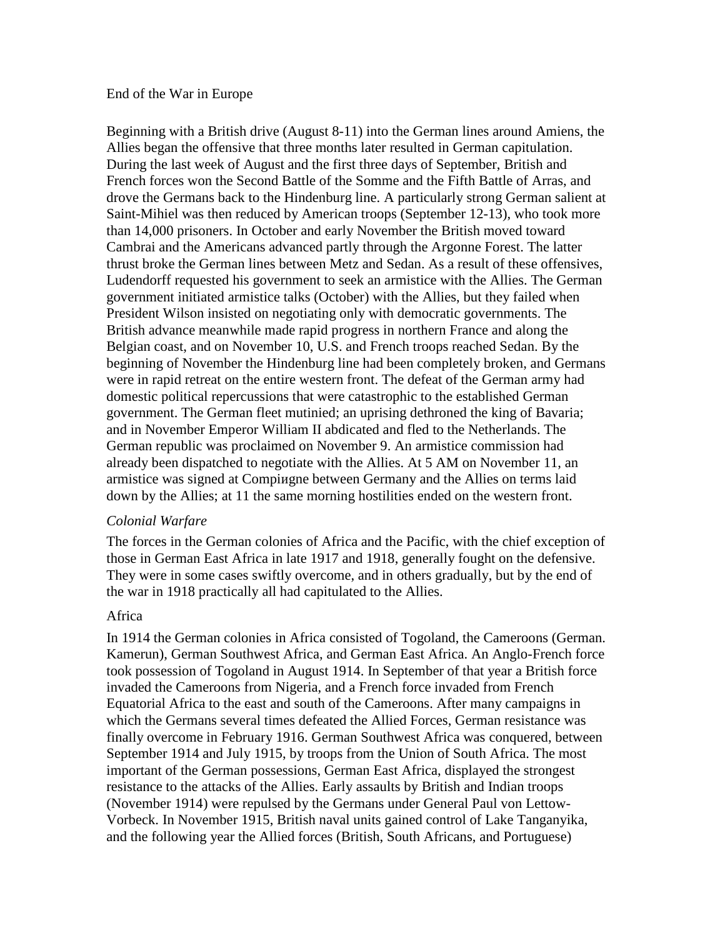### End of the War in Europe

Beginning with a British drive (August 8-11) into the German lines around Amiens, the Allies began the offensive that three months later resulted in German capitulation. During the last week of August and the first three days of September, British and French forces won the Second Battle of the Somme and the Fifth Battle of Arras, and drove the Germans back to the Hindenburg line. A particularly strong German salient at Saint-Mihiel was then reduced by American troops (September 12-13), who took more than 14,000 prisoners. In October and early November the British moved toward Cambrai and the Americans advanced partly through the Argonne Forest. The latter thrust broke the German lines between Metz and Sedan. As a result of these offensives, Ludendorff requested his government to seek an armistice with the Allies. The German government initiated armistice talks (October) with the Allies, but they failed when President Wilson insisted on negotiating only with democratic governments. The British advance meanwhile made rapid progress in northern France and along the Belgian coast, and on November 10, U.S. and French troops reached Sedan. By the beginning of November the Hindenburg line had been completely broken, and Germans were in rapid retreat on the entire western front. The defeat of the German army had domestic political repercussions that were catastrophic to the established German government. The German fleet mutinied; an uprising dethroned the king of Bavaria; and in November Emperor William II abdicated and fled to the Netherlands. The German republic was proclaimed on November 9. An armistice commission had already been dispatched to negotiate with the Allies. At 5 AM on November 11, an armistice was signed at Compiиgne between Germany and the Allies on terms laid down by the Allies; at 11 the same morning hostilities ended on the western front.

# *Colonial Warfare*

The forces in the German colonies of Africa and the Pacific, with the chief exception of those in German East Africa in late 1917 and 1918, generally fought on the defensive. They were in some cases swiftly overcome, and in others gradually, but by the end of the war in 1918 practically all had capitulated to the Allies.

# Africa

In 1914 the German colonies in Africa consisted of Togoland, the Cameroons (German. Kamerun), German Southwest Africa, and German East Africa. An Anglo-French force took possession of Togoland in August 1914. In September of that year a British force invaded the Cameroons from Nigeria, and a French force invaded from French Equatorial Africa to the east and south of the Cameroons. After many campaigns in which the Germans several times defeated the Allied Forces, German resistance was finally overcome in February 1916. German Southwest Africa was conquered, between September 1914 and July 1915, by troops from the Union of South Africa. The most important of the German possessions, German East Africa, displayed the strongest resistance to the attacks of the Allies. Early assaults by British and Indian troops (November 1914) were repulsed by the Germans under General Paul von Lettow-Vorbeck. In November 1915, British naval units gained control of Lake Tanganyika, and the following year the Allied forces (British, South Africans, and Portuguese)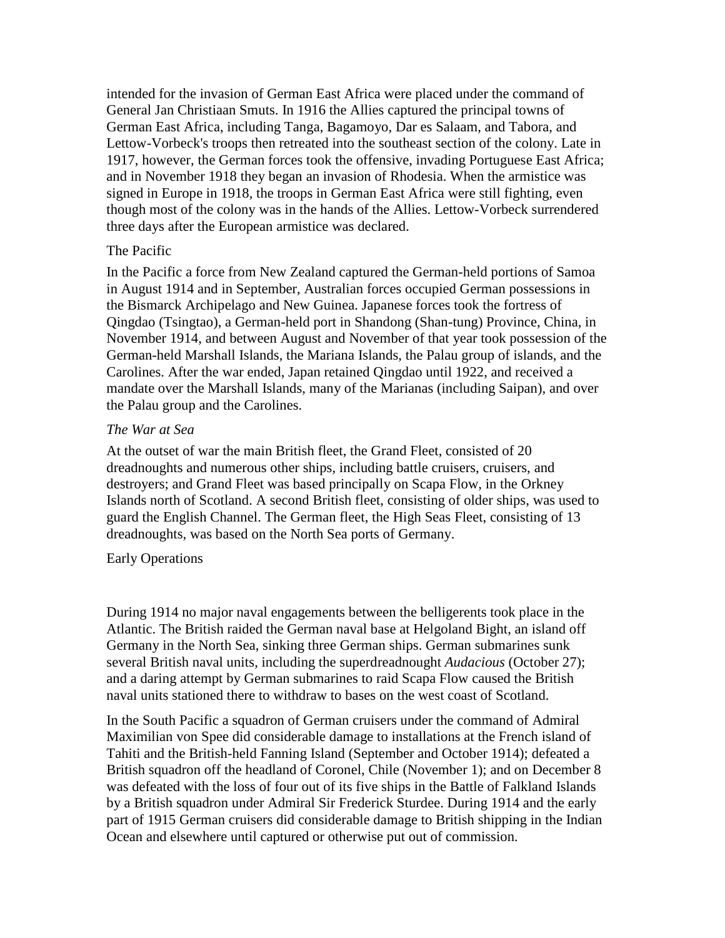intended for the invasion of German East Africa were placed under the command of General Jan Christiaan Smuts. In 1916 the Allies captured the principal towns of German East Africa, including Tanga, Bagamoyo, Dar es Salaam, and Tabora, and Lettow-Vorbeck's troops then retreated into the southeast section of the colony. Late in 1917, however, the German forces took the offensive, invading Portuguese East Africa; and in November 1918 they began an invasion of Rhodesia. When the armistice was signed in Europe in 1918, the troops in German East Africa were still fighting, even though most of the colony was in the hands of the Allies. Lettow-Vorbeck surrendered three days after the European armistice was declared.

### The Pacific

In the Pacific a force from New Zealand captured the German-held portions of Samoa in August 1914 and in September, Australian forces occupied German possessions in the Bismarck Archipelago and New Guinea. Japanese forces took the fortress of Qingdao (Tsingtao), a German-held port in Shandong (Shan-tung) Province, China, in November 1914, and between August and November of that year took possession of the German-held Marshall Islands, the Mariana Islands, the Palau group of islands, and the Carolines. After the war ended, Japan retained Qingdao until 1922, and received a mandate over the Marshall Islands, many of the Marianas (including Saipan), and over the Palau group and the Carolines.

# *The War at Sea*

At the outset of war the main British fleet, the Grand Fleet, consisted of 20 dreadnoughts and numerous other ships, including battle cruisers, cruisers, and destroyers; and Grand Fleet was based principally on Scapa Flow, in the Orkney Islands north of Scotland. A second British fleet, consisting of older ships, was used to guard the English Channel. The German fleet, the High Seas Fleet, consisting of 13 dreadnoughts, was based on the North Sea ports of Germany.

# Early Operations

During 1914 no major naval engagements between the belligerents took place in the Atlantic. The British raided the German naval base at Helgoland Bight, an island off Germany in the North Sea, sinking three German ships. German submarines sunk several British naval units, including the superdreadnought *Audacious* (October 27); and a daring attempt by German submarines to raid Scapa Flow caused the British naval units stationed there to withdraw to bases on the west coast of Scotland.

In the South Pacific a squadron of German cruisers under the command of Admiral Maximilian von Spee did considerable damage to installations at the French island of Tahiti and the British-held Fanning Island (September and October 1914); defeated a British squadron off the headland of Coronel, Chile (November 1); and on December 8 was defeated with the loss of four out of its five ships in the Battle of Falkland Islands by a British squadron under Admiral Sir Frederick Sturdee. During 1914 and the early part of 1915 German cruisers did considerable damage to British shipping in the Indian Ocean and elsewhere until captured or otherwise put out of commission.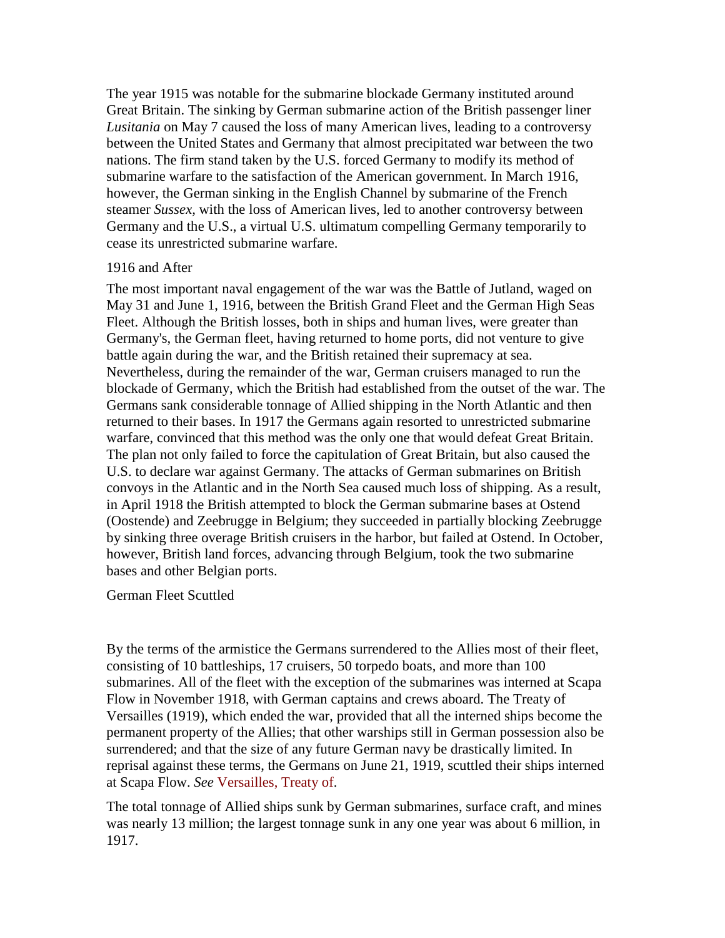The year 1915 was notable for the submarine blockade Germany instituted around Great Britain. The sinking by German submarine action of the British passenger liner *Lusitania* on May 7 caused the loss of many American lives, leading to a controversy between the United States and Germany that almost precipitated war between the two nations. The firm stand taken by the U.S. forced Germany to modify its method of submarine warfare to the satisfaction of the American government. In March 1916, however, the German sinking in the English Channel by submarine of the French steamer *Sussex,* with the loss of American lives, led to another controversy between Germany and the U.S., a virtual U.S. ultimatum compelling Germany temporarily to cease its unrestricted submarine warfare.

### 1916 and After

The most important naval engagement of the war was the Battle of Jutland, waged on May 31 and June 1, 1916, between the British Grand Fleet and the German High Seas Fleet. Although the British losses, both in ships and human lives, were greater than Germany's, the German fleet, having returned to home ports, did not venture to give battle again during the war, and the British retained their supremacy at sea. Nevertheless, during the remainder of the war, German cruisers managed to run the blockade of Germany, which the British had established from the outset of the war. The Germans sank considerable tonnage of Allied shipping in the North Atlantic and then returned to their bases. In 1917 the Germans again resorted to unrestricted submarine warfare, convinced that this method was the only one that would defeat Great Britain. The plan not only failed to force the capitulation of Great Britain, but also caused the U.S. to declare war against Germany. The attacks of German submarines on British convoys in the Atlantic and in the North Sea caused much loss of shipping. As a result, in April 1918 the British attempted to block the German submarine bases at Ostend (Oostende) and Zeebrugge in Belgium; they succeeded in partially blocking Zeebrugge by sinking three overage British cruisers in the harbor, but failed at Ostend. In October, however, British land forces, advancing through Belgium, took the two submarine bases and other Belgian ports.

#### German Fleet Scuttled

By the terms of the armistice the Germans surrendered to the Allies most of their fleet, consisting of 10 battleships, 17 cruisers, 50 torpedo boats, and more than 100 submarines. All of the fleet with the exception of the submarines was interned at Scapa Flow in November 1918, with German captains and crews aboard. The Treaty of Versailles (1919), which ended the war, provided that all the interned ships become the permanent property of the Allies; that other warships still in German possession also be surrendered; and that the size of any future German navy be drastically limited. In reprisal against these terms, the Germans on June 21, 1919, scuttled their ships interned at Scapa Flow. *See* Versailles, Treaty of.

The total tonnage of Allied ships sunk by German submarines, surface craft, and mines was nearly 13 million; the largest tonnage sunk in any one year was about 6 million, in 1917.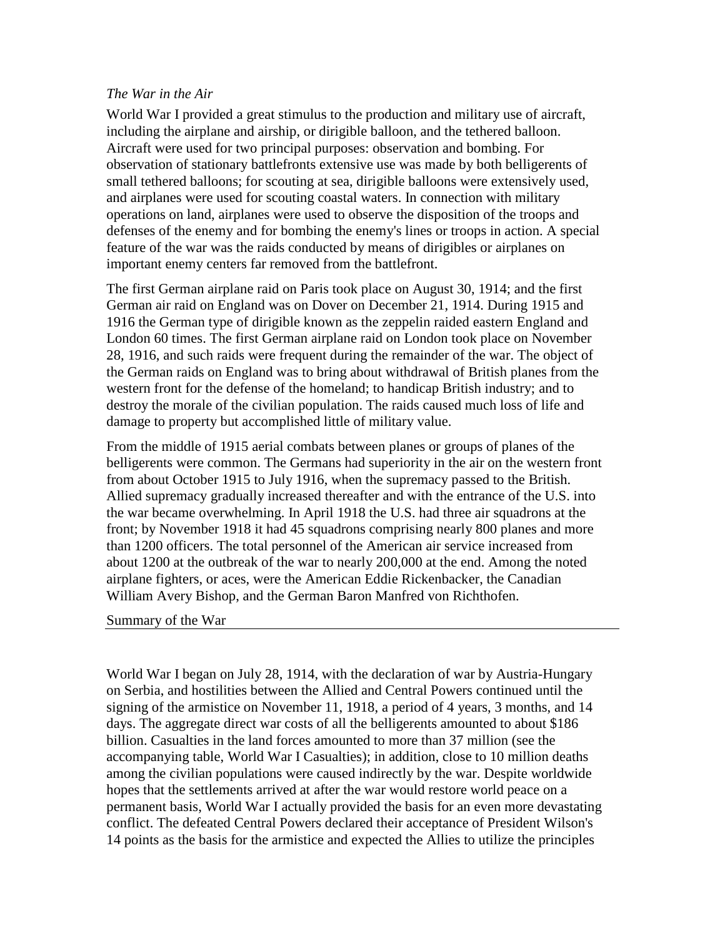# *The War in the Air*

World War I provided a great stimulus to the production and military use of aircraft, including the airplane and airship, or dirigible balloon, and the tethered balloon. Aircraft were used for two principal purposes: observation and bombing. For observation of stationary battlefronts extensive use was made by both belligerents of small tethered balloons; for scouting at sea, dirigible balloons were extensively used, and airplanes were used for scouting coastal waters. In connection with military operations on land, airplanes were used to observe the disposition of the troops and defenses of the enemy and for bombing the enemy's lines or troops in action. A special feature of the war was the raids conducted by means of dirigibles or airplanes on important enemy centers far removed from the battlefront.

The first German airplane raid on Paris took place on August 30, 1914; and the first German air raid on England was on Dover on December 21, 1914. During 1915 and 1916 the German type of dirigible known as the zeppelin raided eastern England and London 60 times. The first German airplane raid on London took place on November 28, 1916, and such raids were frequent during the remainder of the war. The object of the German raids on England was to bring about withdrawal of British planes from the western front for the defense of the homeland; to handicap British industry; and to destroy the morale of the civilian population. The raids caused much loss of life and damage to property but accomplished little of military value.

From the middle of 1915 aerial combats between planes or groups of planes of the belligerents were common. The Germans had superiority in the air on the western front from about October 1915 to July 1916, when the supremacy passed to the British. Allied supremacy gradually increased thereafter and with the entrance of the U.S. into the war became overwhelming. In April 1918 the U.S. had three air squadrons at the front; by November 1918 it had 45 squadrons comprising nearly 800 planes and more than 1200 officers. The total personnel of the American air service increased from about 1200 at the outbreak of the war to nearly 200,000 at the end. Among the noted airplane fighters, or aces, were the American Eddie Rickenbacker, the Canadian William Avery Bishop, and the German Baron Manfred von Richthofen.

#### Summary of the War

World War I began on July 28, 1914, with the declaration of war by Austria-Hungary on Serbia, and hostilities between the Allied and Central Powers continued until the signing of the armistice on November 11, 1918, a period of 4 years, 3 months, and 14 days. The aggregate direct war costs of all the belligerents amounted to about \$186 billion. Casualties in the land forces amounted to more than 37 million (see the accompanying table, World War I Casualties); in addition, close to 10 million deaths among the civilian populations were caused indirectly by the war. Despite worldwide hopes that the settlements arrived at after the war would restore world peace on a permanent basis, World War I actually provided the basis for an even more devastating conflict. The defeated Central Powers declared their acceptance of President Wilson's 14 points as the basis for the armistice and expected the Allies to utilize the principles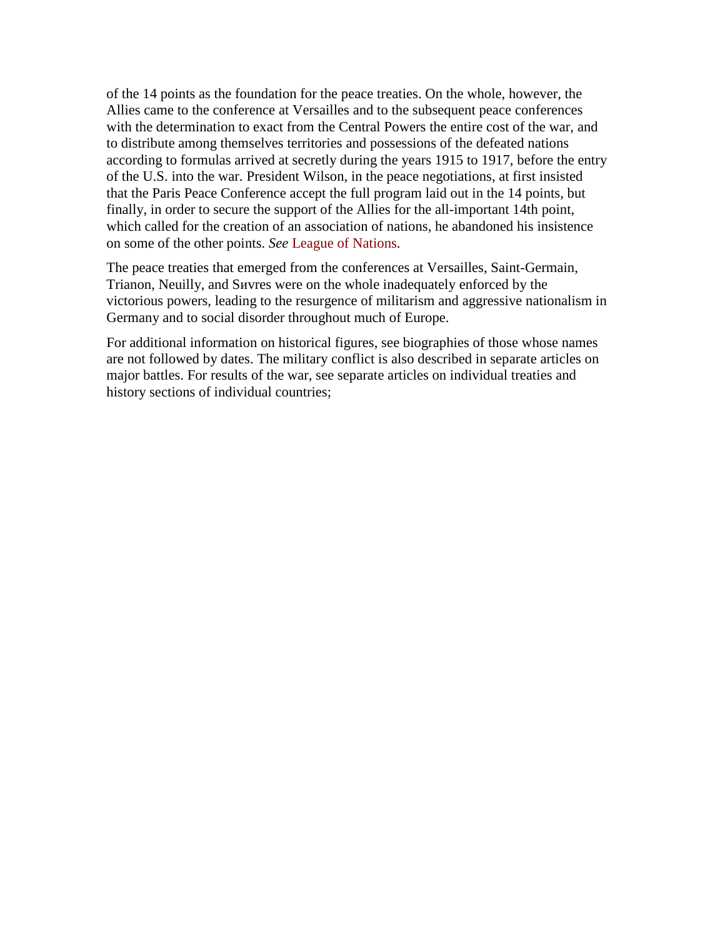of the 14 points as the foundation for the peace treaties. On the whole, however, the Allies came to the conference at Versailles and to the subsequent peace conferences with the determination to exact from the Central Powers the entire cost of the war, and to distribute among themselves territories and possessions of the defeated nations according to formulas arrived at secretly during the years 1915 to 1917, before the entry of the U.S. into the war. President Wilson, in the peace negotiations, at first insisted that the Paris Peace Conference accept the full program laid out in the 14 points, but finally, in order to secure the support of the Allies for the all-important 14th point, which called for the creation of an association of nations, he abandoned his insistence on some of the other points. *See* League of Nations.

The peace treaties that emerged from the conferences at Versailles, Saint-Germain, Trianon, Neuilly, and Sиvres were on the whole inadequately enforced by the victorious powers, leading to the resurgence of militarism and aggressive nationalism in Germany and to social disorder throughout much of Europe.

For additional information on historical figures, see biographies of those whose names are not followed by dates. The military conflict is also described in separate articles on major battles. For results of the war, see separate articles on individual treaties and history sections of individual countries;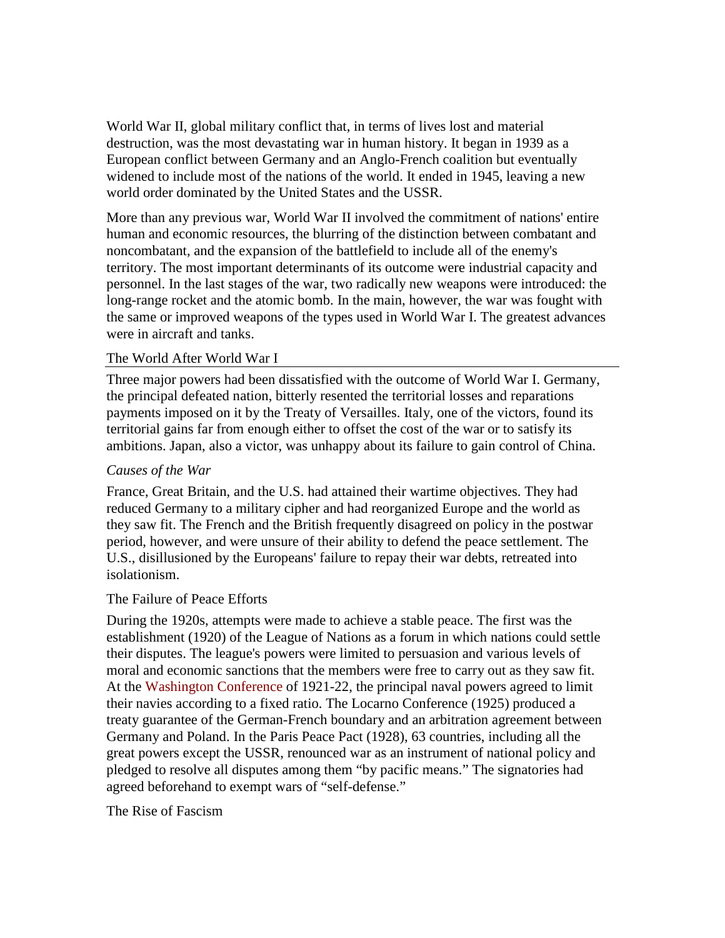World War II, global military conflict that, in terms of lives lost and material destruction, was the most devastating war in human history. It began in 1939 as a European conflict between Germany and an Anglo-French coalition but eventually widened to include most of the nations of the world. It ended in 1945, leaving a new world order dominated by the United States and the USSR.

More than any previous war, World War II involved the commitment of nations' entire human and economic resources, the blurring of the distinction between combatant and noncombatant, and the expansion of the battlefield to include all of the enemy's territory. The most important determinants of its outcome were industrial capacity and personnel. In the last stages of the war, two radically new weapons were introduced: the long-range rocket and the atomic bomb. In the main, however, the war was fought with the same or improved weapons of the types used in World War I. The greatest advances were in aircraft and tanks.

# The World After World War I

Three major powers had been dissatisfied with the outcome of World War I. Germany, the principal defeated nation, bitterly resented the territorial losses and reparations payments imposed on it by the Treaty of Versailles. Italy, one of the victors, found its territorial gains far from enough either to offset the cost of the war or to satisfy its ambitions. Japan, also a victor, was unhappy about its failure to gain control of China.

# *Causes of the War*

France, Great Britain, and the U.S. had attained their wartime objectives. They had reduced Germany to a military cipher and had reorganized Europe and the world as they saw fit. The French and the British frequently disagreed on policy in the postwar period, however, and were unsure of their ability to defend the peace settlement. The U.S., disillusioned by the Europeans' failure to repay their war debts, retreated into isolationism.

# The Failure of Peace Efforts

During the 1920s, attempts were made to achieve a stable peace. The first was the establishment (1920) of the League of Nations as a forum in which nations could settle their disputes. The league's powers were limited to persuasion and various levels of moral and economic sanctions that the members were free to carry out as they saw fit. At the Washington Conference of 1921-22, the principal naval powers agreed to limit their navies according to a fixed ratio. The Locarno Conference (1925) produced a treaty guarantee of the German-French boundary and an arbitration agreement between Germany and Poland. In the Paris Peace Pact (1928), 63 countries, including all the great powers except the USSR, renounced war as an instrument of national policy and pledged to resolve all disputes among them "by pacific means." The signatories had agreed beforehand to exempt wars of "self-defense."

# The Rise of Fascism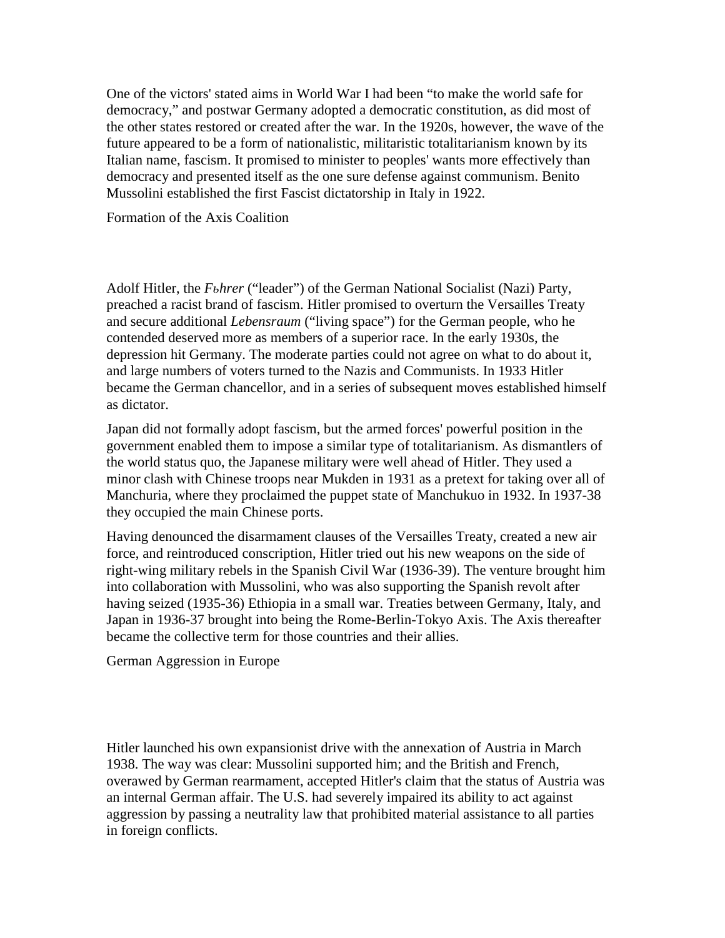One of the victors' stated aims in World War I had been "to make the world safe for democracy," and postwar Germany adopted a democratic constitution, as did most of the other states restored or created after the war. In the 1920s, however, the wave of the future appeared to be a form of nationalistic, militaristic totalitarianism known by its Italian name, fascism. It promised to minister to peoples' wants more effectively than democracy and presented itself as the one sure defense against communism. Benito Mussolini established the first Fascist dictatorship in Italy in 1922.

Formation of the Axis Coalition

Adolf Hitler, the *F*ь*hrer* ("leader") of the German National Socialist (Nazi) Party, preached a racist brand of fascism. Hitler promised to overturn the Versailles Treaty and secure additional *Lebensraum* ("living space") for the German people, who he contended deserved more as members of a superior race. In the early 1930s, the depression hit Germany. The moderate parties could not agree on what to do about it, and large numbers of voters turned to the Nazis and Communists. In 1933 Hitler became the German chancellor, and in a series of subsequent moves established himself as dictator.

Japan did not formally adopt fascism, but the armed forces' powerful position in the government enabled them to impose a similar type of totalitarianism. As dismantlers of the world status quo, the Japanese military were well ahead of Hitler. They used a minor clash with Chinese troops near Mukden in 1931 as a pretext for taking over all of Manchuria, where they proclaimed the puppet state of Manchukuo in 1932. In 1937-38 they occupied the main Chinese ports.

Having denounced the disarmament clauses of the Versailles Treaty, created a new air force, and reintroduced conscription, Hitler tried out his new weapons on the side of right-wing military rebels in the Spanish Civil War (1936-39). The venture brought him into collaboration with Mussolini, who was also supporting the Spanish revolt after having seized (1935-36) Ethiopia in a small war. Treaties between Germany, Italy, and Japan in 1936-37 brought into being the Rome-Berlin-Tokyo Axis. The Axis thereafter became the collective term for those countries and their allies.

German Aggression in Europe

Hitler launched his own expansionist drive with the annexation of Austria in March 1938. The way was clear: Mussolini supported him; and the British and French, overawed by German rearmament, accepted Hitler's claim that the status of Austria was an internal German affair. The U.S. had severely impaired its ability to act against aggression by passing a neutrality law that prohibited material assistance to all parties in foreign conflicts.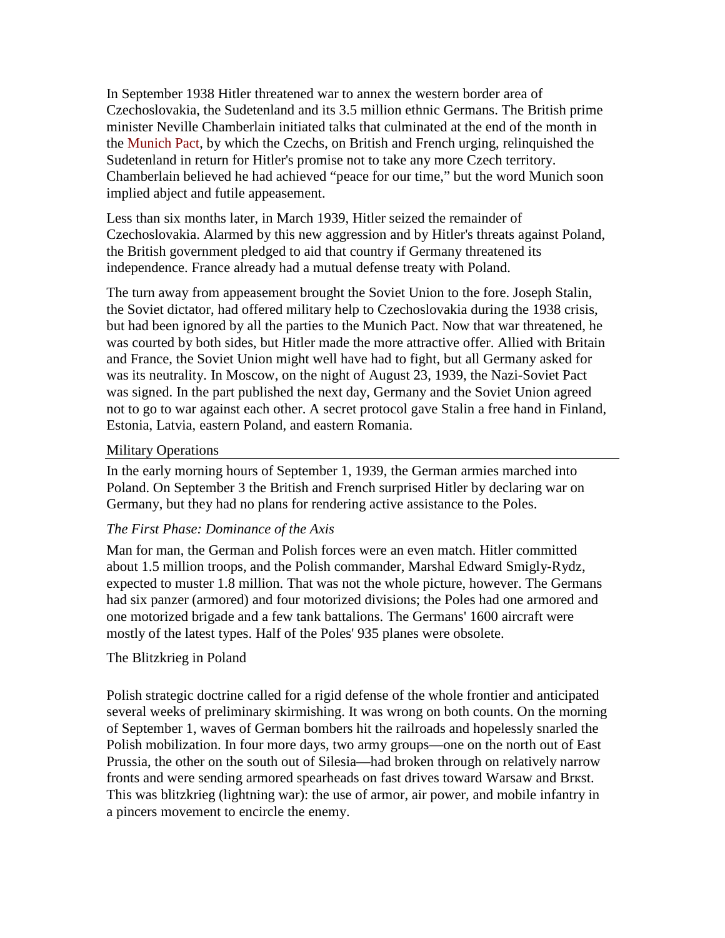In September 1938 Hitler threatened war to annex the western border area of Czechoslovakia, the Sudetenland and its 3.5 million ethnic Germans. The British prime minister Neville Chamberlain initiated talks that culminated at the end of the month in the Munich Pact, by which the Czechs, on British and French urging, relinquished the Sudetenland in return for Hitler's promise not to take any more Czech territory. Chamberlain believed he had achieved "peace for our time," but the word Munich soon implied abject and futile appeasement.

Less than six months later, in March 1939, Hitler seized the remainder of Czechoslovakia. Alarmed by this new aggression and by Hitler's threats against Poland, the British government pledged to aid that country if Germany threatened its independence. France already had a mutual defense treaty with Poland.

The turn away from appeasement brought the Soviet Union to the fore. Joseph Stalin, the Soviet dictator, had offered military help to Czechoslovakia during the 1938 crisis, but had been ignored by all the parties to the Munich Pact. Now that war threatened, he was courted by both sides, but Hitler made the more attractive offer. Allied with Britain and France, the Soviet Union might well have had to fight, but all Germany asked for was its neutrality. In Moscow, on the night of August 23, 1939, the Nazi-Soviet Pact was signed. In the part published the next day, Germany and the Soviet Union agreed not to go to war against each other. A secret protocol gave Stalin a free hand in Finland, Estonia, Latvia, eastern Poland, and eastern Romania.

# Military Operations

In the early morning hours of September 1, 1939, the German armies marched into Poland. On September 3 the British and French surprised Hitler by declaring war on Germany, but they had no plans for rendering active assistance to the Poles.

# *The First Phase: Dominance of the Axis*

Man for man, the German and Polish forces were an even match. Hitler committed about 1.5 million troops, and the Polish commander, Marshal Edward Smigly-Rydz, expected to muster 1.8 million. That was not the whole picture, however. The Germans had six panzer (armored) and four motorized divisions; the Poles had one armored and one motorized brigade and a few tank battalions. The Germans' 1600 aircraft were mostly of the latest types. Half of the Poles' 935 planes were obsolete.

# The Blitzkrieg in Poland

Polish strategic doctrine called for a rigid defense of the whole frontier and anticipated several weeks of preliminary skirmishing. It was wrong on both counts. On the morning of September 1, waves of German bombers hit the railroads and hopelessly snarled the Polish mobilization. In four more days, two army groups—one on the north out of East Prussia, the other on the south out of Silesia—had broken through on relatively narrow fronts and were sending armored spearheads on fast drives toward Warsaw and Brкst. This was blitzkrieg (lightning war): the use of armor, air power, and mobile infantry in a pincers movement to encircle the enemy.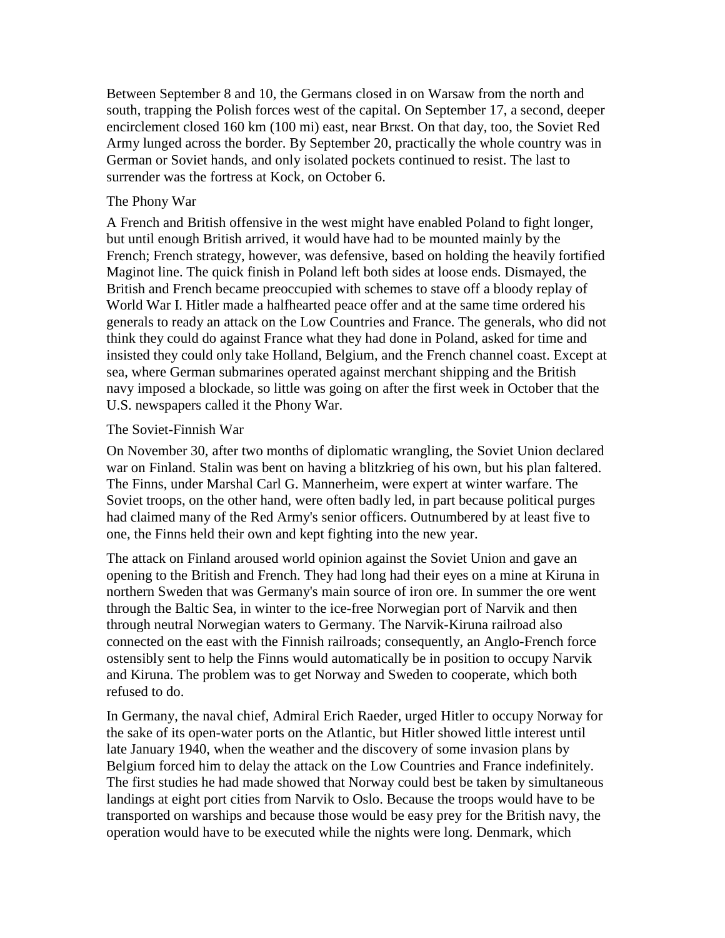Between September 8 and 10, the Germans closed in on Warsaw from the north and south, trapping the Polish forces west of the capital. On September 17, a second, deeper encirclement closed 160 km (100 mi) east, near Brкst. On that day, too, the Soviet Red Army lunged across the border. By September 20, practically the whole country was in German or Soviet hands, and only isolated pockets continued to resist. The last to surrender was the fortress at Kock, on October 6.

# The Phony War

A French and British offensive in the west might have enabled Poland to fight longer, but until enough British arrived, it would have had to be mounted mainly by the French; French strategy, however, was defensive, based on holding the heavily fortified Maginot line. The quick finish in Poland left both sides at loose ends. Dismayed, the British and French became preoccupied with schemes to stave off a bloody replay of World War I. Hitler made a halfhearted peace offer and at the same time ordered his generals to ready an attack on the Low Countries and France. The generals, who did not think they could do against France what they had done in Poland, asked for time and insisted they could only take Holland, Belgium, and the French channel coast. Except at sea, where German submarines operated against merchant shipping and the British navy imposed a blockade, so little was going on after the first week in October that the U.S. newspapers called it the Phony War.

### The Soviet-Finnish War

On November 30, after two months of diplomatic wrangling, the Soviet Union declared war on Finland. Stalin was bent on having a blitzkrieg of his own, but his plan faltered. The Finns, under Marshal Carl G. Mannerheim, were expert at winter warfare. The Soviet troops, on the other hand, were often badly led, in part because political purges had claimed many of the Red Army's senior officers. Outnumbered by at least five to one, the Finns held their own and kept fighting into the new year.

The attack on Finland aroused world opinion against the Soviet Union and gave an opening to the British and French. They had long had their eyes on a mine at Kiruna in northern Sweden that was Germany's main source of iron ore. In summer the ore went through the Baltic Sea, in winter to the ice-free Norwegian port of Narvik and then through neutral Norwegian waters to Germany. The Narvik-Kiruna railroad also connected on the east with the Finnish railroads; consequently, an Anglo-French force ostensibly sent to help the Finns would automatically be in position to occupy Narvik and Kiruna. The problem was to get Norway and Sweden to cooperate, which both refused to do.

In Germany, the naval chief, Admiral Erich Raeder, urged Hitler to occupy Norway for the sake of its open-water ports on the Atlantic, but Hitler showed little interest until late January 1940, when the weather and the discovery of some invasion plans by Belgium forced him to delay the attack on the Low Countries and France indefinitely. The first studies he had made showed that Norway could best be taken by simultaneous landings at eight port cities from Narvik to Oslo. Because the troops would have to be transported on warships and because those would be easy prey for the British navy, the operation would have to be executed while the nights were long. Denmark, which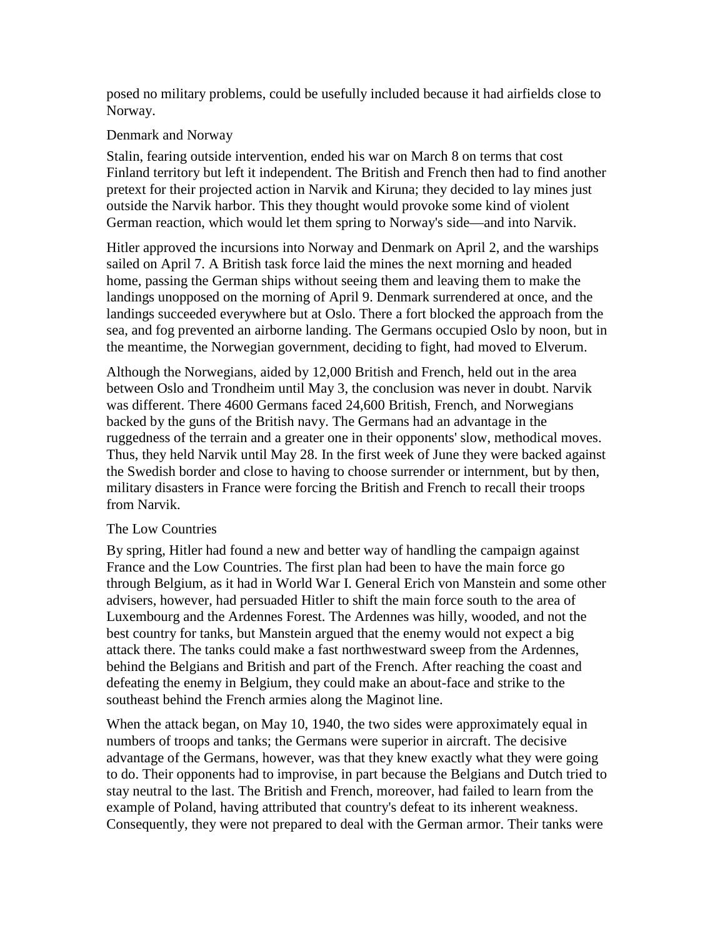posed no military problems, could be usefully included because it had airfields close to Norway.

# Denmark and Norway

Stalin, fearing outside intervention, ended his war on March 8 on terms that cost Finland territory but left it independent. The British and French then had to find another pretext for their projected action in Narvik and Kiruna; they decided to lay mines just outside the Narvik harbor. This they thought would provoke some kind of violent German reaction, which would let them spring to Norway's side—and into Narvik.

Hitler approved the incursions into Norway and Denmark on April 2, and the warships sailed on April 7. A British task force laid the mines the next morning and headed home, passing the German ships without seeing them and leaving them to make the landings unopposed on the morning of April 9. Denmark surrendered at once, and the landings succeeded everywhere but at Oslo. There a fort blocked the approach from the sea, and fog prevented an airborne landing. The Germans occupied Oslo by noon, but in the meantime, the Norwegian government, deciding to fight, had moved to Elverum.

Although the Norwegians, aided by 12,000 British and French, held out in the area between Oslo and Trondheim until May 3, the conclusion was never in doubt. Narvik was different. There 4600 Germans faced 24,600 British, French, and Norwegians backed by the guns of the British navy. The Germans had an advantage in the ruggedness of the terrain and a greater one in their opponents' slow, methodical moves. Thus, they held Narvik until May 28. In the first week of June they were backed against the Swedish border and close to having to choose surrender or internment, but by then, military disasters in France were forcing the British and French to recall their troops from Narvik.

# The Low Countries

By spring, Hitler had found a new and better way of handling the campaign against France and the Low Countries. The first plan had been to have the main force go through Belgium, as it had in World War I. General Erich von Manstein and some other advisers, however, had persuaded Hitler to shift the main force south to the area of Luxembourg and the Ardennes Forest. The Ardennes was hilly, wooded, and not the best country for tanks, but Manstein argued that the enemy would not expect a big attack there. The tanks could make a fast northwestward sweep from the Ardennes, behind the Belgians and British and part of the French. After reaching the coast and defeating the enemy in Belgium, they could make an about-face and strike to the southeast behind the French armies along the Maginot line.

When the attack began, on May 10, 1940, the two sides were approximately equal in numbers of troops and tanks; the Germans were superior in aircraft. The decisive advantage of the Germans, however, was that they knew exactly what they were going to do. Their opponents had to improvise, in part because the Belgians and Dutch tried to stay neutral to the last. The British and French, moreover, had failed to learn from the example of Poland, having attributed that country's defeat to its inherent weakness. Consequently, they were not prepared to deal with the German armor. Their tanks were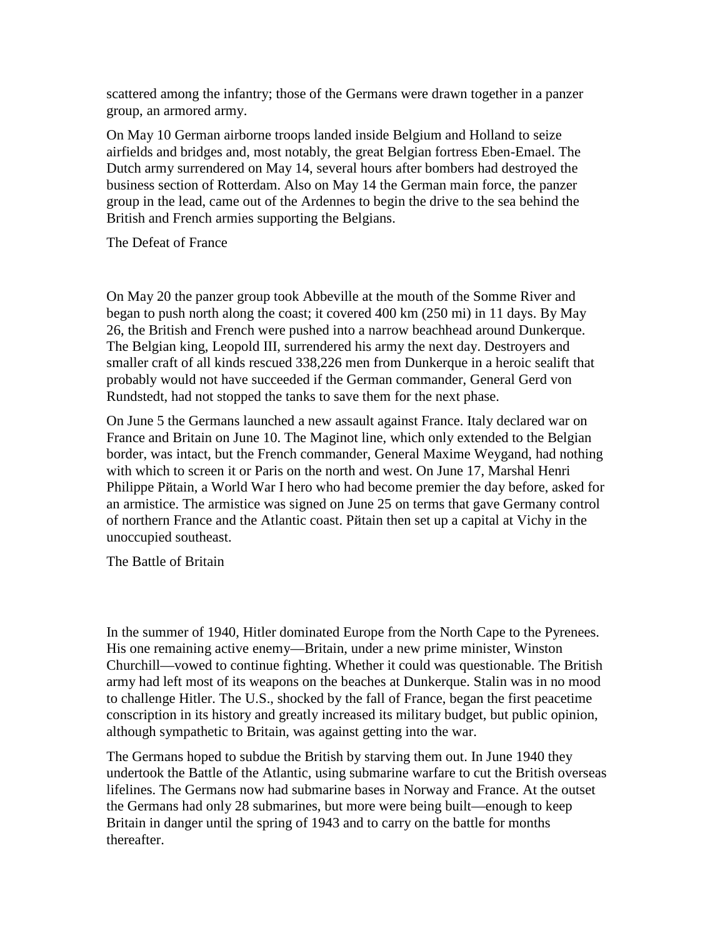scattered among the infantry; those of the Germans were drawn together in a panzer group, an armored army.

On May 10 German airborne troops landed inside Belgium and Holland to seize airfields and bridges and, most notably, the great Belgian fortress Eben-Emael. The Dutch army surrendered on May 14, several hours after bombers had destroyed the business section of Rotterdam. Also on May 14 the German main force, the panzer group in the lead, came out of the Ardennes to begin the drive to the sea behind the British and French armies supporting the Belgians.

The Defeat of France

On May 20 the panzer group took Abbeville at the mouth of the Somme River and began to push north along the coast; it covered 400 km (250 mi) in 11 days. By May 26, the British and French were pushed into a narrow beachhead around Dunkerque. The Belgian king, Leopold III, surrendered his army the next day. Destroyers and smaller craft of all kinds rescued 338,226 men from Dunkerque in a heroic sealift that probably would not have succeeded if the German commander, General Gerd von Rundstedt, had not stopped the tanks to save them for the next phase.

On June 5 the Germans launched a new assault against France. Italy declared war on France and Britain on June 10. The Maginot line, which only extended to the Belgian border, was intact, but the French commander, General Maxime Weygand, had nothing with which to screen it or Paris on the north and west. On June 17, Marshal Henri Philippe Pйtain, a World War I hero who had become premier the day before, asked for an armistice. The armistice was signed on June 25 on terms that gave Germany control of northern France and the Atlantic coast. Pйtain then set up a capital at Vichy in the unoccupied southeast.

The Battle of Britain

In the summer of 1940, Hitler dominated Europe from the North Cape to the Pyrenees. His one remaining active enemy—Britain, under a new prime minister, Winston Churchill—vowed to continue fighting. Whether it could was questionable. The British army had left most of its weapons on the beaches at Dunkerque. Stalin was in no mood to challenge Hitler. The U.S., shocked by the fall of France, began the first peacetime conscription in its history and greatly increased its military budget, but public opinion, although sympathetic to Britain, was against getting into the war.

The Germans hoped to subdue the British by starving them out. In June 1940 they undertook the Battle of the Atlantic, using submarine warfare to cut the British overseas lifelines. The Germans now had submarine bases in Norway and France. At the outset the Germans had only 28 submarines, but more were being built—enough to keep Britain in danger until the spring of 1943 and to carry on the battle for months thereafter.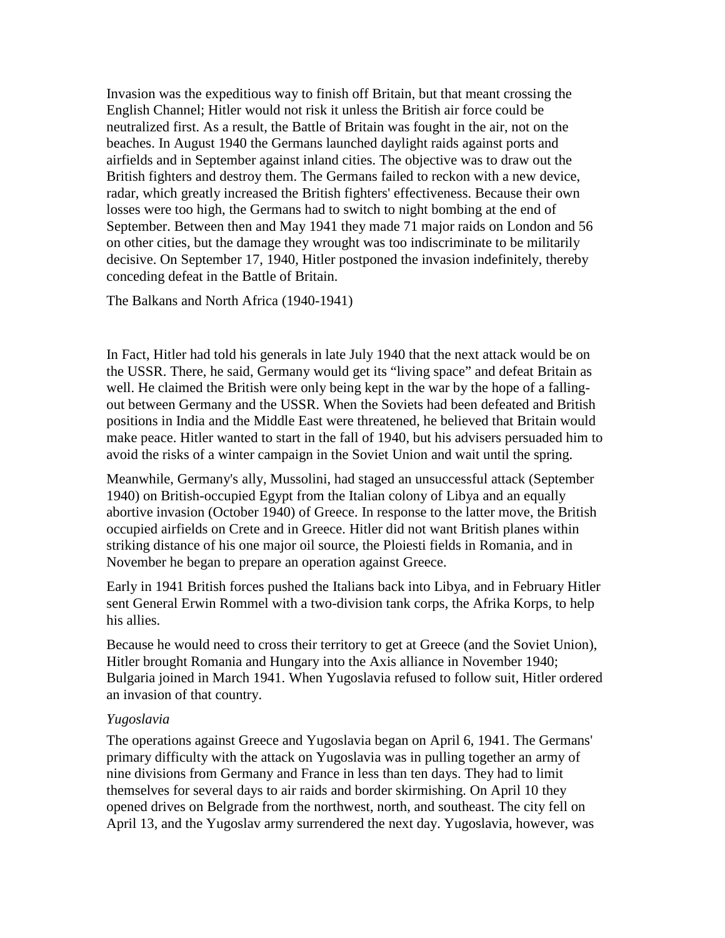Invasion was the expeditious way to finish off Britain, but that meant crossing the English Channel; Hitler would not risk it unless the British air force could be neutralized first. As a result, the Battle of Britain was fought in the air, not on the beaches. In August 1940 the Germans launched daylight raids against ports and airfields and in September against inland cities. The objective was to draw out the British fighters and destroy them. The Germans failed to reckon with a new device, radar, which greatly increased the British fighters' effectiveness. Because their own losses were too high, the Germans had to switch to night bombing at the end of September. Between then and May 1941 they made 71 major raids on London and 56 on other cities, but the damage they wrought was too indiscriminate to be militarily decisive. On September 17, 1940, Hitler postponed the invasion indefinitely, thereby conceding defeat in the Battle of Britain.

The Balkans and North Africa (1940-1941)

In Fact, Hitler had told his generals in late July 1940 that the next attack would be on the USSR. There, he said, Germany would get its "living space" and defeat Britain as well. He claimed the British were only being kept in the war by the hope of a fallingout between Germany and the USSR. When the Soviets had been defeated and British positions in India and the Middle East were threatened, he believed that Britain would make peace. Hitler wanted to start in the fall of 1940, but his advisers persuaded him to avoid the risks of a winter campaign in the Soviet Union and wait until the spring.

Meanwhile, Germany's ally, Mussolini, had staged an unsuccessful attack (September 1940) on British-occupied Egypt from the Italian colony of Libya and an equally abortive invasion (October 1940) of Greece. In response to the latter move, the British occupied airfields on Crete and in Greece. Hitler did not want British planes within striking distance of his one major oil source, the Ploiesti fields in Romania, and in November he began to prepare an operation against Greece.

Early in 1941 British forces pushed the Italians back into Libya, and in February Hitler sent General Erwin Rommel with a two-division tank corps, the Afrika Korps, to help his allies.

Because he would need to cross their territory to get at Greece (and the Soviet Union), Hitler brought Romania and Hungary into the Axis alliance in November 1940; Bulgaria joined in March 1941. When Yugoslavia refused to follow suit, Hitler ordered an invasion of that country.

# *Yugoslavia*

The operations against Greece and Yugoslavia began on April 6, 1941. The Germans' primary difficulty with the attack on Yugoslavia was in pulling together an army of nine divisions from Germany and France in less than ten days. They had to limit themselves for several days to air raids and border skirmishing. On April 10 they opened drives on Belgrade from the northwest, north, and southeast. The city fell on April 13, and the Yugoslav army surrendered the next day. Yugoslavia, however, was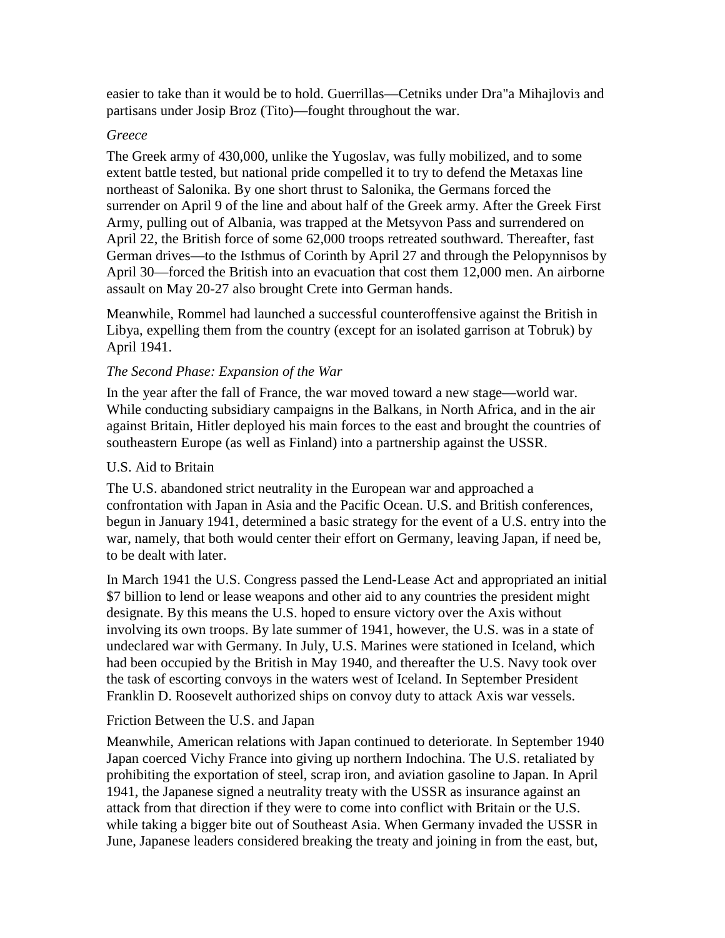easier to take than it would be to hold. Guerrillas—Cetniks under Dra"a Mihajloviз and partisans under Josip Broz (Tito)—fought throughout the war.

# *Greece*

The Greek army of 430,000, unlike the Yugoslav, was fully mobilized, and to some extent battle tested, but national pride compelled it to try to defend the Metaxas line northeast of Salonika. By one short thrust to Salonika, the Germans forced the surrender on April 9 of the line and about half of the Greek army. After the Greek First Army, pulling out of Albania, was trapped at the Metsуvon Pass and surrendered on April 22, the British force of some 62,000 troops retreated southward. Thereafter, fast German drives—to the Isthmus of Corinth by April 27 and through the Pelopуnnisos by April 30—forced the British into an evacuation that cost them 12,000 men. An airborne assault on May 20-27 also brought Crete into German hands.

Meanwhile, Rommel had launched a successful counteroffensive against the British in Libya, expelling them from the country (except for an isolated garrison at Tobruk) by April 1941.

# *The Second Phase: Expansion of the War*

In the year after the fall of France, the war moved toward a new stage—world war. While conducting subsidiary campaigns in the Balkans, in North Africa, and in the air against Britain, Hitler deployed his main forces to the east and brought the countries of southeastern Europe (as well as Finland) into a partnership against the USSR.

# U.S. Aid to Britain

The U.S. abandoned strict neutrality in the European war and approached a confrontation with Japan in Asia and the Pacific Ocean. U.S. and British conferences, begun in January 1941, determined a basic strategy for the event of a U.S. entry into the war, namely, that both would center their effort on Germany, leaving Japan, if need be, to be dealt with later.

In March 1941 the U.S. Congress passed the Lend-Lease Act and appropriated an initial \$7 billion to lend or lease weapons and other aid to any countries the president might designate. By this means the U.S. hoped to ensure victory over the Axis without involving its own troops. By late summer of 1941, however, the U.S. was in a state of undeclared war with Germany. In July, U.S. Marines were stationed in Iceland, which had been occupied by the British in May 1940, and thereafter the U.S. Navy took over the task of escorting convoys in the waters west of Iceland. In September President Franklin D. Roosevelt authorized ships on convoy duty to attack Axis war vessels.

# Friction Between the U.S. and Japan

Meanwhile, American relations with Japan continued to deteriorate. In September 1940 Japan coerced Vichy France into giving up northern Indochina. The U.S. retaliated by prohibiting the exportation of steel, scrap iron, and aviation gasoline to Japan. In April 1941, the Japanese signed a neutrality treaty with the USSR as insurance against an attack from that direction if they were to come into conflict with Britain or the U.S. while taking a bigger bite out of Southeast Asia. When Germany invaded the USSR in June, Japanese leaders considered breaking the treaty and joining in from the east, but,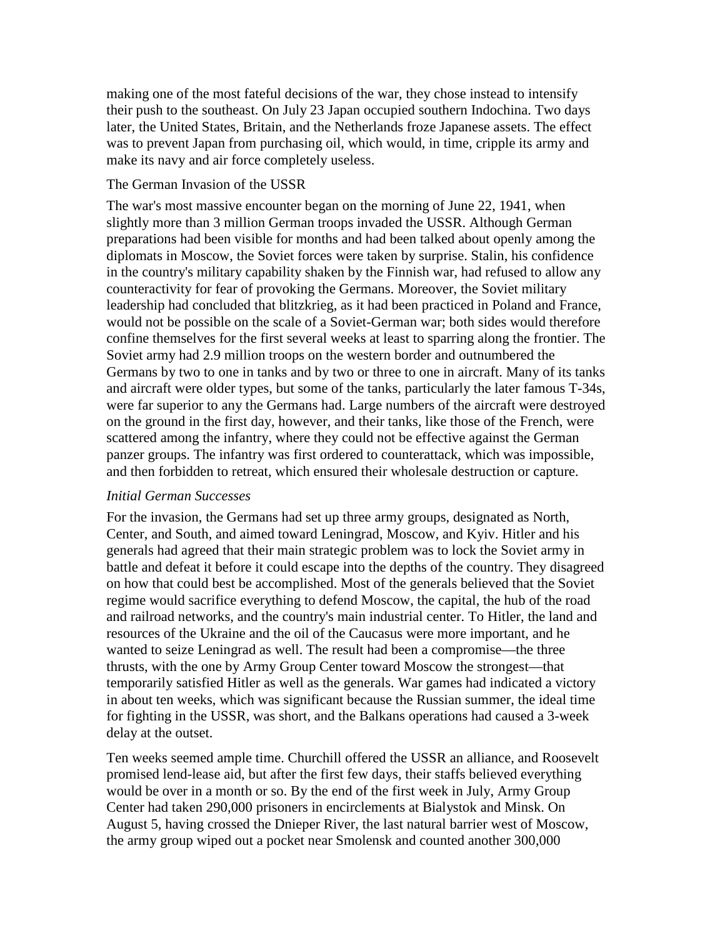making one of the most fateful decisions of the war, they chose instead to intensify their push to the southeast. On July 23 Japan occupied southern Indochina. Two days later, the United States, Britain, and the Netherlands froze Japanese assets. The effect was to prevent Japan from purchasing oil, which would, in time, cripple its army and make its navy and air force completely useless.

### The German Invasion of the USSR

The war's most massive encounter began on the morning of June 22, 1941, when slightly more than 3 million German troops invaded the USSR. Although German preparations had been visible for months and had been talked about openly among the diplomats in Moscow, the Soviet forces were taken by surprise. Stalin, his confidence in the country's military capability shaken by the Finnish war, had refused to allow any counteractivity for fear of provoking the Germans. Moreover, the Soviet military leadership had concluded that blitzkrieg, as it had been practiced in Poland and France, would not be possible on the scale of a Soviet-German war; both sides would therefore confine themselves for the first several weeks at least to sparring along the frontier. The Soviet army had 2.9 million troops on the western border and outnumbered the Germans by two to one in tanks and by two or three to one in aircraft. Many of its tanks and aircraft were older types, but some of the tanks, particularly the later famous T-34s, were far superior to any the Germans had. Large numbers of the aircraft were destroyed on the ground in the first day, however, and their tanks, like those of the French, were scattered among the infantry, where they could not be effective against the German panzer groups. The infantry was first ordered to counterattack, which was impossible, and then forbidden to retreat, which ensured their wholesale destruction or capture.

# *Initial German Successes*

For the invasion, the Germans had set up three army groups, designated as North, Center, and South, and aimed toward Leningrad, Moscow, and Kyiv. Hitler and his generals had agreed that their main strategic problem was to lock the Soviet army in battle and defeat it before it could escape into the depths of the country. They disagreed on how that could best be accomplished. Most of the generals believed that the Soviet regime would sacrifice everything to defend Moscow, the capital, the hub of the road and railroad networks, and the country's main industrial center. To Hitler, the land and resources of the Ukraine and the oil of the Caucasus were more important, and he wanted to seize Leningrad as well. The result had been a compromise—the three thrusts, with the one by Army Group Center toward Moscow the strongest—that temporarily satisfied Hitler as well as the generals. War games had indicated a victory in about ten weeks, which was significant because the Russian summer, the ideal time for fighting in the USSR, was short, and the Balkans operations had caused a 3-week delay at the outset.

Ten weeks seemed ample time. Churchill offered the USSR an alliance, and Roosevelt promised lend-lease aid, but after the first few days, their staffs believed everything would be over in a month or so. By the end of the first week in July, Army Group Center had taken 290,000 prisoners in encirclements at Bialystok and Minsk. On August 5, having crossed the Dnieper River, the last natural barrier west of Moscow, the army group wiped out a pocket near Smolensk and counted another 300,000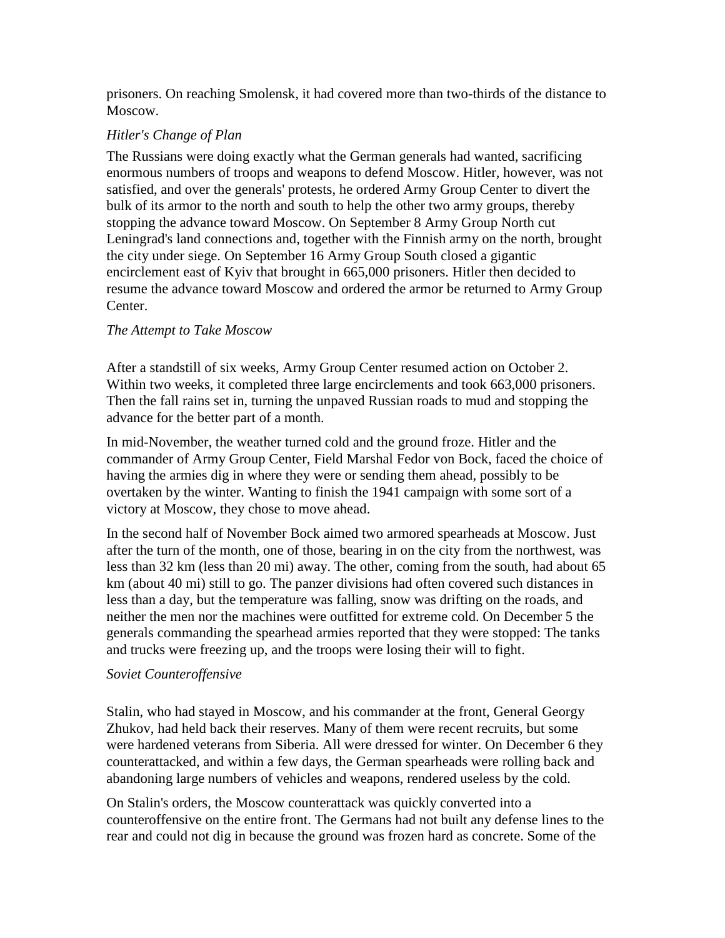prisoners. On reaching Smolensk, it had covered more than two-thirds of the distance to Moscow.

# *Hitler's Change of Plan*

The Russians were doing exactly what the German generals had wanted, sacrificing enormous numbers of troops and weapons to defend Moscow. Hitler, however, was not satisfied, and over the generals' protests, he ordered Army Group Center to divert the bulk of its armor to the north and south to help the other two army groups, thereby stopping the advance toward Moscow. On September 8 Army Group North cut Leningrad's land connections and, together with the Finnish army on the north, brought the city under siege. On September 16 Army Group South closed a gigantic encirclement east of Kyiv that brought in 665,000 prisoners. Hitler then decided to resume the advance toward Moscow and ordered the armor be returned to Army Group Center.

# *The Attempt to Take Moscow*

After a standstill of six weeks, Army Group Center resumed action on October 2. Within two weeks, it completed three large encirclements and took 663,000 prisoners. Then the fall rains set in, turning the unpaved Russian roads to mud and stopping the advance for the better part of a month.

In mid-November, the weather turned cold and the ground froze. Hitler and the commander of Army Group Center, Field Marshal Fedor von Bock, faced the choice of having the armies dig in where they were or sending them ahead, possibly to be overtaken by the winter. Wanting to finish the 1941 campaign with some sort of a victory at Moscow, they chose to move ahead.

In the second half of November Bock aimed two armored spearheads at Moscow. Just after the turn of the month, one of those, bearing in on the city from the northwest, was less than 32 km (less than 20 mi) away. The other, coming from the south, had about 65 km (about 40 mi) still to go. The panzer divisions had often covered such distances in less than a day, but the temperature was falling, snow was drifting on the roads, and neither the men nor the machines were outfitted for extreme cold. On December 5 the generals commanding the spearhead armies reported that they were stopped: The tanks and trucks were freezing up, and the troops were losing their will to fight.

# *Soviet Counteroffensive*

Stalin, who had stayed in Moscow, and his commander at the front, General Georgy Zhukov, had held back their reserves. Many of them were recent recruits, but some were hardened veterans from Siberia. All were dressed for winter. On December 6 they counterattacked, and within a few days, the German spearheads were rolling back and abandoning large numbers of vehicles and weapons, rendered useless by the cold.

On Stalin's orders, the Moscow counterattack was quickly converted into a counteroffensive on the entire front. The Germans had not built any defense lines to the rear and could not dig in because the ground was frozen hard as concrete. Some of the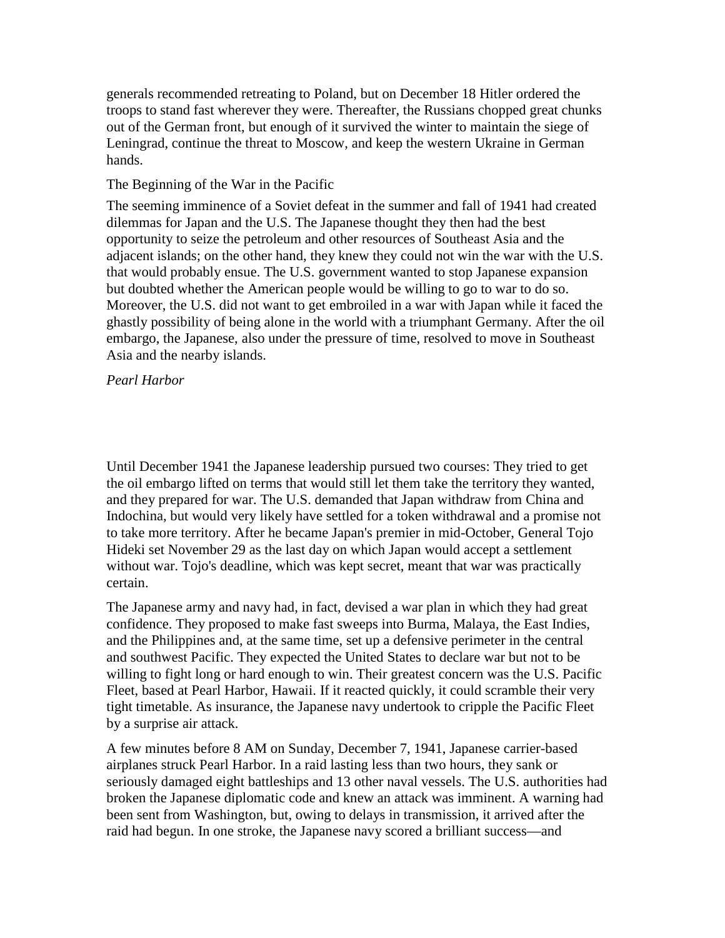generals recommended retreating to Poland, but on December 18 Hitler ordered the troops to stand fast wherever they were. Thereafter, the Russians chopped great chunks out of the German front, but enough of it survived the winter to maintain the siege of Leningrad, continue the threat to Moscow, and keep the western Ukraine in German hands.

### The Beginning of the War in the Pacific

The seeming imminence of a Soviet defeat in the summer and fall of 1941 had created dilemmas for Japan and the U.S. The Japanese thought they then had the best opportunity to seize the petroleum and other resources of Southeast Asia and the adjacent islands; on the other hand, they knew they could not win the war with the U.S. that would probably ensue. The U.S. government wanted to stop Japanese expansion but doubted whether the American people would be willing to go to war to do so. Moreover, the U.S. did not want to get embroiled in a war with Japan while it faced the ghastly possibility of being alone in the world with a triumphant Germany. After the oil embargo, the Japanese, also under the pressure of time, resolved to move in Southeast Asia and the nearby islands.

### *Pearl Harbor*

Until December 1941 the Japanese leadership pursued two courses: They tried to get the oil embargo lifted on terms that would still let them take the territory they wanted, and they prepared for war. The U.S. demanded that Japan withdraw from China and Indochina, but would very likely have settled for a token withdrawal and a promise not to take more territory. After he became Japan's premier in mid-October, General Tojo Hideki set November 29 as the last day on which Japan would accept a settlement without war. Tojo's deadline, which was kept secret, meant that war was practically certain.

The Japanese army and navy had, in fact, devised a war plan in which they had great confidence. They proposed to make fast sweeps into Burma, Malaya, the East Indies, and the Philippines and, at the same time, set up a defensive perimeter in the central and southwest Pacific. They expected the United States to declare war but not to be willing to fight long or hard enough to win. Their greatest concern was the U.S. Pacific Fleet, based at Pearl Harbor, Hawaii. If it reacted quickly, it could scramble their very tight timetable. As insurance, the Japanese navy undertook to cripple the Pacific Fleet by a surprise air attack.

A few minutes before 8 AM on Sunday, December 7, 1941, Japanese carrier-based airplanes struck Pearl Harbor. In a raid lasting less than two hours, they sank or seriously damaged eight battleships and 13 other naval vessels. The U.S. authorities had broken the Japanese diplomatic code and knew an attack was imminent. A warning had been sent from Washington, but, owing to delays in transmission, it arrived after the raid had begun. In one stroke, the Japanese navy scored a brilliant success—and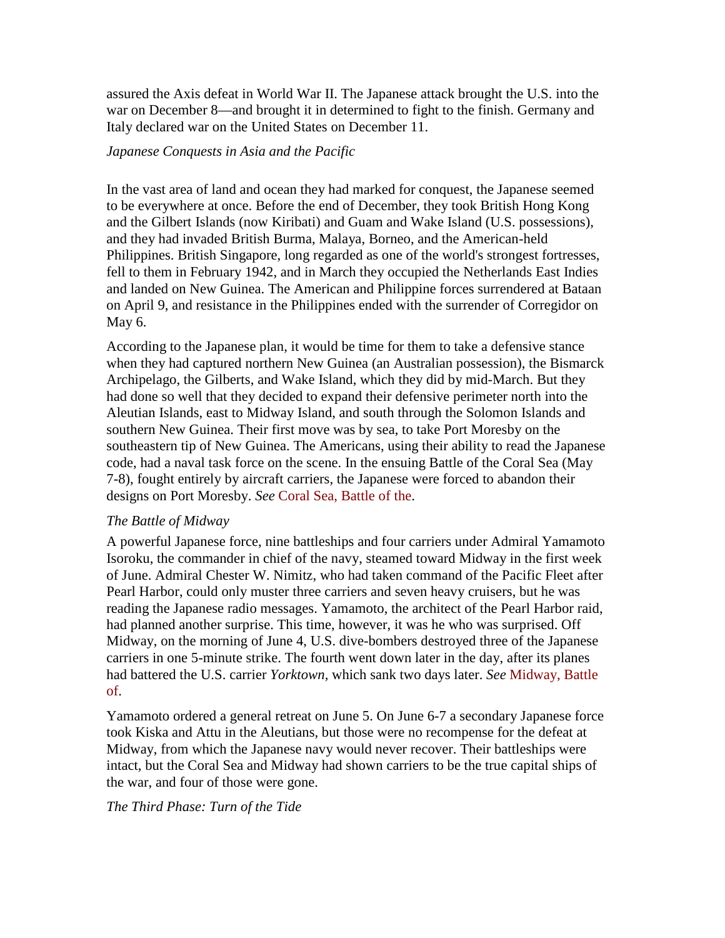assured the Axis defeat in World War II. The Japanese attack brought the U.S. into the war on December 8—and brought it in determined to fight to the finish. Germany and Italy declared war on the United States on December 11.

# *Japanese Conquests in Asia and the Pacific*

In the vast area of land and ocean they had marked for conquest, the Japanese seemed to be everywhere at once. Before the end of December, they took British Hong Kong and the Gilbert Islands (now Kiribati) and Guam and Wake Island (U.S. possessions), and they had invaded British Burma, Malaya, Borneo, and the American-held Philippines. British Singapore, long regarded as one of the world's strongest fortresses, fell to them in February 1942, and in March they occupied the Netherlands East Indies and landed on New Guinea. The American and Philippine forces surrendered at Bataan on April 9, and resistance in the Philippines ended with the surrender of Corregidor on May 6.

According to the Japanese plan, it would be time for them to take a defensive stance when they had captured northern New Guinea (an Australian possession), the Bismarck Archipelago, the Gilberts, and Wake Island, which they did by mid-March. But they had done so well that they decided to expand their defensive perimeter north into the Aleutian Islands, east to Midway Island, and south through the Solomon Islands and southern New Guinea. Their first move was by sea, to take Port Moresby on the southeastern tip of New Guinea. The Americans, using their ability to read the Japanese code, had a naval task force on the scene. In the ensuing Battle of the Coral Sea (May 7-8), fought entirely by aircraft carriers, the Japanese were forced to abandon their designs on Port Moresby. *See* Coral Sea, Battle of the.

# *The Battle of Midway*

A powerful Japanese force, nine battleships and four carriers under Admiral Yamamoto Isoroku, the commander in chief of the navy, steamed toward Midway in the first week of June. Admiral Chester W. Nimitz, who had taken command of the Pacific Fleet after Pearl Harbor, could only muster three carriers and seven heavy cruisers, but he was reading the Japanese radio messages. Yamamoto, the architect of the Pearl Harbor raid, had planned another surprise. This time, however, it was he who was surprised. Off Midway, on the morning of June 4, U.S. dive-bombers destroyed three of the Japanese carriers in one 5-minute strike. The fourth went down later in the day, after its planes had battered the U.S. carrier *Yorktown,* which sank two days later. *See* Midway, Battle of.

Yamamoto ordered a general retreat on June 5. On June 6-7 a secondary Japanese force took Kiska and Attu in the Aleutians, but those were no recompense for the defeat at Midway, from which the Japanese navy would never recover. Their battleships were intact, but the Coral Sea and Midway had shown carriers to be the true capital ships of the war, and four of those were gone.

# *The Third Phase: Turn of the Tide*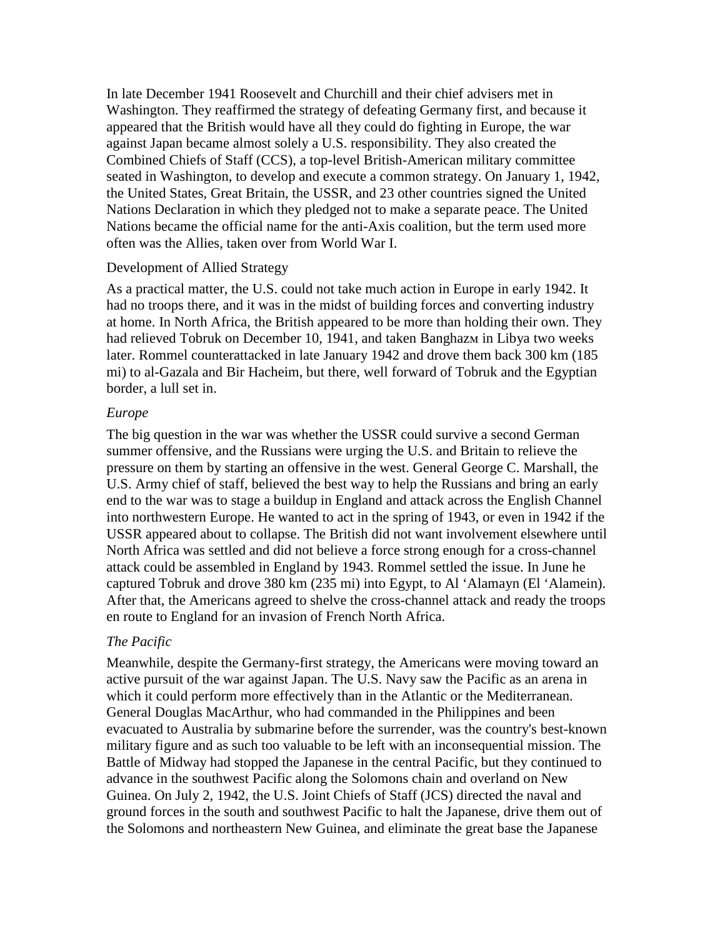In late December 1941 Roosevelt and Churchill and their chief advisers met in Washington. They reaffirmed the strategy of defeating Germany first, and because it appeared that the British would have all they could do fighting in Europe, the war against Japan became almost solely a U.S. responsibility. They also created the Combined Chiefs of Staff (CCS), a top-level British-American military committee seated in Washington, to develop and execute a common strategy. On January 1, 1942, the United States, Great Britain, the USSR, and 23 other countries signed the United Nations Declaration in which they pledged not to make a separate peace. The United Nations became the official name for the anti-Axis coalition, but the term used more often was the Allies, taken over from World War I.

# Development of Allied Strategy

As a practical matter, the U.S. could not take much action in Europe in early 1942. It had no troops there, and it was in the midst of building forces and converting industry at home. In North Africa, the British appeared to be more than holding their own. They had relieved Tobruk on December 10, 1941, and taken Banghazм in Libya two weeks later. Rommel counterattacked in late January 1942 and drove them back 300 km (185 mi) to al-Gazala and Bir Hacheim, but there, well forward of Tobruk and the Egyptian border, a lull set in.

# *Europe*

The big question in the war was whether the USSR could survive a second German summer offensive, and the Russians were urging the U.S. and Britain to relieve the pressure on them by starting an offensive in the west. General George C. Marshall, the U.S. Army chief of staff, believed the best way to help the Russians and bring an early end to the war was to stage a buildup in England and attack across the English Channel into northwestern Europe. He wanted to act in the spring of 1943, or even in 1942 if the USSR appeared about to collapse. The British did not want involvement elsewhere until North Africa was settled and did not believe a force strong enough for a cross-channel attack could be assembled in England by 1943. Rommel settled the issue. In June he captured Tobruk and drove 380 km (235 mi) into Egypt, to Al 'Alamayn (El 'Alamein). After that, the Americans agreed to shelve the cross-channel attack and ready the troops en route to England for an invasion of French North Africa.

# *The Pacific*

Meanwhile, despite the Germany-first strategy, the Americans were moving toward an active pursuit of the war against Japan. The U.S. Navy saw the Pacific as an arena in which it could perform more effectively than in the Atlantic or the Mediterranean. General Douglas MacArthur, who had commanded in the Philippines and been evacuated to Australia by submarine before the surrender, was the country's best-known military figure and as such too valuable to be left with an inconsequential mission. The Battle of Midway had stopped the Japanese in the central Pacific, but they continued to advance in the southwest Pacific along the Solomons chain and overland on New Guinea. On July 2, 1942, the U.S. Joint Chiefs of Staff (JCS) directed the naval and ground forces in the south and southwest Pacific to halt the Japanese, drive them out of the Solomons and northeastern New Guinea, and eliminate the great base the Japanese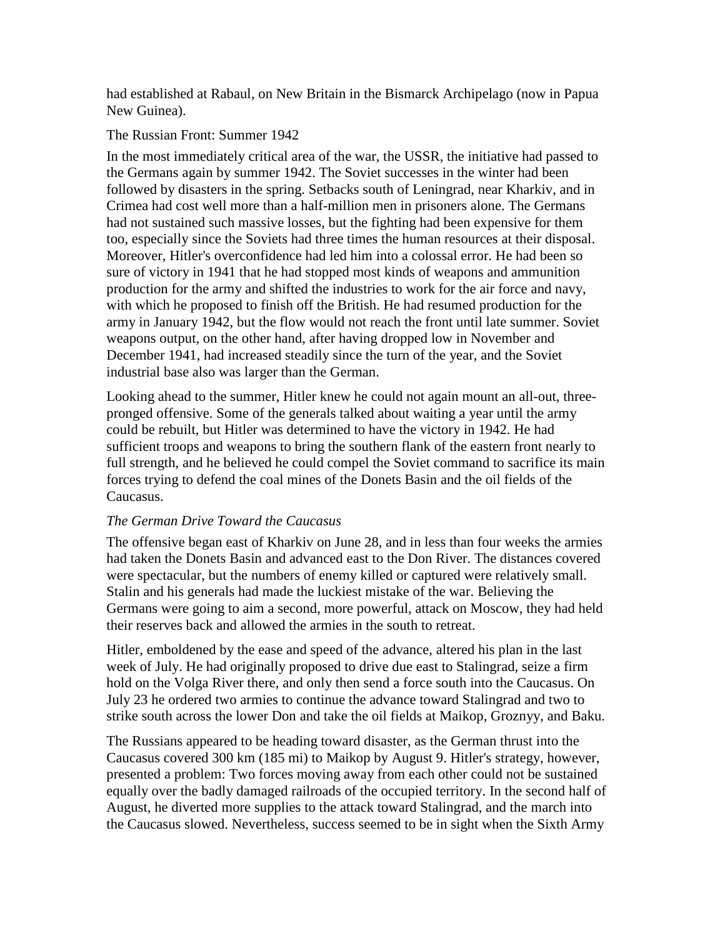had established at Rabaul, on New Britain in the Bismarck Archipelago (now in Papua New Guinea).

# The Russian Front: Summer 1942

In the most immediately critical area of the war, the USSR, the initiative had passed to the Germans again by summer 1942. The Soviet successes in the winter had been followed by disasters in the spring. Setbacks south of Leningrad, near Kharkiv, and in Crimea had cost well more than a half-million men in prisoners alone. The Germans had not sustained such massive losses, but the fighting had been expensive for them too, especially since the Soviets had three times the human resources at their disposal. Moreover, Hitler's overconfidence had led him into a colossal error. He had been so sure of victory in 1941 that he had stopped most kinds of weapons and ammunition production for the army and shifted the industries to work for the air force and navy, with which he proposed to finish off the British. He had resumed production for the army in January 1942, but the flow would not reach the front until late summer. Soviet weapons output, on the other hand, after having dropped low in November and December 1941, had increased steadily since the turn of the year, and the Soviet industrial base also was larger than the German.

Looking ahead to the summer, Hitler knew he could not again mount an all-out, threepronged offensive. Some of the generals talked about waiting a year until the army could be rebuilt, but Hitler was determined to have the victory in 1942. He had sufficient troops and weapons to bring the southern flank of the eastern front nearly to full strength, and he believed he could compel the Soviet command to sacrifice its main forces trying to defend the coal mines of the Donets Basin and the oil fields of the Caucasus.

# *The German Drive Toward the Caucasus*

The offensive began east of Kharkiv on June 28, and in less than four weeks the armies had taken the Donets Basin and advanced east to the Don River. The distances covered were spectacular, but the numbers of enemy killed or captured were relatively small. Stalin and his generals had made the luckiest mistake of the war. Believing the Germans were going to aim a second, more powerful, attack on Moscow, they had held their reserves back and allowed the armies in the south to retreat.

Hitler, emboldened by the ease and speed of the advance, altered his plan in the last week of July. He had originally proposed to drive due east to Stalingrad, seize a firm hold on the Volga River there, and only then send a force south into the Caucasus. On July 23 he ordered two armies to continue the advance toward Stalingrad and two to strike south across the lower Don and take the oil fields at Maikop, Groznyy, and Baku.

The Russians appeared to be heading toward disaster, as the German thrust into the Caucasus covered 300 km (185 mi) to Maikop by August 9. Hitler's strategy, however, presented a problem: Two forces moving away from each other could not be sustained equally over the badly damaged railroads of the occupied territory. In the second half of August, he diverted more supplies to the attack toward Stalingrad, and the march into the Caucasus slowed. Nevertheless, success seemed to be in sight when the Sixth Army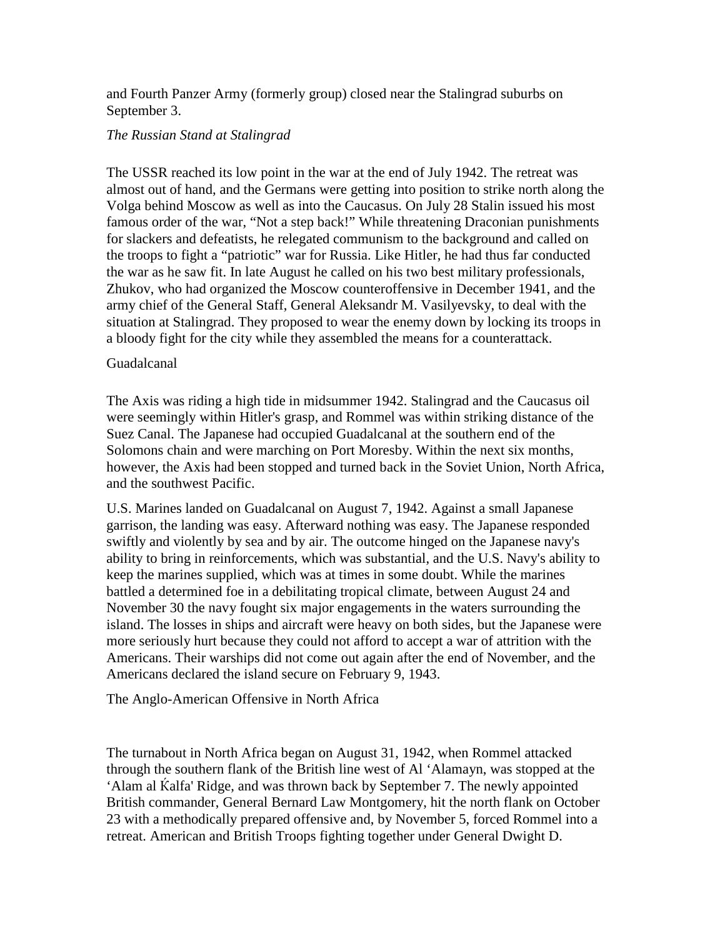and Fourth Panzer Army (formerly group) closed near the Stalingrad suburbs on September 3.

# *The Russian Stand at Stalingrad*

The USSR reached its low point in the war at the end of July 1942. The retreat was almost out of hand, and the Germans were getting into position to strike north along the Volga behind Moscow as well as into the Caucasus. On July 28 Stalin issued his most famous order of the war, "Not a step back!" While threatening Draconian punishments for slackers and defeatists, he relegated communism to the background and called on the troops to fight a "patriotic" war for Russia. Like Hitler, he had thus far conducted the war as he saw fit. In late August he called on his two best military professionals, Zhukov, who had organized the Moscow counteroffensive in December 1941, and the army chief of the General Staff, General Aleksandr M. Vasilyevsky, to deal with the situation at Stalingrad. They proposed to wear the enemy down by locking its troops in a bloody fight for the city while they assembled the means for a counterattack.

### Guadalcanal

The Axis was riding a high tide in midsummer 1942. Stalingrad and the Caucasus oil were seemingly within Hitler's grasp, and Rommel was within striking distance of the Suez Canal. The Japanese had occupied Guadalcanal at the southern end of the Solomons chain and were marching on Port Moresby. Within the next six months, however, the Axis had been stopped and turned back in the Soviet Union, North Africa, and the southwest Pacific.

U.S. Marines landed on Guadalcanal on August 7, 1942. Against a small Japanese garrison, the landing was easy. Afterward nothing was easy. The Japanese responded swiftly and violently by sea and by air. The outcome hinged on the Japanese navy's ability to bring in reinforcements, which was substantial, and the U.S. Navy's ability to keep the marines supplied, which was at times in some doubt. While the marines battled a determined foe in a debilitating tropical climate, between August 24 and November 30 the navy fought six major engagements in the waters surrounding the island. The losses in ships and aircraft were heavy on both sides, but the Japanese were more seriously hurt because they could not afford to accept a war of attrition with the Americans. Their warships did not come out again after the end of November, and the Americans declared the island secure on February 9, 1943.

The Anglo-American Offensive in North Africa

The turnabout in North Africa began on August 31, 1942, when Rommel attacked through the southern flank of the British line west of Al 'Alamayn, was stopped at the 'Alam al Ќalfa' Ridge, and was thrown back by September 7. The newly appointed British commander, General Bernard Law Montgomery, hit the north flank on October 23 with a methodically prepared offensive and, by November 5, forced Rommel into a retreat. American and British Troops fighting together under General Dwight D.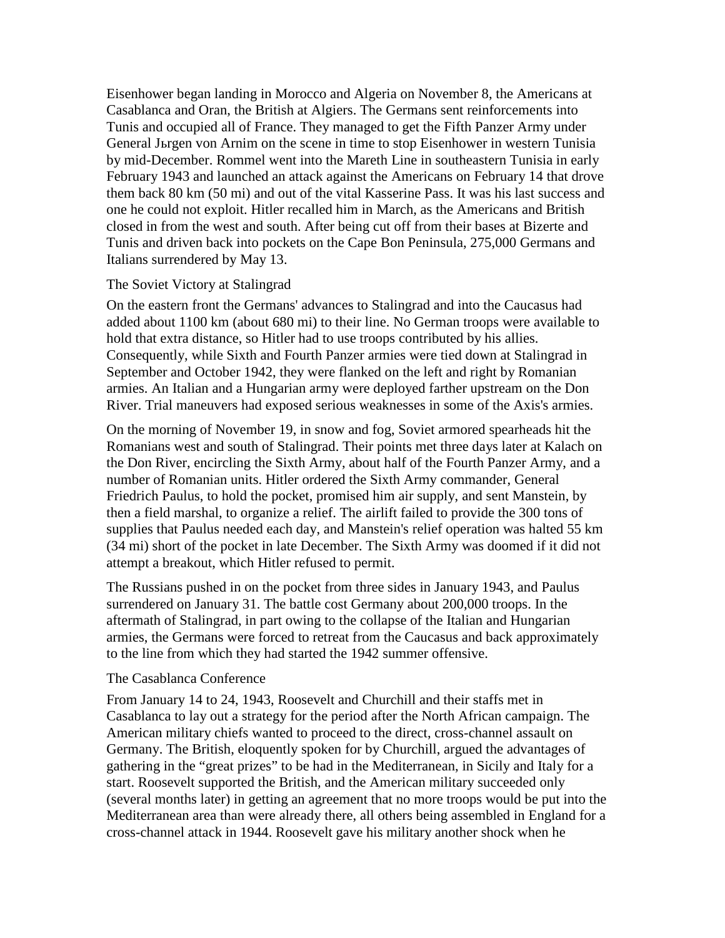Eisenhower began landing in Morocco and Algeria on November 8, the Americans at Casablanca and Oran, the British at Algiers. The Germans sent reinforcements into Tunis and occupied all of France. They managed to get the Fifth Panzer Army under General Jьrgen von Arnim on the scene in time to stop Eisenhower in western Tunisia by mid-December. Rommel went into the Mareth Line in southeastern Tunisia in early February 1943 and launched an attack against the Americans on February 14 that drove them back 80 km (50 mi) and out of the vital Kasserine Pass. It was his last success and one he could not exploit. Hitler recalled him in March, as the Americans and British closed in from the west and south. After being cut off from their bases at Bizerte and Tunis and driven back into pockets on the Cape Bon Peninsula, 275,000 Germans and Italians surrendered by May 13.

### The Soviet Victory at Stalingrad

On the eastern front the Germans' advances to Stalingrad and into the Caucasus had added about 1100 km (about 680 mi) to their line. No German troops were available to hold that extra distance, so Hitler had to use troops contributed by his allies. Consequently, while Sixth and Fourth Panzer armies were tied down at Stalingrad in September and October 1942, they were flanked on the left and right by Romanian armies. An Italian and a Hungarian army were deployed farther upstream on the Don River. Trial maneuvers had exposed serious weaknesses in some of the Axis's armies.

On the morning of November 19, in snow and fog, Soviet armored spearheads hit the Romanians west and south of Stalingrad. Their points met three days later at Kalach on the Don River, encircling the Sixth Army, about half of the Fourth Panzer Army, and a number of Romanian units. Hitler ordered the Sixth Army commander, General Friedrich Paulus, to hold the pocket, promised him air supply, and sent Manstein, by then a field marshal, to organize a relief. The airlift failed to provide the 300 tons of supplies that Paulus needed each day, and Manstein's relief operation was halted 55 km (34 mi) short of the pocket in late December. The Sixth Army was doomed if it did not attempt a breakout, which Hitler refused to permit.

The Russians pushed in on the pocket from three sides in January 1943, and Paulus surrendered on January 31. The battle cost Germany about 200,000 troops. In the aftermath of Stalingrad, in part owing to the collapse of the Italian and Hungarian armies, the Germans were forced to retreat from the Caucasus and back approximately to the line from which they had started the 1942 summer offensive.

# The Casablanca Conference

From January 14 to 24, 1943, Roosevelt and Churchill and their staffs met in Casablanca to lay out a strategy for the period after the North African campaign. The American military chiefs wanted to proceed to the direct, cross-channel assault on Germany. The British, eloquently spoken for by Churchill, argued the advantages of gathering in the "great prizes" to be had in the Mediterranean, in Sicily and Italy for a start. Roosevelt supported the British, and the American military succeeded only (several months later) in getting an agreement that no more troops would be put into the Mediterranean area than were already there, all others being assembled in England for a cross-channel attack in 1944. Roosevelt gave his military another shock when he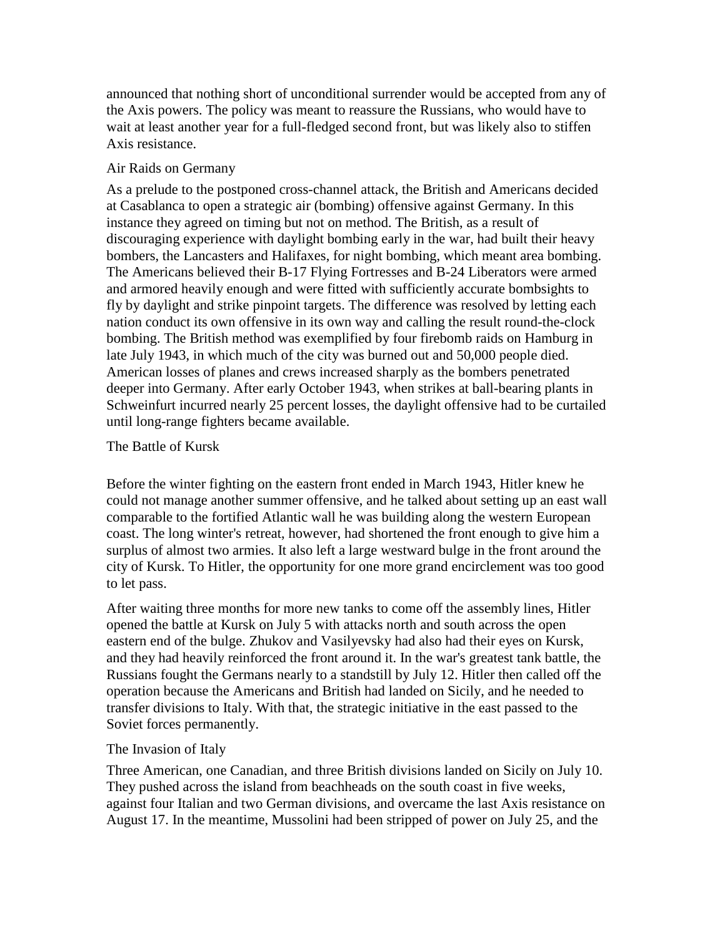announced that nothing short of unconditional surrender would be accepted from any of the Axis powers. The policy was meant to reassure the Russians, who would have to wait at least another year for a full-fledged second front, but was likely also to stiffen Axis resistance.

# Air Raids on Germany

As a prelude to the postponed cross-channel attack, the British and Americans decided at Casablanca to open a strategic air (bombing) offensive against Germany. In this instance they agreed on timing but not on method. The British, as a result of discouraging experience with daylight bombing early in the war, had built their heavy bombers, the Lancasters and Halifaxes, for night bombing, which meant area bombing. The Americans believed their B-17 Flying Fortresses and B-24 Liberators were armed and armored heavily enough and were fitted with sufficiently accurate bombsights to fly by daylight and strike pinpoint targets. The difference was resolved by letting each nation conduct its own offensive in its own way and calling the result round-the-clock bombing. The British method was exemplified by four firebomb raids on Hamburg in late July 1943, in which much of the city was burned out and 50,000 people died. American losses of planes and crews increased sharply as the bombers penetrated deeper into Germany. After early October 1943, when strikes at ball-bearing plants in Schweinfurt incurred nearly 25 percent losses, the daylight offensive had to be curtailed until long-range fighters became available.

The Battle of Kursk

Before the winter fighting on the eastern front ended in March 1943, Hitler knew he could not manage another summer offensive, and he talked about setting up an east wall comparable to the fortified Atlantic wall he was building along the western European coast. The long winter's retreat, however, had shortened the front enough to give him a surplus of almost two armies. It also left a large westward bulge in the front around the city of Kursk. To Hitler, the opportunity for one more grand encirclement was too good to let pass.

After waiting three months for more new tanks to come off the assembly lines, Hitler opened the battle at Kursk on July 5 with attacks north and south across the open eastern end of the bulge. Zhukov and Vasilyevsky had also had their eyes on Kursk, and they had heavily reinforced the front around it. In the war's greatest tank battle, the Russians fought the Germans nearly to a standstill by July 12. Hitler then called off the operation because the Americans and British had landed on Sicily, and he needed to transfer divisions to Italy. With that, the strategic initiative in the east passed to the Soviet forces permanently.

# The Invasion of Italy

Three American, one Canadian, and three British divisions landed on Sicily on July 10. They pushed across the island from beachheads on the south coast in five weeks, against four Italian and two German divisions, and overcame the last Axis resistance on August 17. In the meantime, Mussolini had been stripped of power on July 25, and the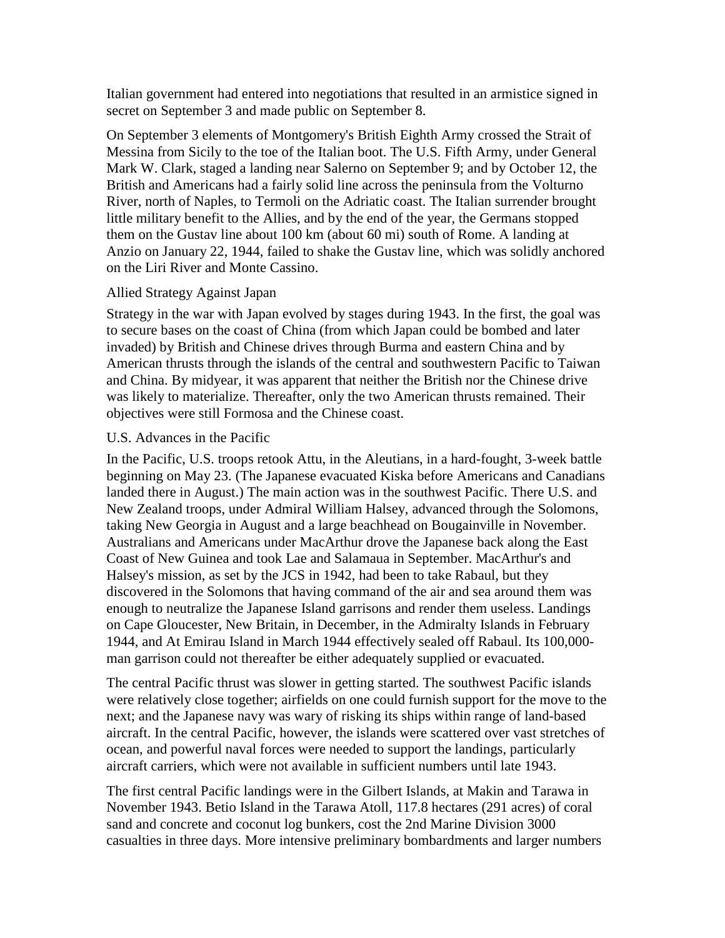Italian government had entered into negotiations that resulted in an armistice signed in secret on September 3 and made public on September 8.

On September 3 elements of Montgomery's British Eighth Army crossed the Strait of Messina from Sicily to the toe of the Italian boot. The U.S. Fifth Army, under General Mark W. Clark, staged a landing near Salerno on September 9; and by October 12, the British and Americans had a fairly solid line across the peninsula from the Volturno River, north of Naples, to Termoli on the Adriatic coast. The Italian surrender brought little military benefit to the Allies, and by the end of the year, the Germans stopped them on the Gustav line about 100 km (about 60 mi) south of Rome. A landing at Anzio on January 22, 1944, failed to shake the Gustav line, which was solidly anchored on the Liri River and Monte Cassino.

# Allied Strategy Against Japan

Strategy in the war with Japan evolved by stages during 1943. In the first, the goal was to secure bases on the coast of China (from which Japan could be bombed and later invaded) by British and Chinese drives through Burma and eastern China and by American thrusts through the islands of the central and southwestern Pacific to Taiwan and China. By midyear, it was apparent that neither the British nor the Chinese drive was likely to materialize. Thereafter, only the two American thrusts remained. Their objectives were still Formosa and the Chinese coast.

# U.S. Advances in the Pacific

In the Pacific, U.S. troops retook Attu, in the Aleutians, in a hard-fought, 3-week battle beginning on May 23. (The Japanese evacuated Kiska before Americans and Canadians landed there in August.) The main action was in the southwest Pacific. There U.S. and New Zealand troops, under Admiral William Halsey, advanced through the Solomons, taking New Georgia in August and a large beachhead on Bougainville in November. Australians and Americans under MacArthur drove the Japanese back along the East Coast of New Guinea and took Lae and Salamaua in September. MacArthur's and Halsey's mission, as set by the JCS in 1942, had been to take Rabaul, but they discovered in the Solomons that having command of the air and sea around them was enough to neutralize the Japanese Island garrisons and render them useless. Landings on Cape Gloucester, New Britain, in December, in the Admiralty Islands in February 1944, and At Emirau Island in March 1944 effectively sealed off Rabaul. Its 100,000 man garrison could not thereafter be either adequately supplied or evacuated.

The central Pacific thrust was slower in getting started. The southwest Pacific islands were relatively close together; airfields on one could furnish support for the move to the next; and the Japanese navy was wary of risking its ships within range of land-based aircraft. In the central Pacific, however, the islands were scattered over vast stretches of ocean, and powerful naval forces were needed to support the landings, particularly aircraft carriers, which were not available in sufficient numbers until late 1943.

The first central Pacific landings were in the Gilbert Islands, at Makin and Tarawa in November 1943. Betio Island in the Tarawa Atoll, 117.8 hectares (291 acres) of coral sand and concrete and coconut log bunkers, cost the 2nd Marine Division 3000 casualties in three days. More intensive preliminary bombardments and larger numbers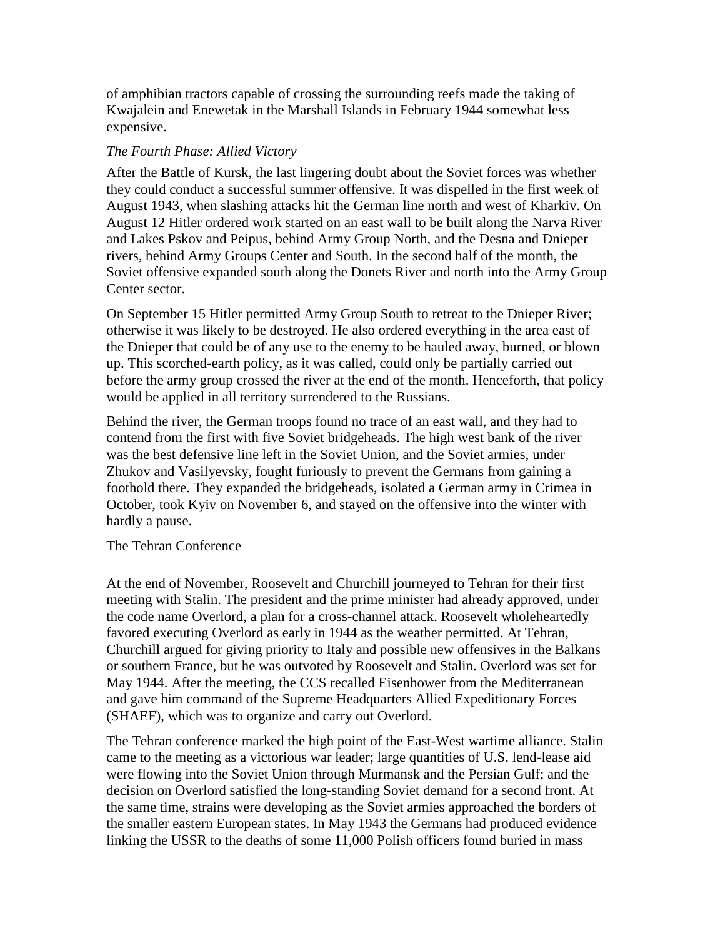of amphibian tractors capable of crossing the surrounding reefs made the taking of Kwajalein and Enewetak in the Marshall Islands in February 1944 somewhat less expensive.

# *The Fourth Phase: Allied Victory*

After the Battle of Kursk, the last lingering doubt about the Soviet forces was whether they could conduct a successful summer offensive. It was dispelled in the first week of August 1943, when slashing attacks hit the German line north and west of Kharkiv. On August 12 Hitler ordered work started on an east wall to be built along the Narva River and Lakes Pskov and Peipus, behind Army Group North, and the Desna and Dnieper rivers, behind Army Groups Center and South. In the second half of the month, the Soviet offensive expanded south along the Donets River and north into the Army Group Center sector.

On September 15 Hitler permitted Army Group South to retreat to the Dnieper River; otherwise it was likely to be destroyed. He also ordered everything in the area east of the Dnieper that could be of any use to the enemy to be hauled away, burned, or blown up. This scorched-earth policy, as it was called, could only be partially carried out before the army group crossed the river at the end of the month. Henceforth, that policy would be applied in all territory surrendered to the Russians.

Behind the river, the German troops found no trace of an east wall, and they had to contend from the first with five Soviet bridgeheads. The high west bank of the river was the best defensive line left in the Soviet Union, and the Soviet armies, under Zhukov and Vasilyevsky, fought furiously to prevent the Germans from gaining a foothold there. They expanded the bridgeheads, isolated a German army in Crimea in October, took Kyiv on November 6, and stayed on the offensive into the winter with hardly a pause.

# The Tehran Conference

At the end of November, Roosevelt and Churchill journeyed to Tehran for their first meeting with Stalin. The president and the prime minister had already approved, under the code name Overlord, a plan for a cross-channel attack. Roosevelt wholeheartedly favored executing Overlord as early in 1944 as the weather permitted. At Tehran, Churchill argued for giving priority to Italy and possible new offensives in the Balkans or southern France, but he was outvoted by Roosevelt and Stalin. Overlord was set for May 1944. After the meeting, the CCS recalled Eisenhower from the Mediterranean and gave him command of the Supreme Headquarters Allied Expeditionary Forces (SHAEF), which was to organize and carry out Overlord.

The Tehran conference marked the high point of the East-West wartime alliance. Stalin came to the meeting as a victorious war leader; large quantities of U.S. lend-lease aid were flowing into the Soviet Union through Murmansk and the Persian Gulf; and the decision on Overlord satisfied the long-standing Soviet demand for a second front. At the same time, strains were developing as the Soviet armies approached the borders of the smaller eastern European states. In May 1943 the Germans had produced evidence linking the USSR to the deaths of some 11,000 Polish officers found buried in mass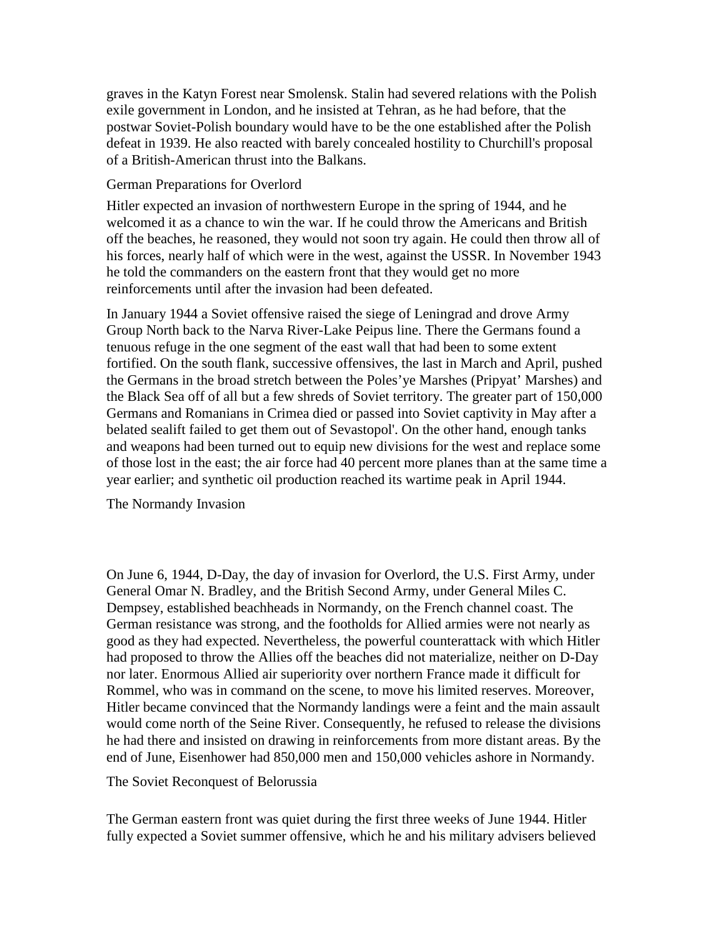graves in the Katyn Forest near Smolensk. Stalin had severed relations with the Polish exile government in London, and he insisted at Tehran, as he had before, that the postwar Soviet-Polish boundary would have to be the one established after the Polish defeat in 1939. He also reacted with barely concealed hostility to Churchill's proposal of a British-American thrust into the Balkans.

### German Preparations for Overlord

Hitler expected an invasion of northwestern Europe in the spring of 1944, and he welcomed it as a chance to win the war. If he could throw the Americans and British off the beaches, he reasoned, they would not soon try again. He could then throw all of his forces, nearly half of which were in the west, against the USSR. In November 1943 he told the commanders on the eastern front that they would get no more reinforcements until after the invasion had been defeated.

In January 1944 a Soviet offensive raised the siege of Leningrad and drove Army Group North back to the Narva River-Lake Peipus line. There the Germans found a tenuous refuge in the one segment of the east wall that had been to some extent fortified. On the south flank, successive offensives, the last in March and April, pushed the Germans in the broad stretch between the Poles'ye Marshes (Pripyat' Marshes) and the Black Sea off of all but a few shreds of Soviet territory. The greater part of 150,000 Germans and Romanians in Crimea died or passed into Soviet captivity in May after a belated sealift failed to get them out of Sevastopol'. On the other hand, enough tanks and weapons had been turned out to equip new divisions for the west and replace some of those lost in the east; the air force had 40 percent more planes than at the same time a year earlier; and synthetic oil production reached its wartime peak in April 1944.

The Normandy Invasion

On June 6, 1944, D-Day, the day of invasion for Overlord, the U.S. First Army, under General Omar N. Bradley, and the British Second Army, under General Miles C. Dempsey, established beachheads in Normandy, on the French channel coast. The German resistance was strong, and the footholds for Allied armies were not nearly as good as they had expected. Nevertheless, the powerful counterattack with which Hitler had proposed to throw the Allies off the beaches did not materialize, neither on D-Day nor later. Enormous Allied air superiority over northern France made it difficult for Rommel, who was in command on the scene, to move his limited reserves. Moreover, Hitler became convinced that the Normandy landings were a feint and the main assault would come north of the Seine River. Consequently, he refused to release the divisions he had there and insisted on drawing in reinforcements from more distant areas. By the end of June, Eisenhower had 850,000 men and 150,000 vehicles ashore in Normandy.

The Soviet Reconquest of Belorussia

The German eastern front was quiet during the first three weeks of June 1944. Hitler fully expected a Soviet summer offensive, which he and his military advisers believed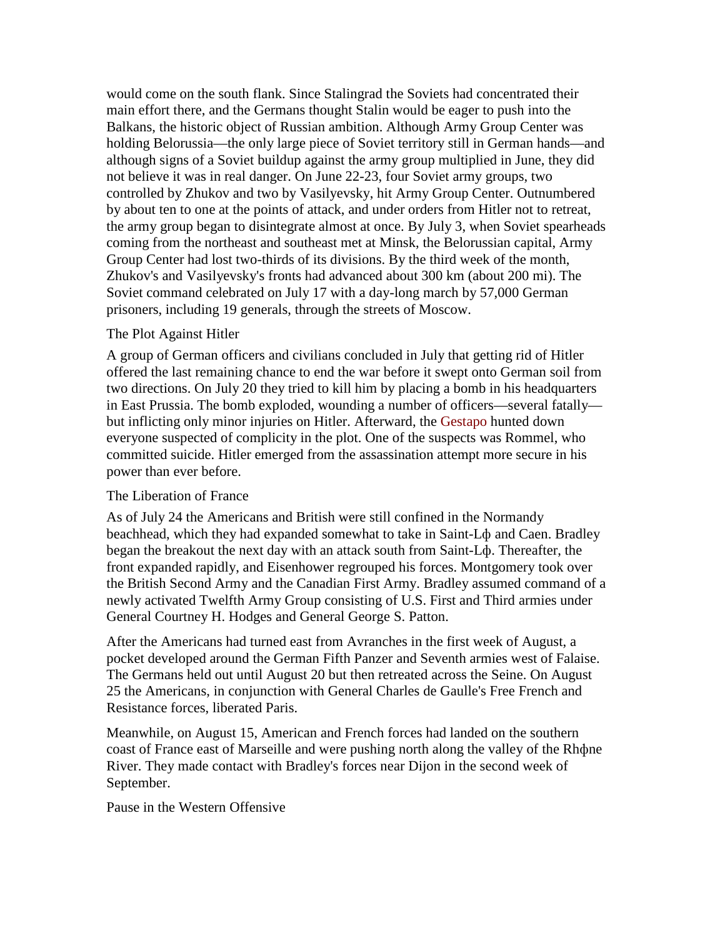would come on the south flank. Since Stalingrad the Soviets had concentrated their main effort there, and the Germans thought Stalin would be eager to push into the Balkans, the historic object of Russian ambition. Although Army Group Center was holding Belorussia—the only large piece of Soviet territory still in German hands—and although signs of a Soviet buildup against the army group multiplied in June, they did not believe it was in real danger. On June 22-23, four Soviet army groups, two controlled by Zhukov and two by Vasilyevsky, hit Army Group Center. Outnumbered by about ten to one at the points of attack, and under orders from Hitler not to retreat, the army group began to disintegrate almost at once. By July 3, when Soviet spearheads coming from the northeast and southeast met at Minsk, the Belorussian capital, Army Group Center had lost two-thirds of its divisions. By the third week of the month, Zhukov's and Vasilyevsky's fronts had advanced about 300 km (about 200 mi). The Soviet command celebrated on July 17 with a day-long march by 57,000 German prisoners, including 19 generals, through the streets of Moscow.

# The Plot Against Hitler

A group of German officers and civilians concluded in July that getting rid of Hitler offered the last remaining chance to end the war before it swept onto German soil from two directions. On July 20 they tried to kill him by placing a bomb in his headquarters in East Prussia. The bomb exploded, wounding a number of officers—several fatally but inflicting only minor injuries on Hitler. Afterward, the Gestapo hunted down everyone suspected of complicity in the plot. One of the suspects was Rommel, who committed suicide. Hitler emerged from the assassination attempt more secure in his power than ever before.

#### The Liberation of France

As of July 24 the Americans and British were still confined in the Normandy beachhead, which they had expanded somewhat to take in Saint-Lф and Caen. Bradley began the breakout the next day with an attack south from Saint-Lф. Thereafter, the front expanded rapidly, and Eisenhower regrouped his forces. Montgomery took over the British Second Army and the Canadian First Army. Bradley assumed command of a newly activated Twelfth Army Group consisting of U.S. First and Third armies under General Courtney H. Hodges and General George S. Patton.

After the Americans had turned east from Avranches in the first week of August, a pocket developed around the German Fifth Panzer and Seventh armies west of Falaise. The Germans held out until August 20 but then retreated across the Seine. On August 25 the Americans, in conjunction with General Charles de Gaulle's Free French and Resistance forces, liberated Paris.

Meanwhile, on August 15, American and French forces had landed on the southern coast of France east of Marseille and were pushing north along the valley of the Rhфne River. They made contact with Bradley's forces near Dijon in the second week of September.

Pause in the Western Offensive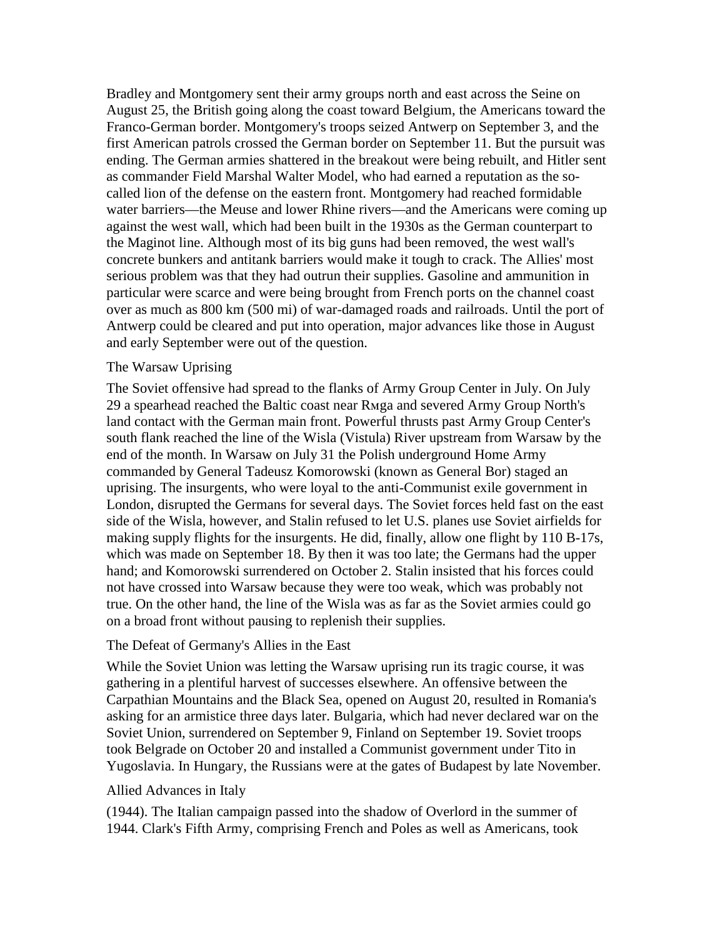Bradley and Montgomery sent their army groups north and east across the Seine on August 25, the British going along the coast toward Belgium, the Americans toward the Franco-German border. Montgomery's troops seized Antwerp on September 3, and the first American patrols crossed the German border on September 11. But the pursuit was ending. The German armies shattered in the breakout were being rebuilt, and Hitler sent as commander Field Marshal Walter Model, who had earned a reputation as the socalled lion of the defense on the eastern front. Montgomery had reached formidable water barriers—the Meuse and lower Rhine rivers—and the Americans were coming up against the west wall, which had been built in the 1930s as the German counterpart to the Maginot line. Although most of its big guns had been removed, the west wall's concrete bunkers and antitank barriers would make it tough to crack. The Allies' most serious problem was that they had outrun their supplies. Gasoline and ammunition in particular were scarce and were being brought from French ports on the channel coast over as much as 800 km (500 mi) of war-damaged roads and railroads. Until the port of Antwerp could be cleared and put into operation, major advances like those in August and early September were out of the question.

# The Warsaw Uprising

The Soviet offensive had spread to the flanks of Army Group Center in July. On July 29 a spearhead reached the Baltic coast near Rмga and severed Army Group North's land contact with the German main front. Powerful thrusts past Army Group Center's south flank reached the line of the Wisla (Vistula) River upstream from Warsaw by the end of the month. In Warsaw on July 31 the Polish underground Home Army commanded by General Tadeusz Komorowski (known as General Bor) staged an uprising. The insurgents, who were loyal to the anti-Communist exile government in London, disrupted the Germans for several days. The Soviet forces held fast on the east side of the Wisla, however, and Stalin refused to let U.S. planes use Soviet airfields for making supply flights for the insurgents. He did, finally, allow one flight by 110 B-17s, which was made on September 18. By then it was too late; the Germans had the upper hand; and Komorowski surrendered on October 2. Stalin insisted that his forces could not have crossed into Warsaw because they were too weak, which was probably not true. On the other hand, the line of the Wisla was as far as the Soviet armies could go on a broad front without pausing to replenish their supplies.

# The Defeat of Germany's Allies in the East

While the Soviet Union was letting the Warsaw uprising run its tragic course, it was gathering in a plentiful harvest of successes elsewhere. An offensive between the Carpathian Mountains and the Black Sea, opened on August 20, resulted in Romania's asking for an armistice three days later. Bulgaria, which had never declared war on the Soviet Union, surrendered on September 9, Finland on September 19. Soviet troops took Belgrade on October 20 and installed a Communist government under Tito in Yugoslavia. In Hungary, the Russians were at the gates of Budapest by late November.

#### Allied Advances in Italy

(1944). The Italian campaign passed into the shadow of Overlord in the summer of 1944. Clark's Fifth Army, comprising French and Poles as well as Americans, took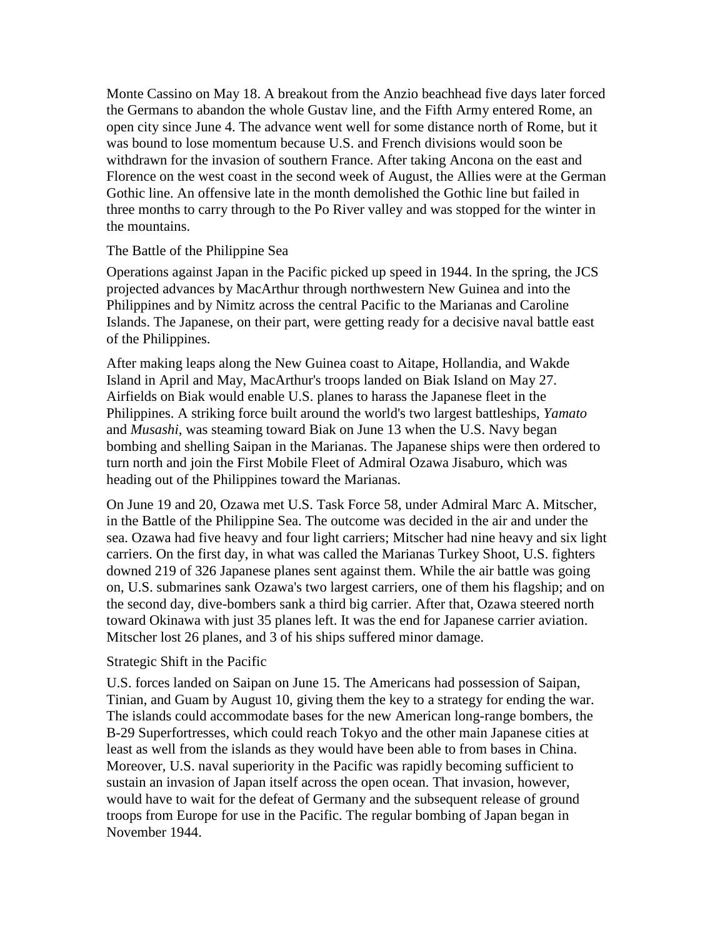Monte Cassino on May 18. A breakout from the Anzio beachhead five days later forced the Germans to abandon the whole Gustav line, and the Fifth Army entered Rome, an open city since June 4. The advance went well for some distance north of Rome, but it was bound to lose momentum because U.S. and French divisions would soon be withdrawn for the invasion of southern France. After taking Ancona on the east and Florence on the west coast in the second week of August, the Allies were at the German Gothic line. An offensive late in the month demolished the Gothic line but failed in three months to carry through to the Po River valley and was stopped for the winter in the mountains.

# The Battle of the Philippine Sea

Operations against Japan in the Pacific picked up speed in 1944. In the spring, the JCS projected advances by MacArthur through northwestern New Guinea and into the Philippines and by Nimitz across the central Pacific to the Marianas and Caroline Islands. The Japanese, on their part, were getting ready for a decisive naval battle east of the Philippines.

After making leaps along the New Guinea coast to Aitape, Hollandia, and Wakde Island in April and May, MacArthur's troops landed on Biak Island on May 27. Airfields on Biak would enable U.S. planes to harass the Japanese fleet in the Philippines. A striking force built around the world's two largest battleships, *Yamato* and *Musashi,* was steaming toward Biak on June 13 when the U.S. Navy began bombing and shelling Saipan in the Marianas. The Japanese ships were then ordered to turn north and join the First Mobile Fleet of Admiral Ozawa Jisaburo, which was heading out of the Philippines toward the Marianas.

On June 19 and 20, Ozawa met U.S. Task Force 58, under Admiral Marc A. Mitscher, in the Battle of the Philippine Sea. The outcome was decided in the air and under the sea. Ozawa had five heavy and four light carriers; Mitscher had nine heavy and six light carriers. On the first day, in what was called the Marianas Turkey Shoot, U.S. fighters downed 219 of 326 Japanese planes sent against them. While the air battle was going on, U.S. submarines sank Ozawa's two largest carriers, one of them his flagship; and on the second day, dive-bombers sank a third big carrier. After that, Ozawa steered north toward Okinawa with just 35 planes left. It was the end for Japanese carrier aviation. Mitscher lost 26 planes, and 3 of his ships suffered minor damage.

# Strategic Shift in the Pacific

U.S. forces landed on Saipan on June 15. The Americans had possession of Saipan, Tinian, and Guam by August 10, giving them the key to a strategy for ending the war. The islands could accommodate bases for the new American long-range bombers, the B-29 Superfortresses, which could reach Tokyo and the other main Japanese cities at least as well from the islands as they would have been able to from bases in China. Moreover, U.S. naval superiority in the Pacific was rapidly becoming sufficient to sustain an invasion of Japan itself across the open ocean. That invasion, however, would have to wait for the defeat of Germany and the subsequent release of ground troops from Europe for use in the Pacific. The regular bombing of Japan began in November 1944.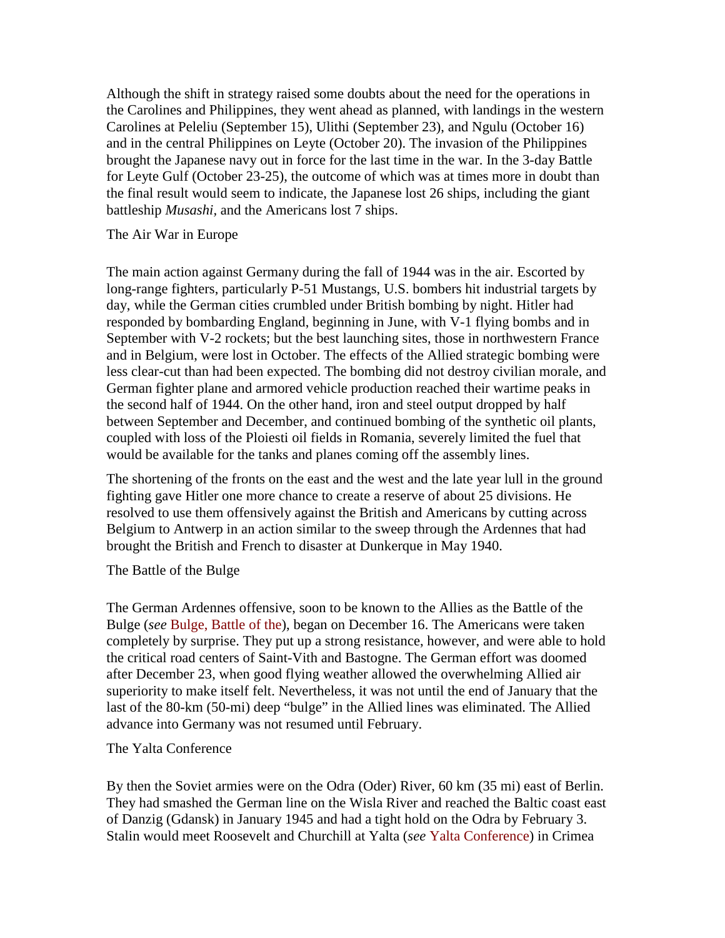Although the shift in strategy raised some doubts about the need for the operations in the Carolines and Philippines, they went ahead as planned, with landings in the western Carolines at Peleliu (September 15), Ulithi (September 23), and Ngulu (October 16) and in the central Philippines on Leyte (October 20). The invasion of the Philippines brought the Japanese navy out in force for the last time in the war. In the 3-day Battle for Leyte Gulf (October 23-25), the outcome of which was at times more in doubt than the final result would seem to indicate, the Japanese lost 26 ships, including the giant battleship *Musashi,* and the Americans lost 7 ships.

# The Air War in Europe

The main action against Germany during the fall of 1944 was in the air. Escorted by long-range fighters, particularly P-51 Mustangs, U.S. bombers hit industrial targets by day, while the German cities crumbled under British bombing by night. Hitler had responded by bombarding England, beginning in June, with V-1 flying bombs and in September with V-2 rockets; but the best launching sites, those in northwestern France and in Belgium, were lost in October. The effects of the Allied strategic bombing were less clear-cut than had been expected. The bombing did not destroy civilian morale, and German fighter plane and armored vehicle production reached their wartime peaks in the second half of 1944. On the other hand, iron and steel output dropped by half between September and December, and continued bombing of the synthetic oil plants, coupled with loss of the Ploiesti oil fields in Romania, severely limited the fuel that would be available for the tanks and planes coming off the assembly lines.

The shortening of the fronts on the east and the west and the late year lull in the ground fighting gave Hitler one more chance to create a reserve of about 25 divisions. He resolved to use them offensively against the British and Americans by cutting across Belgium to Antwerp in an action similar to the sweep through the Ardennes that had brought the British and French to disaster at Dunkerque in May 1940.

# The Battle of the Bulge

The German Ardennes offensive, soon to be known to the Allies as the Battle of the Bulge (*see* Bulge, Battle of the), began on December 16. The Americans were taken completely by surprise. They put up a strong resistance, however, and were able to hold the critical road centers of Saint-Vith and Bastogne. The German effort was doomed after December 23, when good flying weather allowed the overwhelming Allied air superiority to make itself felt. Nevertheless, it was not until the end of January that the last of the 80-km (50-mi) deep "bulge" in the Allied lines was eliminated. The Allied advance into Germany was not resumed until February.

# The Yalta Conference

By then the Soviet armies were on the Odra (Oder) River, 60 km (35 mi) east of Berlin. They had smashed the German line on the Wisla River and reached the Baltic coast east of Danzig (Gdansk) in January 1945 and had a tight hold on the Odra by February 3. Stalin would meet Roosevelt and Churchill at Yalta (*see* Yalta Conference) in Crimea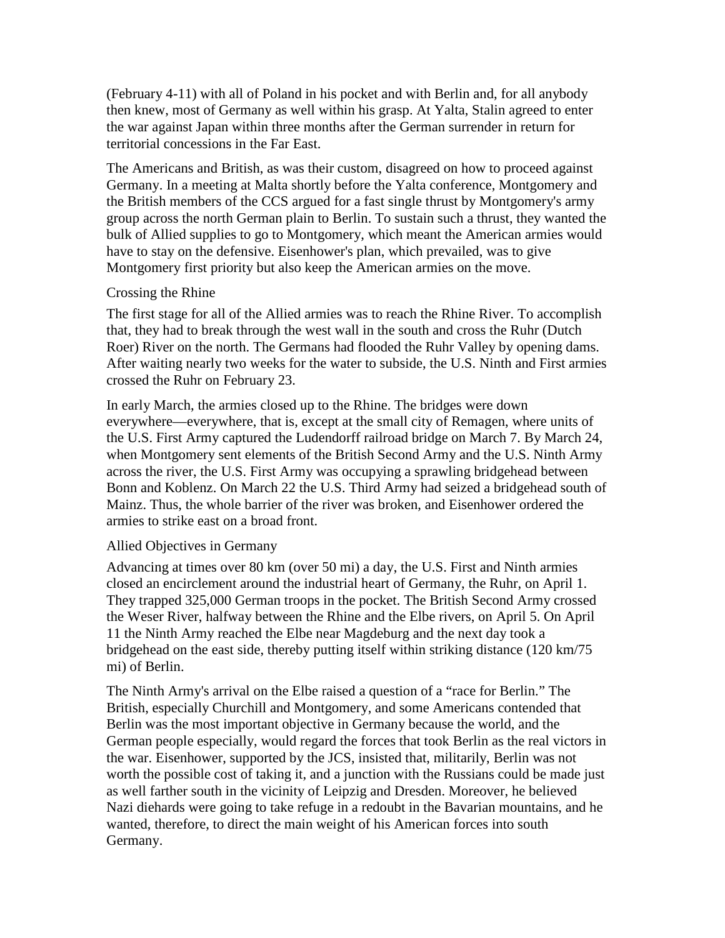(February 4-11) with all of Poland in his pocket and with Berlin and, for all anybody then knew, most of Germany as well within his grasp. At Yalta, Stalin agreed to enter the war against Japan within three months after the German surrender in return for territorial concessions in the Far East.

The Americans and British, as was their custom, disagreed on how to proceed against Germany. In a meeting at Malta shortly before the Yalta conference, Montgomery and the British members of the CCS argued for a fast single thrust by Montgomery's army group across the north German plain to Berlin. To sustain such a thrust, they wanted the bulk of Allied supplies to go to Montgomery, which meant the American armies would have to stay on the defensive. Eisenhower's plan, which prevailed, was to give Montgomery first priority but also keep the American armies on the move.

# Crossing the Rhine

The first stage for all of the Allied armies was to reach the Rhine River. To accomplish that, they had to break through the west wall in the south and cross the Ruhr (Dutch Roer) River on the north. The Germans had flooded the Ruhr Valley by opening dams. After waiting nearly two weeks for the water to subside, the U.S. Ninth and First armies crossed the Ruhr on February 23.

In early March, the armies closed up to the Rhine. The bridges were down everywhere—everywhere, that is, except at the small city of Remagen, where units of the U.S. First Army captured the Ludendorff railroad bridge on March 7. By March 24, when Montgomery sent elements of the British Second Army and the U.S. Ninth Army across the river, the U.S. First Army was occupying a sprawling bridgehead between Bonn and Koblenz. On March 22 the U.S. Third Army had seized a bridgehead south of Mainz. Thus, the whole barrier of the river was broken, and Eisenhower ordered the armies to strike east on a broad front.

# Allied Objectives in Germany

Advancing at times over 80 km (over 50 mi) a day, the U.S. First and Ninth armies closed an encirclement around the industrial heart of Germany, the Ruhr, on April 1. They trapped 325,000 German troops in the pocket. The British Second Army crossed the Weser River, halfway between the Rhine and the Elbe rivers, on April 5. On April 11 the Ninth Army reached the Elbe near Magdeburg and the next day took a bridgehead on the east side, thereby putting itself within striking distance (120 km/75 mi) of Berlin.

The Ninth Army's arrival on the Elbe raised a question of a "race for Berlin." The British, especially Churchill and Montgomery, and some Americans contended that Berlin was the most important objective in Germany because the world, and the German people especially, would regard the forces that took Berlin as the real victors in the war. Eisenhower, supported by the JCS, insisted that, militarily, Berlin was not worth the possible cost of taking it, and a junction with the Russians could be made just as well farther south in the vicinity of Leipzig and Dresden. Moreover, he believed Nazi diehards were going to take refuge in a redoubt in the Bavarian mountains, and he wanted, therefore, to direct the main weight of his American forces into south Germany.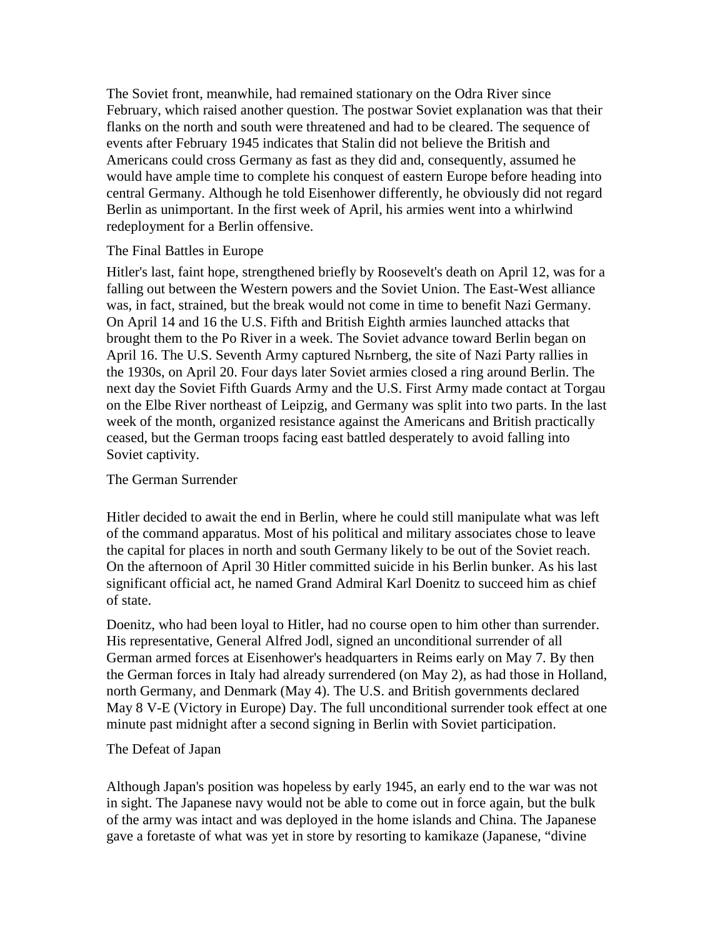The Soviet front, meanwhile, had remained stationary on the Odra River since February, which raised another question. The postwar Soviet explanation was that their flanks on the north and south were threatened and had to be cleared. The sequence of events after February 1945 indicates that Stalin did not believe the British and Americans could cross Germany as fast as they did and, consequently, assumed he would have ample time to complete his conquest of eastern Europe before heading into central Germany. Although he told Eisenhower differently, he obviously did not regard Berlin as unimportant. In the first week of April, his armies went into a whirlwind redeployment for a Berlin offensive.

### The Final Battles in Europe

Hitler's last, faint hope, strengthened briefly by Roosevelt's death on April 12, was for a falling out between the Western powers and the Soviet Union. The East-West alliance was, in fact, strained, but the break would not come in time to benefit Nazi Germany. On April 14 and 16 the U.S. Fifth and British Eighth armies launched attacks that brought them to the Po River in a week. The Soviet advance toward Berlin began on April 16. The U.S. Seventh Army captured Nьrnberg, the site of Nazi Party rallies in the 1930s, on April 20. Four days later Soviet armies closed a ring around Berlin. The next day the Soviet Fifth Guards Army and the U.S. First Army made contact at Torgau on the Elbe River northeast of Leipzig, and Germany was split into two parts. In the last week of the month, organized resistance against the Americans and British practically ceased, but the German troops facing east battled desperately to avoid falling into Soviet captivity.

# The German Surrender

Hitler decided to await the end in Berlin, where he could still manipulate what was left of the command apparatus. Most of his political and military associates chose to leave the capital for places in north and south Germany likely to be out of the Soviet reach. On the afternoon of April 30 Hitler committed suicide in his Berlin bunker. As his last significant official act, he named Grand Admiral Karl Doenitz to succeed him as chief of state.

Doenitz, who had been loyal to Hitler, had no course open to him other than surrender. His representative, General Alfred Jodl, signed an unconditional surrender of all German armed forces at Eisenhower's headquarters in Reims early on May 7. By then the German forces in Italy had already surrendered (on May 2), as had those in Holland, north Germany, and Denmark (May 4). The U.S. and British governments declared May 8 V-E (Victory in Europe) Day. The full unconditional surrender took effect at one minute past midnight after a second signing in Berlin with Soviet participation.

# The Defeat of Japan

Although Japan's position was hopeless by early 1945, an early end to the war was not in sight. The Japanese navy would not be able to come out in force again, but the bulk of the army was intact and was deployed in the home islands and China. The Japanese gave a foretaste of what was yet in store by resorting to kamikaze (Japanese, "divine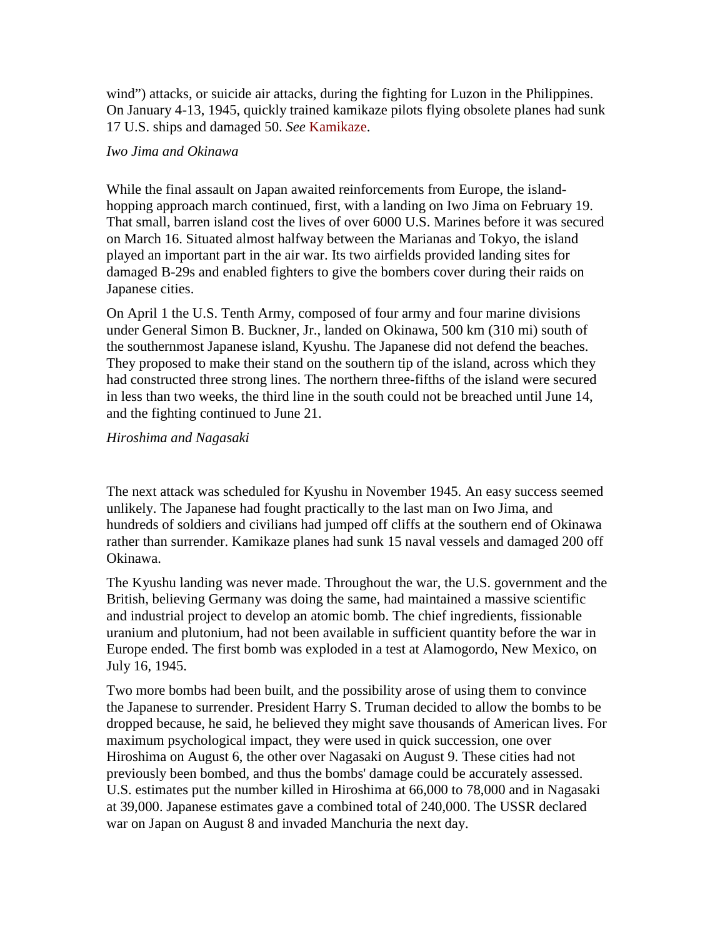wind") attacks, or suicide air attacks, during the fighting for Luzon in the Philippines. On January 4-13, 1945, quickly trained kamikaze pilots flying obsolete planes had sunk 17 U.S. ships and damaged 50. *See* Kamikaze.

# *Iwo Jima and Okinawa*

While the final assault on Japan awaited reinforcements from Europe, the islandhopping approach march continued, first, with a landing on Iwo Jima on February 19. That small, barren island cost the lives of over 6000 U.S. Marines before it was secured on March 16. Situated almost halfway between the Marianas and Tokyo, the island played an important part in the air war. Its two airfields provided landing sites for damaged B-29s and enabled fighters to give the bombers cover during their raids on Japanese cities.

On April 1 the U.S. Tenth Army, composed of four army and four marine divisions under General Simon B. Buckner, Jr., landed on Okinawa, 500 km (310 mi) south of the southernmost Japanese island, Kyushu. The Japanese did not defend the beaches. They proposed to make their stand on the southern tip of the island, across which they had constructed three strong lines. The northern three-fifths of the island were secured in less than two weeks, the third line in the south could not be breached until June 14, and the fighting continued to June 21.

# *Hiroshima and Nagasaki*

The next attack was scheduled for Kyushu in November 1945. An easy success seemed unlikely. The Japanese had fought practically to the last man on Iwo Jima, and hundreds of soldiers and civilians had jumped off cliffs at the southern end of Okinawa rather than surrender. Kamikaze planes had sunk 15 naval vessels and damaged 200 off Okinawa.

The Kyushu landing was never made. Throughout the war, the U.S. government and the British, believing Germany was doing the same, had maintained a massive scientific and industrial project to develop an atomic bomb. The chief ingredients, fissionable uranium and plutonium, had not been available in sufficient quantity before the war in Europe ended. The first bomb was exploded in a test at Alamogordo, New Mexico, on July 16, 1945.

Two more bombs had been built, and the possibility arose of using them to convince the Japanese to surrender. President Harry S. Truman decided to allow the bombs to be dropped because, he said, he believed they might save thousands of American lives. For maximum psychological impact, they were used in quick succession, one over Hiroshima on August 6, the other over Nagasaki on August 9. These cities had not previously been bombed, and thus the bombs' damage could be accurately assessed. U.S. estimates put the number killed in Hiroshima at 66,000 to 78,000 and in Nagasaki at 39,000. Japanese estimates gave a combined total of 240,000. The USSR declared war on Japan on August 8 and invaded Manchuria the next day.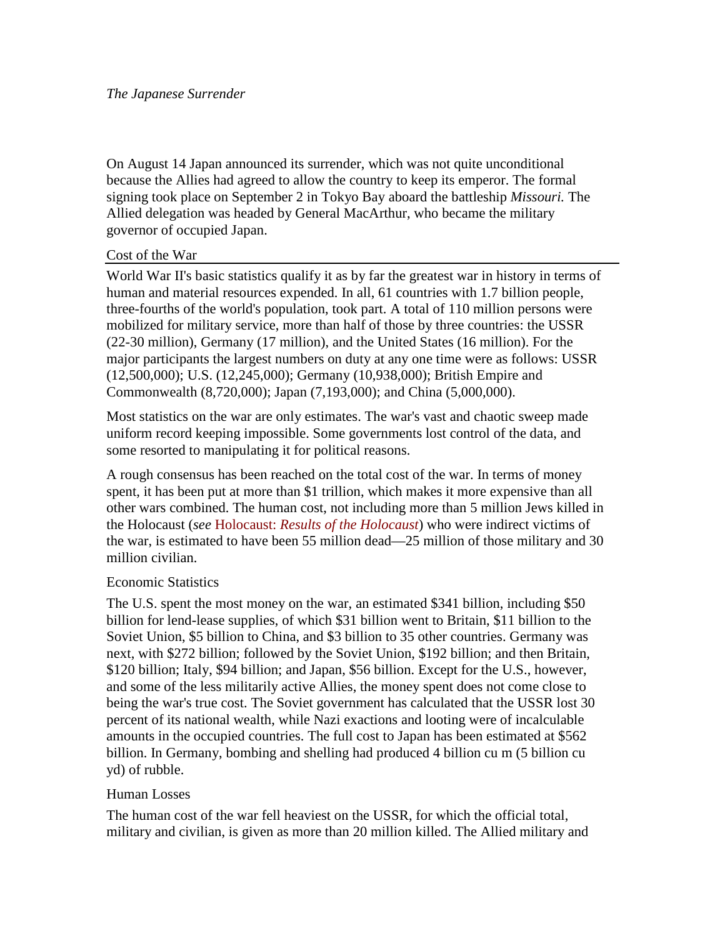On August 14 Japan announced its surrender, which was not quite unconditional because the Allies had agreed to allow the country to keep its emperor. The formal signing took place on September 2 in Tokyo Bay aboard the battleship *Missouri.* The Allied delegation was headed by General MacArthur, who became the military governor of occupied Japan.

# Cost of the War

World War II's basic statistics qualify it as by far the greatest war in history in terms of human and material resources expended. In all, 61 countries with 1.7 billion people, three-fourths of the world's population, took part. A total of 110 million persons were mobilized for military service, more than half of those by three countries: the USSR (22-30 million), Germany (17 million), and the United States (16 million). For the major participants the largest numbers on duty at any one time were as follows: USSR (12,500,000); U.S. (12,245,000); Germany (10,938,000); British Empire and Commonwealth (8,720,000); Japan (7,193,000); and China (5,000,000).

Most statistics on the war are only estimates. The war's vast and chaotic sweep made uniform record keeping impossible. Some governments lost control of the data, and some resorted to manipulating it for political reasons.

A rough consensus has been reached on the total cost of the war. In terms of money spent, it has been put at more than \$1 trillion, which makes it more expensive than all other wars combined. The human cost, not including more than 5 million Jews killed in the Holocaust (*see* Holocaust: *Results of the Holocaust*) who were indirect victims of the war, is estimated to have been 55 million dead—25 million of those military and 30 million civilian.

# Economic Statistics

The U.S. spent the most money on the war, an estimated \$341 billion, including \$50 billion for lend-lease supplies, of which \$31 billion went to Britain, \$11 billion to the Soviet Union, \$5 billion to China, and \$3 billion to 35 other countries. Germany was next, with \$272 billion; followed by the Soviet Union, \$192 billion; and then Britain, \$120 billion; Italy, \$94 billion; and Japan, \$56 billion. Except for the U.S., however, and some of the less militarily active Allies, the money spent does not come close to being the war's true cost. The Soviet government has calculated that the USSR lost 30 percent of its national wealth, while Nazi exactions and looting were of incalculable amounts in the occupied countries. The full cost to Japan has been estimated at \$562 billion. In Germany, bombing and shelling had produced 4 billion cu m (5 billion cu yd) of rubble.

# Human Losses

The human cost of the war fell heaviest on the USSR, for which the official total, military and civilian, is given as more than 20 million killed. The Allied military and